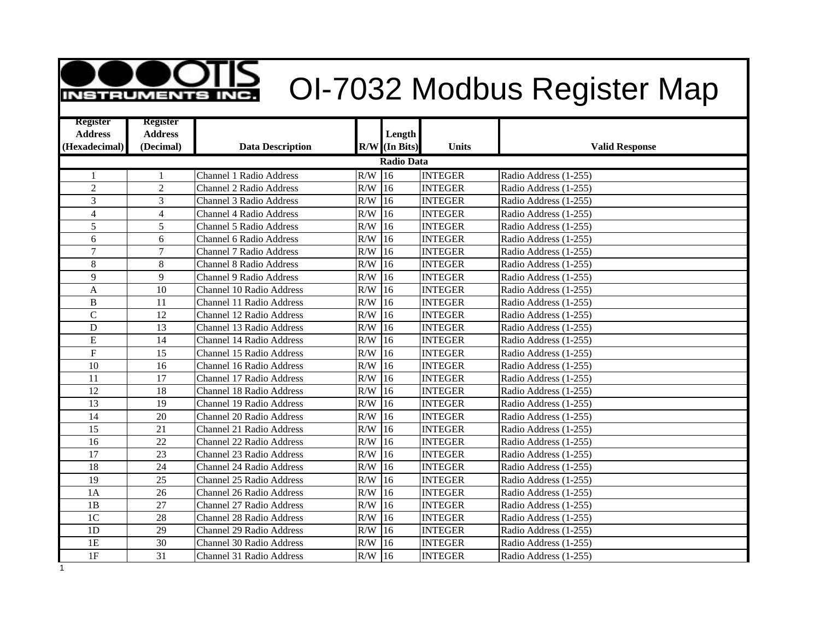| <b>INSTRUMENTS</b>                |                                   |                                 |           |                   |                | OI-7032 Modbus Register Map |
|-----------------------------------|-----------------------------------|---------------------------------|-----------|-------------------|----------------|-----------------------------|
| <b>Register</b><br><b>Address</b> | <b>Register</b><br><b>Address</b> |                                 |           | Length            |                |                             |
| (Hexadecimal)                     | (Decimal)                         | <b>Data Description</b>         |           | $R/W$ (In Bits)   | <b>Units</b>   | <b>Valid Response</b>       |
|                                   |                                   |                                 |           | <b>Radio Data</b> |                |                             |
| 1                                 |                                   | Channel 1 Radio Address         | $R/W$ 16  |                   | <b>INTEGER</b> | Radio Address (1-255)       |
| $\overline{c}$                    | $\overline{c}$                    | <b>Channel 2 Radio Address</b>  | R/W       | 16                | <b>INTEGER</b> | Radio Address (1-255)       |
| 3                                 | 3                                 | <b>Channel 3 Radio Address</b>  | R/W       | $ 16\rangle$      | <b>INTEGER</b> | Radio Address (1-255)       |
| $\overline{4}$                    | $\overline{4}$                    | <b>Channel 4 Radio Address</b>  | R/W       | 16                | <b>INTEGER</b> | Radio Address (1-255)       |
| 5                                 | 5                                 | <b>Channel 5 Radio Address</b>  | R/W       | 16                | <b>INTEGER</b> | Radio Address (1-255)       |
| 6                                 | 6                                 | <b>Channel 6 Radio Address</b>  | R/W       | 16                | <b>INTEGER</b> | Radio Address (1-255)       |
| $\boldsymbol{7}$                  | $\overline{7}$                    | Channel 7 Radio Address         | R/W       | 116               | <b>INTEGER</b> | Radio Address (1-255)       |
| 8                                 | 8                                 | <b>Channel 8 Radio Address</b>  | $R/W$ 16  |                   | <b>INTEGER</b> | Radio Address (1-255)       |
| 9                                 | 9                                 | <b>Channel 9 Radio Address</b>  | R/W       | 16                | <b>INTEGER</b> | Radio Address (1-255)       |
| A                                 | 10                                | Channel 10 Radio Address        | R/W       | 16                | <b>INTEGER</b> | Radio Address (1-255)       |
| B                                 | 11                                | Channel 11 Radio Address        | R/W       | 16                | <b>INTEGER</b> | Radio Address (1-255)       |
| $\mathbf C$                       | 12                                | Channel 12 Radio Address        | R/W       | 16                | <b>INTEGER</b> | Radio Address (1-255)       |
| D                                 | 13                                | Channel 13 Radio Address        | R/W       | 116               | <b>INTEGER</b> | Radio Address (1-255)       |
| E                                 | 14                                | Channel 14 Radio Address        | R/W       | 16                | <b>INTEGER</b> | Radio Address (1-255)       |
| $\mathbf{F}$                      | 15                                | Channel 15 Radio Address        | R/W       | 116               | <b>INTEGER</b> | Radio Address (1-255)       |
| 10                                | 16                                | Channel 16 Radio Address        | R/W       | 16                | <b>INTEGER</b> | Radio Address (1-255)       |
| 11                                | 17                                | Channel 17 Radio Address        | R/W       | 16                | <b>INTEGER</b> | Radio Address (1-255)       |
| 12                                | 18                                | Channel 18 Radio Address        | R/W       | 16                | <b>INTEGER</b> | Radio Address (1-255)       |
| 13                                | 19                                | Channel 19 Radio Address        | R/W       | 16                | <b>INTEGER</b> | Radio Address (1-255)       |
| 14                                | 20                                | Channel 20 Radio Address        | R/W       | 16                | <b>INTEGER</b> | Radio Address (1-255)       |
| 15                                | 21                                | <b>Channel 21 Radio Address</b> | R/W       | 116               | <b>INTEGER</b> | Radio Address (1-255)       |
| 16                                | 22                                | Channel 22 Radio Address        | R/W       | 16                | <b>INTEGER</b> | Radio Address (1-255)       |
| 17                                | 23                                | Channel 23 Radio Address        | R/W       | 116               | <b>INTEGER</b> | Radio Address (1-255)       |
| 18                                | 24                                | Channel 24 Radio Address        | R/W       | 16                | <b>INTEGER</b> | Radio Address (1-255)       |
| 19                                | 25                                | Channel 25 Radio Address        | R/W       | 16                | <b>INTEGER</b> | Radio Address (1-255)       |
| 1A                                | 26                                | Channel 26 Radio Address        | R/W       | 16                | <b>INTEGER</b> | Radio Address (1-255)       |
| 1B                                | 27                                | Channel 27 Radio Address        | R/W       | 16                | <b>INTEGER</b> | Radio Address (1-255)       |
| 1 <sup>C</sup>                    | 28                                | Channel 28 Radio Address        | $\rm R/W$ | 16                | <b>INTEGER</b> | Radio Address (1-255)       |
| 1 <sub>D</sub>                    | 29                                | <b>Channel 29 Radio Address</b> | R/W       | $ 16\rangle$      | <b>INTEGER</b> | Radio Address (1-255)       |
| 1E                                | 30                                | Channel 30 Radio Address        | R/W       | 16                | <b>INTEGER</b> | Radio Address (1-255)       |
| 1F                                | 31                                | Channel 31 Radio Address        | R/W       | $ 16\rangle$      | <b>INTEGER</b> | Radio Address (1-255)       |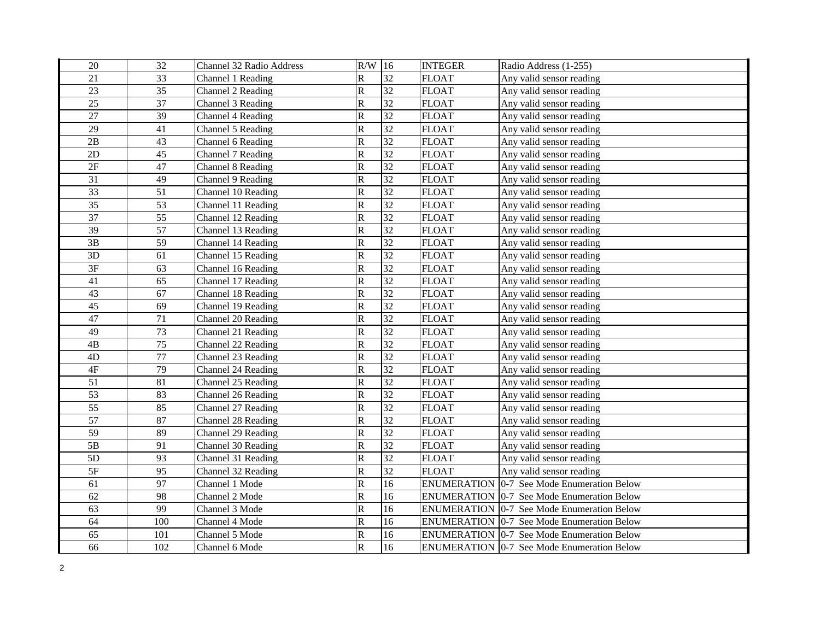| 20              | 32  | Channel 32 Radio Address | R/W          | 16              | <b>INTEGER</b>     | Radio Address (1-255)                             |
|-----------------|-----|--------------------------|--------------|-----------------|--------------------|---------------------------------------------------|
| 21              | 33  | Channel 1 Reading        | $\mathbf R$  | 32              | <b>FLOAT</b>       | Any valid sensor reading                          |
| 23              | 35  | Channel 2 Reading        | $\mathsf{R}$ | 32              | <b>FLOAT</b>       | Any valid sensor reading                          |
| 25              | 37  | Channel 3 Reading        | ${\bf R}$    | $\overline{32}$ | <b>FLOAT</b>       | Any valid sensor reading                          |
| 27              | 39  | Channel 4 Reading        | ${\bf R}$    | 32              | <b>FLOAT</b>       | Any valid sensor reading                          |
| 29              | 41  | Channel 5 Reading        | ${\bf R}$    | $\overline{32}$ | <b>FLOAT</b>       | Any valid sensor reading                          |
| 2B              | 43  | Channel 6 Reading        | ${\bf R}$    | $\overline{32}$ | <b>FLOAT</b>       | Any valid sensor reading                          |
| 2D              | 45  | Channel 7 Reading        | ${\bf R}$    | 32              | <b>FLOAT</b>       | Any valid sensor reading                          |
| 2F              | 47  | Channel 8 Reading        | ${\bf R}$    | 32              | <b>FLOAT</b>       | Any valid sensor reading                          |
| 31              | 49  | Channel 9 Reading        | $\mathbb R$  | 32              | <b>FLOAT</b>       | Any valid sensor reading                          |
| $\overline{33}$ | 51  | Channel 10 Reading       | ${\bf R}$    | 32              | <b>FLOAT</b>       | Any valid sensor reading                          |
| 35              | 53  | Channel 11 Reading       | ${\bf R}$    | $\overline{32}$ | <b>FLOAT</b>       | Any valid sensor reading                          |
| 37              | 55  | Channel 12 Reading       | ${\bf R}$    | 32              | <b>FLOAT</b>       | Any valid sensor reading                          |
| 39              | 57  | Channel 13 Reading       | ${\bf R}$    | 32              | <b>FLOAT</b>       | Any valid sensor reading                          |
| 3B              | 59  | Channel 14 Reading       | $\mathsf{R}$ | 32              | <b>FLOAT</b>       | Any valid sensor reading                          |
| 3D              | 61  | Channel 15 Reading       | ${\bf R}$    | 32              | <b>FLOAT</b>       | Any valid sensor reading                          |
| $\overline{3F}$ | 63  | Channel 16 Reading       | ${\bf R}$    | 32              | <b>FLOAT</b>       | Any valid sensor reading                          |
| 41              | 65  | Channel 17 Reading       | ${\bf R}$    | $\overline{32}$ | <b>FLOAT</b>       | Any valid sensor reading                          |
| 43              | 67  | Channel 18 Reading       | $\, {\bf R}$ | $\overline{32}$ | <b>FLOAT</b>       | Any valid sensor reading                          |
| 45              | 69  | Channel 19 Reading       | ${\bf R}$    | $\overline{32}$ | <b>FLOAT</b>       | Any valid sensor reading                          |
| 47              | 71  | Channel 20 Reading       | ${\bf R}$    | $\overline{32}$ | <b>FLOAT</b>       | Any valid sensor reading                          |
| 49              | 73  | Channel 21 Reading       | ${\bf R}$    | $\overline{32}$ | <b>FLOAT</b>       | Any valid sensor reading                          |
| $4\mathrm{B}$   | 75  | Channel 22 Reading       | ${\bf R}$    | 32              | <b>FLOAT</b>       | Any valid sensor reading                          |
| 4D              | 77  | Channel 23 Reading       | $\mathsf R$  | $\overline{32}$ | <b>FLOAT</b>       | Any valid sensor reading                          |
| $4\mathrm{F}$   | 79  | Channel 24 Reading       | ${\bf R}$    | 32              | <b>FLOAT</b>       | Any valid sensor reading                          |
| 51              | 81  | Channel 25 Reading       | ${\bf R}$    | 32              | <b>FLOAT</b>       | Any valid sensor reading                          |
| $\overline{53}$ | 83  | Channel 26 Reading       | $\mathsf R$  | 32              | <b>FLOAT</b>       | Any valid sensor reading                          |
| 55              | 85  | Channel 27 Reading       | $\mathsf R$  | 32              | <b>FLOAT</b>       | Any valid sensor reading                          |
| 57              | 87  | Channel 28 Reading       | ${\bf R}$    | $\overline{32}$ | <b>FLOAT</b>       | Any valid sensor reading                          |
| 59              | 89  | Channel 29 Reading       | ${\bf R}$    | 32              | <b>FLOAT</b>       | Any valid sensor reading                          |
| 5B              | 91  | Channel 30 Reading       | $\mathbf R$  | $\overline{32}$ | <b>FLOAT</b>       | Any valid sensor reading                          |
| 5D              | 93  | Channel 31 Reading       | ${\bf R}$    | 32              | <b>FLOAT</b>       | Any valid sensor reading                          |
| $5F$            | 95  | Channel 32 Reading       | ${\bf R}$    | 32              | <b>FLOAT</b>       | Any valid sensor reading                          |
| 61              | 97  | Channel 1 Mode           | ${\bf R}$    | 16              | <b>ENUMERATION</b> | 0-7 See Mode Enumeration Below                    |
| 62              | 98  | Channel 2 Mode           | ${\bf R}$    | 16              |                    | <b>ENUMERATION 0-7 See Mode Enumeration Below</b> |
| 63              | 99  | Channel 3 Mode           | $\mathbf R$  | 16              |                    | ENUMERATION 0-7 See Mode Enumeration Below        |
| 64              | 100 | Channel 4 Mode           | ${\bf R}$    | 16              |                    | <b>ENUMERATION</b> 0-7 See Mode Enumeration Below |
| 65              | 101 | Channel 5 Mode           | ${\bf R}$    | 16              |                    | <b>ENUMERATION 0-7 See Mode Enumeration Below</b> |
| 66              | 102 | Channel 6 Mode           | ${\bf R}$    | 16              |                    | <b>ENUMERATION 0-7 See Mode Enumeration Below</b> |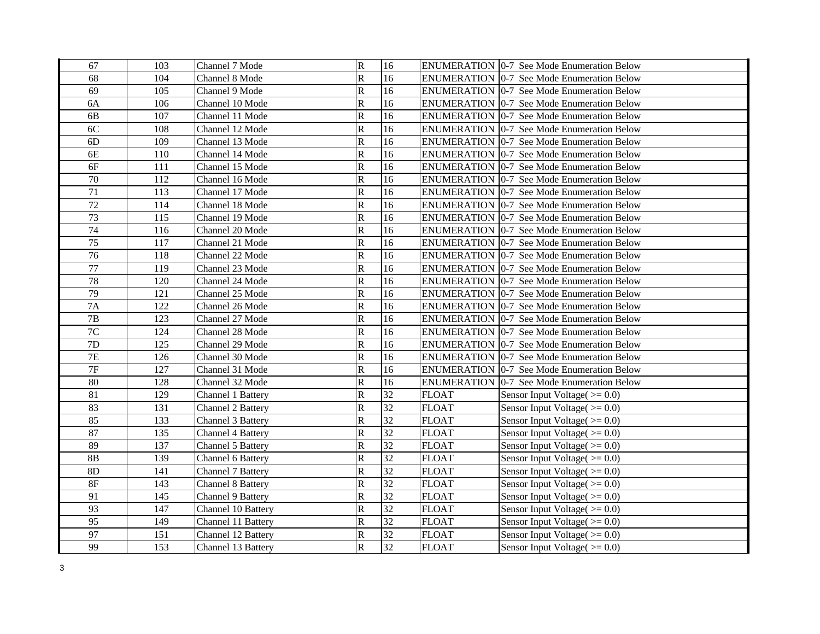| 67              | 103 | Channel 7 Mode           | $\overline{\mathsf{R}}$ | 16              |              | <b>ENUMERATION 0-7 See Mode Enumeration Below</b> |
|-----------------|-----|--------------------------|-------------------------|-----------------|--------------|---------------------------------------------------|
| 68              | 104 | Channel 8 Mode           | $\mathbb{R}$            | 16              |              | <b>ENUMERATION 0-7 See Mode Enumeration Below</b> |
| 69              | 105 | Channel 9 Mode           | $\mathbb{R}$            | 16              |              | <b>ENUMERATION</b> 0-7 See Mode Enumeration Below |
| <b>6A</b>       | 106 | Channel 10 Mode          | ${\bf R}$               | 16              |              | <b>ENUMERATION 0-7 See Mode Enumeration Below</b> |
| 6 <b>B</b>      | 107 | Channel 11 Mode          | ${\bf R}$               | 16              |              | <b>ENUMERATION 0-7 See Mode Enumeration Below</b> |
| 6C              | 108 | Channel 12 Mode          | ${\bf R}$               | 16              |              | <b>ENUMERATION 0-7 See Mode Enumeration Below</b> |
| 6D              | 109 | Channel 13 Mode          | ${\bf R}$               | 16              |              | <b>ENUMERATION 0-7 See Mode Enumeration Below</b> |
| 6E              | 110 | Channel 14 Mode          | ${\bf R}$               | 16              |              | <b>ENUMERATION 0-7 See Mode Enumeration Below</b> |
| 6F              | 111 | Channel 15 Mode          | ${\bf R}$               | 16              |              | <b>ENUMERATION 0-7 See Mode Enumeration Below</b> |
| $70\,$          | 112 | Channel 16 Mode          | $\mathbb R$             | 16              |              | <b>ENUMERATION 0-7 See Mode Enumeration Below</b> |
| $\overline{71}$ | 113 | Channel 17 Mode          | ${\bf R}$               | 16              |              | <b>ENUMERATION 0-7 See Mode Enumeration Below</b> |
| 72              | 114 | Channel 18 Mode          | ${\bf R}$               | 16              |              | <b>ENUMERATION 0-7 See Mode Enumeration Below</b> |
| 73              | 115 | Channel 19 Mode          | ${\bf R}$               | 16              |              | <b>ENUMERATION 0-7 See Mode Enumeration Below</b> |
| 74              | 116 | Channel 20 Mode          | ${\bf R}$               | 16              |              | <b>ENUMERATION 0-7 See Mode Enumeration Below</b> |
| $\overline{75}$ | 117 | Channel 21 Mode          | $\overline{\mathsf{R}}$ | 16              |              | <b>ENUMERATION 0-7 See Mode Enumeration Below</b> |
| 76              | 118 | Channel 22 Mode          | ${\bf R}$               | 16              |              | <b>ENUMERATION 0-7 See Mode Enumeration Below</b> |
| $\overline{77}$ | 119 | Channel 23 Mode          | ${\bf R}$               | $\overline{16}$ |              | ENUMERATION   0-7 See Mode Enumeration Below      |
| 78              | 120 | Channel 24 Mode          | ${\bf R}$               | 16              |              | <b>ENUMERATION 0-7 See Mode Enumeration Below</b> |
| 79              | 121 | Channel 25 Mode          | $\overline{\mathsf{R}}$ | 16              |              | <b>ENUMERATION 0-7 See Mode Enumeration Below</b> |
| 7A              | 122 | Channel 26 Mode          | ${\bf R}$               | 16              |              | <b>ENUMERATION 0-7 See Mode Enumeration Below</b> |
| $7\mathrm{B}$   | 123 | Channel 27 Mode          | ${\bf R}$               | 16              |              | <b>ENUMERATION 0-7 See Mode Enumeration Below</b> |
| $7\mathrm{C}$   | 124 | Channel 28 Mode          | ${\bf R}$               | 16              |              | ENUMERATION   0-7 See Mode Enumeration Below      |
| $7\mathrm{D}$   | 125 | Channel 29 Mode          | ${\bf R}$               | 16              |              | ENUMERATION   0-7 See Mode Enumeration Below      |
| $7\mathrm{E}$   | 126 | Channel 30 Mode          | ${\bf R}$               | 16              |              | ENUMERATION   0-7 See Mode Enumeration Below      |
| $\overline{7F}$ | 127 | Channel 31 Mode          | ${\bf R}$               | 16              |              | ENUMERATION 0-7 See Mode Enumeration Below        |
| 80              | 128 | Channel 32 Mode          | ${\bf R}$               | 16              |              | ENUMERATION   0-7 See Mode Enumeration Below      |
| $\overline{81}$ | 129 | Channel 1 Battery        | ${\bf R}$               | 32              | <b>FLOAT</b> | Sensor Input Voltage $(>= 0.0)$                   |
| 83              | 131 | Channel 2 Battery        | $\overline{R}$          | 32              | <b>FLOAT</b> | Sensor Input Voltage $(>=0.0)$                    |
| 85              | 133 | Channel 3 Battery        | ${\bf R}$               | $\overline{32}$ | <b>FLOAT</b> | Sensor Input Voltage $(>= 0.0)$                   |
| 87              | 135 | <b>Channel 4 Battery</b> | $\mathbf R$             | 32              | <b>FLOAT</b> | Sensor Input Voltage $(>=0.0)$                    |
| 89              | 137 | Channel 5 Battery        | $\mathbf R$             | $\overline{32}$ | <b>FLOAT</b> | Sensor Input Voltage $(>=0.0)$                    |
| 8B              | 139 | Channel 6 Battery        | $\mathbf R$             | 32              | <b>FLOAT</b> | Sensor Input Voltage $(>= 0.0)$                   |
| 8D              | 141 | Channel 7 Battery        | $\mathbb{R}$            | $\overline{32}$ | <b>FLOAT</b> | Sensor Input Voltage $(>= 0.0)$                   |
| $8\mathrm{F}$   | 143 | <b>Channel 8 Battery</b> | ${\bf R}$               | $\overline{32}$ | <b>FLOAT</b> | Sensor Input Voltage $(>= 0.0)$                   |
| 91              | 145 | <b>Channel 9 Battery</b> | ${\bf R}$               | $\overline{32}$ | <b>FLOAT</b> | Sensor Input Voltage $(>= 0.0)$                   |
| 93              | 147 | Channel 10 Battery       | ${\bf R}$               | $\overline{32}$ | <b>FLOAT</b> | Sensor Input Voltage( $>= 0.0$ )                  |
| 95              | 149 | Channel 11 Battery       | $\mathbf R$             | $\overline{32}$ | <b>FLOAT</b> | Sensor Input Voltage $(>= 0.0)$                   |
| 97              | 151 | Channel 12 Battery       | ${\bf R}$               | 32              | <b>FLOAT</b> | Sensor Input Voltage $(>= 0.0)$                   |
| 99              | 153 | Channel 13 Battery       | $\mathbf R$             | $\overline{32}$ | <b>FLOAT</b> | Sensor Input Voltage( $>= 0.0$ )                  |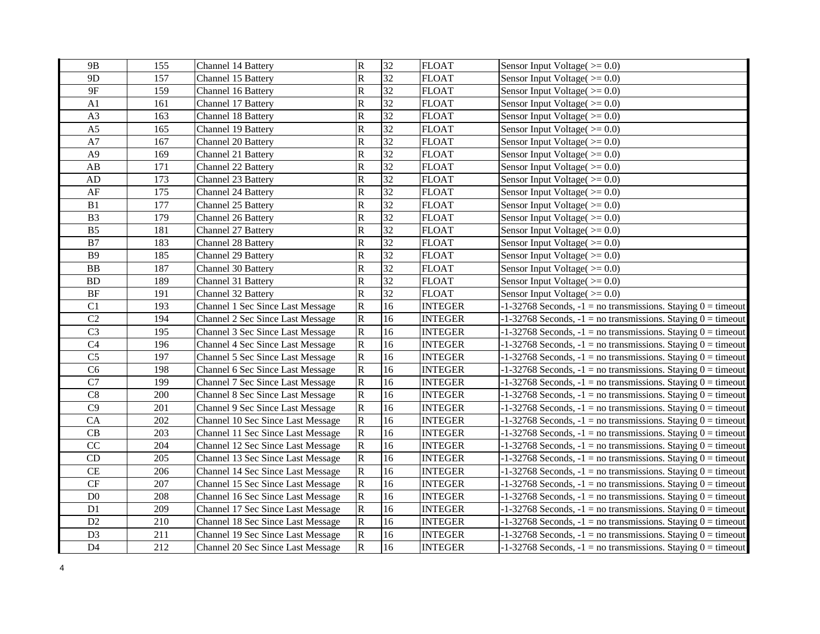| 9 <sub>B</sub>         | 155 | <b>Channel 14 Battery</b>               | $\mathbf R$           | 32              | <b>FLOAT</b>   | Sensor Input Voltage( $>= 0.0$ )                                   |
|------------------------|-----|-----------------------------------------|-----------------------|-----------------|----------------|--------------------------------------------------------------------|
| 9 <sub>D</sub>         | 157 | Channel 15 Battery                      | $\overline{\text{R}}$ | 32              | <b>FLOAT</b>   | Sensor Input Voltage $(>=0.0)$                                     |
| 9F                     | 159 | Channel 16 Battery                      | $\overline{\text{R}}$ | 32              | <b>FLOAT</b>   | Sensor Input Voltage( $>= 0.0$ )                                   |
| A <sub>1</sub>         | 161 | Channel 17 Battery                      | R                     | $\overline{32}$ | <b>FLOAT</b>   | Sensor Input Voltage( $>= 0.0$ )                                   |
| A3                     | 163 | Channel 18 Battery                      | ${\bf R}$             | 32              | <b>FLOAT</b>   | Sensor Input Voltage $(>=0.0)$                                     |
| A <sub>5</sub>         | 165 | Channel 19 Battery                      | R                     | $\overline{32}$ | <b>FLOAT</b>   | Sensor Input Voltage $(>=0.0)$                                     |
| A7                     | 167 | Channel 20 Battery                      | R                     | 32              | <b>FLOAT</b>   | Sensor Input Voltage $(>=0.0)$                                     |
| A <sub>9</sub>         | 169 | Channel 21 Battery                      | ${\bf R}$             | $\overline{32}$ | <b>FLOAT</b>   | Sensor Input Voltage $(>=0.0)$                                     |
| $\mathbf{A}\mathbf{B}$ | 171 | Channel 22 Battery                      | R                     | $\overline{32}$ | <b>FLOAT</b>   | Sensor Input Voltage( $>= 0.0$ )                                   |
| ${\rm AD}$             | 173 | Channel 23 Battery                      | R                     | $\overline{32}$ | <b>FLOAT</b>   | Sensor Input Voltage $(>= 0.0)$                                    |
| $\rm AF$               | 175 | Channel 24 Battery                      | R                     | $\overline{32}$ | <b>FLOAT</b>   | Sensor Input Voltage $(>= 0.0)$                                    |
| B1                     | 177 | Channel 25 Battery                      | R                     | $\overline{32}$ | <b>FLOAT</b>   | Sensor Input Voltage( $>= 0.0$ )                                   |
| B <sub>3</sub>         | 179 | Channel 26 Battery                      | $\overline{\text{R}}$ | $\overline{32}$ | <b>FLOAT</b>   | Sensor Input Voltage( $>= 0.0$ )                                   |
| B <sub>5</sub>         | 181 | Channel 27 Battery                      | $\overline{\text{R}}$ | $\overline{32}$ | <b>FLOAT</b>   | Sensor Input Voltage( $>= 0.0$ )                                   |
| B7                     | 183 | Channel 28 Battery                      | $\overline{\text{R}}$ | $\overline{32}$ | <b>FLOAT</b>   | Sensor Input Voltage $(>=0.0)$                                     |
| <b>B9</b>              | 185 | Channel 29 Battery                      | $\overline{\text{R}}$ | 32              | <b>FLOAT</b>   | Sensor Input Voltage( $>= 0.0$ )                                   |
| <b>BB</b>              | 187 | Channel 30 Battery                      | R                     | $\overline{32}$ | <b>FLOAT</b>   | Sensor Input Voltage( $>= 0.0$ )                                   |
| <b>BD</b>              | 189 | Channel 31 Battery                      | R                     | $\overline{32}$ | <b>FLOAT</b>   | Sensor Input Voltage $(>=0.0)$                                     |
| $\rm BF$               | 191 | Channel 32 Battery                      | ${\bf R}$             | 32              | <b>FLOAT</b>   | Sensor Input Voltage $(>= 0.0)$                                    |
| C1                     | 193 | Channel 1 Sec Since Last Message        | ${\bf R}$             | 16              | <b>INTEGER</b> | $-1-32768$ Seconds, $-1 =$ no transmissions. Staying $0 =$ timeout |
| C2                     | 194 | Channel 2 Sec Since Last Message        | ${\bf R}$             | 16              | <b>INTEGER</b> | $-1-32768$ Seconds, $-1 =$ no transmissions. Staying $0 =$ timeout |
| $\overline{C}$         | 195 | Channel 3 Sec Since Last Message        | ${\bf R}$             | 16              | <b>INTEGER</b> | $-1-32768$ Seconds, $-1 =$ no transmissions. Staying $0 =$ timeout |
| C4                     | 196 | Channel 4 Sec Since Last Message        | ${\bf R}$             | 16              | <b>INTEGER</b> | $-1-32768$ Seconds, $-1 =$ no transmissions. Staying $0 =$ timeout |
| C <sub>5</sub>         | 197 | Channel 5 Sec Since Last Message        | ${\bf R}$             | 16              | <b>INTEGER</b> | $-1-32768$ Seconds, $-1 =$ no transmissions. Staying $0 =$ timeout |
| $\overline{C6}$        | 198 | <b>Channel 6 Sec Since Last Message</b> | ${\bf R}$             | 16              | <b>INTEGER</b> | $-1-32768$ Seconds, $-1 =$ no transmissions. Staying $0 =$ timeout |
| $\overline{C7}$        | 199 | Channel 7 Sec Since Last Message        | ${\bf R}$             | 16              | <b>INTEGER</b> | $-1-32768$ Seconds, $-1 =$ no transmissions. Staying $0 =$ timeout |
| C8                     | 200 | Channel 8 Sec Since Last Message        | ${\bf R}$             | 16              | <b>INTEGER</b> | $-1-32768$ Seconds, $-1 =$ no transmissions. Staying $0 =$ timeout |
| C9                     | 201 | Channel 9 Sec Since Last Message        | ${\bf R}$             | 16              | <b>INTEGER</b> | $-1-32768$ Seconds, $-1 =$ no transmissions. Staying $0 =$ timeout |
| CA                     | 202 | Channel 10 Sec Since Last Message       | ${\bf R}$             | 16              | <b>INTEGER</b> | $-1-32768$ Seconds, $-1 =$ no transmissions. Staying $0 =$ timeout |
| CB                     | 203 | Channel 11 Sec Since Last Message       | ${\bf R}$             | 16              | <b>INTEGER</b> | $-1-32768$ Seconds, $-1 =$ no transmissions. Staying $0 =$ timeout |
| CC                     | 204 | Channel 12 Sec Since Last Message       | ${\bf R}$             | 16              | <b>INTEGER</b> | $-1-32768$ Seconds, $-1$ = no transmissions. Staying $0 =$ timeout |
| CD                     | 205 | Channel 13 Sec Since Last Message       | ${\bf R}$             | 16              | <b>INTEGER</b> | $-1-32768$ Seconds, $-1 =$ no transmissions. Staying $0 =$ timeout |
| CE                     | 206 | Channel 14 Sec Since Last Message       | ${\bf R}$             | 16              | <b>INTEGER</b> | $-1-32768$ Seconds, $-1 =$ no transmissions. Staying $0 =$ timeout |
| $\cal{CF}$             | 207 | Channel 15 Sec Since Last Message       | ${\bf R}$             | 16              | <b>INTEGER</b> | $-1-32768$ Seconds, $-1 =$ no transmissions. Staying $0 =$ timeout |
| $\rm D0$               | 208 | Channel 16 Sec Since Last Message       | ${\bf R}$             | 16              | <b>INTEGER</b> | $-1-32768$ Seconds, $-1 =$ no transmissions. Staying $0 =$ timeout |
| D1                     | 209 | Channel 17 Sec Since Last Message       | ${\bf R}$             | $16\,$          | <b>INTEGER</b> | $-1-32768$ Seconds, $-1 =$ no transmissions. Staying $0 =$ timeout |
| D2                     | 210 | Channel 18 Sec Since Last Message       | ${\bf R}$             | 16              | <b>INTEGER</b> | $-1-32768$ Seconds, $-1 =$ no transmissions. Staying $0 =$ timeout |
| D <sub>3</sub>         | 211 | Channel 19 Sec Since Last Message       | R                     | 16              | <b>INTEGER</b> | $-1-32768$ Seconds, $-1 =$ no transmissions. Staying $0 =$ timeout |
| D <sub>4</sub>         | 212 | Channel 20 Sec Since Last Message       | $\mathbf R$           | 16              | <b>INTEGER</b> | $-1-32768$ Seconds, $-1 =$ no transmissions. Staying $0 =$ timeout |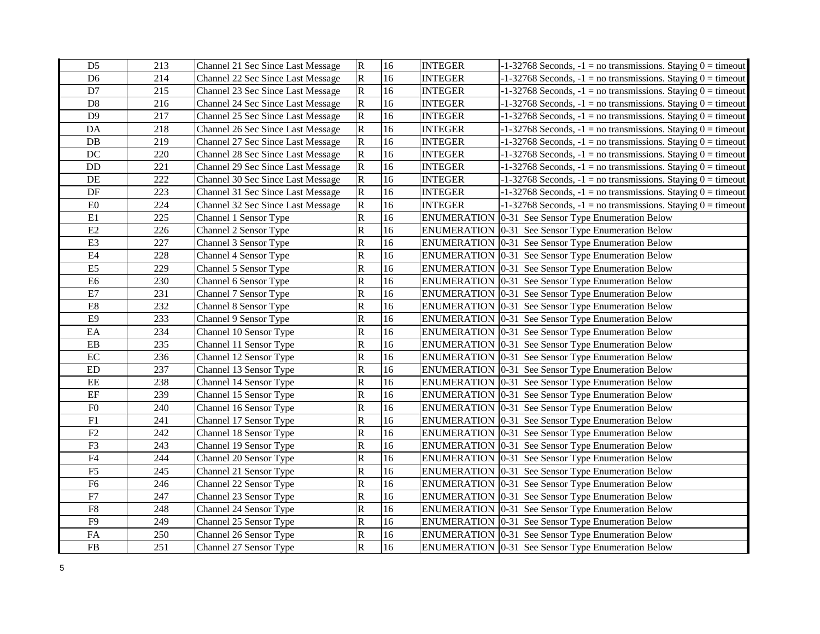| D <sub>5</sub> | 213 | Channel 21 Sec Since Last Message | ${\bf R}$    | 16              | <b>INTEGER</b> | $-1-32768$ Seconds, $-1 =$ no transmissions. Staying $0 =$ timeout |
|----------------|-----|-----------------------------------|--------------|-----------------|----------------|--------------------------------------------------------------------|
| D <sub>6</sub> | 214 | Channel 22 Sec Since Last Message | $\mathbf R$  | 16              | <b>INTEGER</b> | $-1-32768$ Seconds, $-1 =$ no transmissions. Staying $0 =$ timeout |
| D7             | 215 | Channel 23 Sec Since Last Message | R            | 16              | <b>INTEGER</b> | $-1-32768$ Seconds, $-1 =$ no transmissions. Staying $0 =$ timeout |
| D <sub>8</sub> | 216 | Channel 24 Sec Since Last Message | $\mathbf R$  | 16              | <b>INTEGER</b> | $-1-32768$ Seconds, $-1 =$ no transmissions. Staying $0 =$ timeout |
| D <sub>9</sub> | 217 | Channel 25 Sec Since Last Message | R            | 16              | <b>INTEGER</b> | $-1-32768$ Seconds, $-1 =$ no transmissions. Staying $0 =$ timeout |
| DA             | 218 | Channel 26 Sec Since Last Message | ${\bf R}$    | 16              | <b>INTEGER</b> | $-1-32768$ Seconds, $-1 =$ no transmissions. Staying $0 =$ timeout |
| DB             | 219 | Channel 27 Sec Since Last Message | ${\bf R}$    | 16              | <b>INTEGER</b> | $-1-32768$ Seconds, $-1 =$ no transmissions. Staying $0 =$ timeout |
| DC             | 220 | Channel 28 Sec Since Last Message | ${\bf R}$    | 16              | <b>INTEGER</b> | $-1-32768$ Seconds, $-1 =$ no transmissions. Staying $0 =$ timeout |
| DD             | 221 | Channel 29 Sec Since Last Message | ${\bf R}$    | 16              | <b>INTEGER</b> | $-1-32768$ Seconds, $-1 =$ no transmissions. Staying $0 =$ timeout |
| DE             | 222 | Channel 30 Sec Since Last Message | ${\bf R}$    | 16              | <b>INTEGER</b> | $-1-32768$ Seconds, $-1 =$ no transmissions. Staying $0 =$ timeout |
| DF             | 223 | Channel 31 Sec Since Last Message | ${\bf R}$    | 16              | <b>INTEGER</b> | $-1-32768$ Seconds, $-1 =$ no transmissions. Staying $0 =$ timeout |
| ${\rm E0}$     | 224 | Channel 32 Sec Since Last Message | R            | 16              | <b>INTEGER</b> | $-1-32768$ Seconds, $-1 =$ no transmissions. Staying $0 =$ timeout |
| E1             | 225 | Channel 1 Sensor Type             | $\mathsf R$  | 16              |                | ENUMERATION 0-31 See Sensor Type Enumeration Below                 |
| E2             | 226 | Channel 2 Sensor Type             | $\mathsf R$  | 16              |                | ENUMERATION   0-31 See Sensor Type Enumeration Below               |
| E <sub>3</sub> | 227 | Channel 3 Sensor Type             | $\mathsf{R}$ | 16              |                | <b>ENUMERATION</b> [0-31 See Sensor Type Enumeration Below         |
| E <sub>4</sub> | 228 | Channel 4 Sensor Type             | $\mathbf R$  | 16              |                | <b>ENUMERATION</b> 0-31 See Sensor Type Enumeration Below          |
| E <sub>5</sub> | 229 | Channel 5 Sensor Type             | R            | 16              |                | <b>ENUMERATION</b> 0-31 See Sensor Type Enumeration Below          |
| E <sub>6</sub> | 230 | Channel 6 Sensor Type             | $\mathsf R$  | 16              |                | ENUMERATION 0-31 See Sensor Type Enumeration Below                 |
| E7             | 231 | Channel 7 Sensor Type             | R            | 16              |                | <b>ENUMERATION</b> 0-31 See Sensor Type Enumeration Below          |
| E8             | 232 | Channel 8 Sensor Type             | $\mathsf R$  | 16              |                | <b>ENUMERATION</b> [0-31 See Sensor Type Enumeration Below         |
| E <sub>9</sub> | 233 | Channel 9 Sensor Type             | R            | 16              |                | ENUMERATION 0-31 See Sensor Type Enumeration Below                 |
| EA             | 234 | Channel 10 Sensor Type            | $\mathsf R$  | 16              |                | ENUMERATION 0-31 See Sensor Type Enumeration Below                 |
| ${\rm EB}$     | 235 | Channel 11 Sensor Type            | R            | 16              |                | <b>ENUMERATION</b> 0-31 See Sensor Type Enumeration Below          |
| EC             | 236 | Channel 12 Sensor Type            | $\mathsf R$  | 16              |                | <b>ENUMERATION</b> 0-31 See Sensor Type Enumeration Below          |
| ${\rm ED}$     | 237 | Channel 13 Sensor Type            | ${\bf R}$    | 16              |                | <b>ENUMERATION</b> [0-31 See Sensor Type Enumeration Below         |
| $\rm{EE}$      | 238 | Channel 14 Sensor Type            | $\mathsf R$  | 16              |                | <b>ENUMERATION</b> [0-31 See Sensor Type Enumeration Below         |
| $\rm EF$       | 239 | Channel 15 Sensor Type            | $\mathsf R$  | 16              |                | ENUMERATION   0-31 See Sensor Type Enumeration Below               |
| ${\rm F0}$     | 240 | Channel 16 Sensor Type            | $\mathsf R$  | $\overline{16}$ |                | ENUMERATION 0-31 See Sensor Type Enumeration Below                 |
| F1             | 241 | Channel 17 Sensor Type            | R            | 16              |                | ENUMERATION 0-31 See Sensor Type Enumeration Below                 |
| $\rm F2$       | 242 | Channel 18 Sensor Type            | ${\bf R}$    | 16              |                | <b>ENUMERATION</b> 0-31 See Sensor Type Enumeration Below          |
| F3             | 243 | Channel 19 Sensor Type            | ${\bf R}$    | 16              |                | <b>ENUMERATION</b> 0-31 See Sensor Type Enumeration Below          |
| ${\rm F4}$     | 244 | Channel 20 Sensor Type            | ${\bf R}$    | 16              |                | <b>ENUMERATION</b> 0-31 See Sensor Type Enumeration Below          |
| ${\rm F}5$     | 245 | Channel 21 Sensor Type            | $\mathbb{R}$ | 16              |                | <b>ENUMERATION</b> 0-31 See Sensor Type Enumeration Below          |
| F <sub>6</sub> | 246 | Channel 22 Sensor Type            | $\mathbf R$  | 16              |                | <b>ENUMERATION</b> 0-31 See Sensor Type Enumeration Below          |
| ${\rm F}7$     | 247 | Channel 23 Sensor Type            | R            | 16              |                | <b>ENUMERATION</b> 0-31 See Sensor Type Enumeration Below          |
| ${\rm F}8$     | 248 | Channel 24 Sensor Type            | $\mathbb{R}$ | 16              |                | ENUMERATION   0-31 See Sensor Type Enumeration Below               |
| F <sub>9</sub> | 249 | Channel 25 Sensor Type            | R            | 16              |                | <b>ENUMERATION</b> [0-31 See Sensor Type Enumeration Below         |
| ${\rm FA}$     | 250 | Channel 26 Sensor Type            | ${\bf R}$    | 16              |                | ENUMERATION 0-31 See Sensor Type Enumeration Below                 |
| ${\rm FB}$     | 251 | Channel 27 Sensor Type            | $\mathbf R$  | 16              |                | <b>ENUMERATION</b> 0-31 See Sensor Type Enumeration Below          |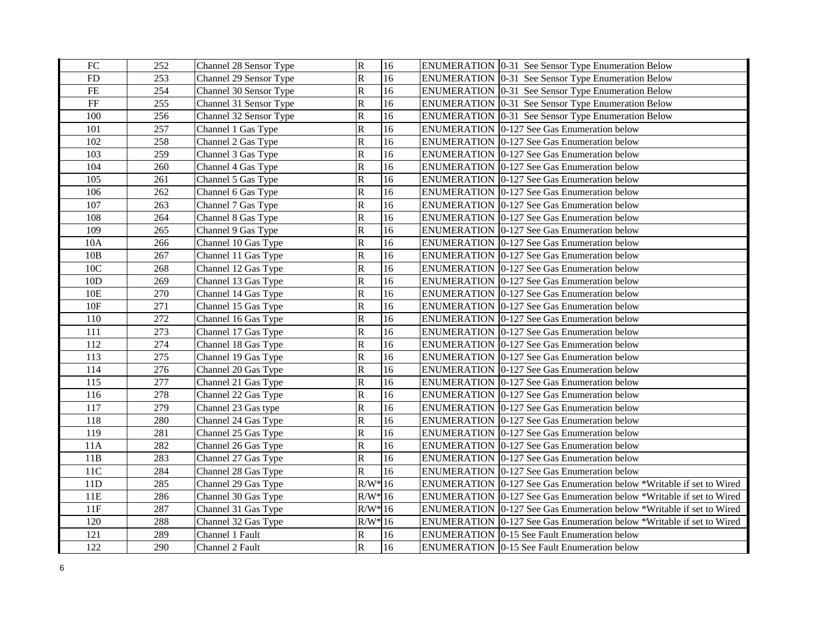| ${\rm FC}$ | 252 | Channel 28 Sensor Type | $\mathbf R$             | 16 | ENUMERATION 0-31 See Sensor Type Enumeration Below                      |
|------------|-----|------------------------|-------------------------|----|-------------------------------------------------------------------------|
| FD         | 253 | Channel 29 Sensor Type | $\mathsf{R}$            | 16 | ENUMERATION 0-31 See Sensor Type Enumeration Below                      |
| $\rm FE$   | 254 | Channel 30 Sensor Type | $\mathbf R$             | 16 | ENUMERATION   0-31 See Sensor Type Enumeration Below                    |
| $\rm FF$   | 255 | Channel 31 Sensor Type | $\mathbb R$             | 16 | <b>ENUMERATION</b> 0-31 See Sensor Type Enumeration Below               |
| 100        | 256 | Channel 32 Sensor Type | ${\bf R}$               | 16 | <b>ENUMERATION</b>   0-31 See Sensor Type Enumeration Below             |
| 101        | 257 | Channel 1 Gas Type     | $\mathbf R$             | 16 | ENUMERATION 0-127 See Gas Enumeration below                             |
| 102        | 258 | Channel 2 Gas Type     | $\mathbb R$             | 16 | ENUMERATION 0-127 See Gas Enumeration below                             |
| 103        | 259 | Channel 3 Gas Type     | $\mathbf R$             | 16 | <b>ENUMERATION</b> 0-127 See Gas Enumeration below                      |
| 104        | 260 | Channel 4 Gas Type     | $\mathbb R$             | 16 | ENUMERATION 0-127 See Gas Enumeration below                             |
| 105        | 261 | Channel 5 Gas Type     | $\mathsf R$             | 16 | ENUMERATION 0-127 See Gas Enumeration below                             |
| 106        | 262 | Channel 6 Gas Type     | $\mathbf R$             | 16 | ENUMERATION   0-127 See Gas Enumeration below                           |
| 107        | 263 | Channel 7 Gas Type     | $\mathsf R$             | 16 | ENUMERATION 0-127 See Gas Enumeration below                             |
| 108        | 264 | Channel 8 Gas Type     | $\overline{\mathsf{R}}$ | 16 | ENUMERATION 0-127 See Gas Enumeration below                             |
| 109        | 265 | Channel 9 Gas Type     | $\mathsf R$             | 16 | ENUMERATION 0-127 See Gas Enumeration below                             |
| 10A        | 266 | Channel 10 Gas Type    | $\mathsf R$             | 16 | ENUMERATION 0-127 See Gas Enumeration below                             |
| 10B        | 267 | Channel 11 Gas Type    | $\mathsf{R}$            | 16 | <b>ENUMERATION</b> 0-127 See Gas Enumeration below                      |
| 10C        | 268 | Channel 12 Gas Type    | $\mathsf{R}% _{T}$      | 16 | <b>ENUMERATION 0-127 See Gas Enumeration below</b>                      |
| 10D        | 269 | Channel 13 Gas Type    | $\mathsf{R}% _{T}$      | 16 | ENUMERATION 0-127 See Gas Enumeration below                             |
| 10E        | 270 | Channel 14 Gas Type    | $\mathsf{R}$            | 16 | ENUMERATION 0-127 See Gas Enumeration below                             |
| 10F        | 271 | Channel 15 Gas Type    | $\mathsf{R}$            | 16 | <b>ENUMERATION</b> 0-127 See Gas Enumeration below                      |
| 110        | 272 | Channel 16 Gas Type    | $\mathsf{R}$            | 16 | <b>ENUMERATION</b> 0-127 See Gas Enumeration below                      |
| 111        | 273 | Channel 17 Gas Type    | $\mathbf R$             | 16 | ENUMERATION 0-127 See Gas Enumeration below                             |
| 112        | 274 | Channel 18 Gas Type    | $\mathsf{R}% _{T}$      | 16 | <b>ENUMERATION 0-127 See Gas Enumeration below</b>                      |
| 113        | 275 | Channel 19 Gas Type    | $\, {\bf R}$            | 16 | <b>ENUMERATION 0-127 See Gas Enumeration below</b>                      |
| 114        | 276 | Channel 20 Gas Type    | $\mathbf R$             | 16 | <b>ENUMERATION 0-127 See Gas Enumeration below</b>                      |
| 115        | 277 | Channel 21 Gas Type    | $\mathbf R$             | 16 | ENUMERATION 0-127 See Gas Enumeration below                             |
| 116        | 278 | Channel 22 Gas Type    | $\overline{\mathsf{R}}$ | 16 | ENUMERATION 0-127 See Gas Enumeration below                             |
| 117        | 279 | Channel 23 Gas type    | $\mathbf R$             | 16 | ENUMERATION 0-127 See Gas Enumeration below                             |
| 118        | 280 | Channel 24 Gas Type    | ${\bf R}$               | 16 | ENUMERATION 0-127 See Gas Enumeration below                             |
| 119        | 281 | Channel 25 Gas Type    | ${\bf R}$               | 16 | ENUMERATION 0-127 See Gas Enumeration below                             |
| 11A        | 282 | Channel 26 Gas Type    | $\mathsf R$             | 16 | ENUMERATION 0-127 See Gas Enumeration below                             |
| 11B        | 283 | Channel 27 Gas Type    | $\mathbf R$             | 16 | ENUMERATION 0-127 See Gas Enumeration below                             |
| 11C        | 284 | Channel 28 Gas Type    | $\mathbf R$             | 16 | ENUMERATION 0-127 See Gas Enumeration below                             |
| 11D        | 285 | Channel 29 Gas Type    | $R/W^*16$               |    | ENUMERATION 0-127 See Gas Enumeration below *Writable if set to Wired   |
| 11E        | 286 | Channel 30 Gas Type    | $R/W^*16$               |    | ENUMERATION 0-127 See Gas Enumeration below *Writable if set to Wired   |
| 11F        | 287 | Channel 31 Gas Type    | $R/W^*$ 16              |    | ENUMERATION 0-127 See Gas Enumeration below *Writable if set to Wired   |
| 120        | 288 | Channel 32 Gas Type    | $R/W^*16$               |    | ENUMERATION   0-127 See Gas Enumeration below *Writable if set to Wired |
| 121        | 289 | Channel 1 Fault        | $\mathbf R$             | 16 | <b>ENUMERATION</b> 0-15 See Fault Enumeration below                     |
| 122        | 290 | Channel 2 Fault        | $\mathbf R$             | 16 | <b>ENUMERATION</b> 0-15 See Fault Enumeration below                     |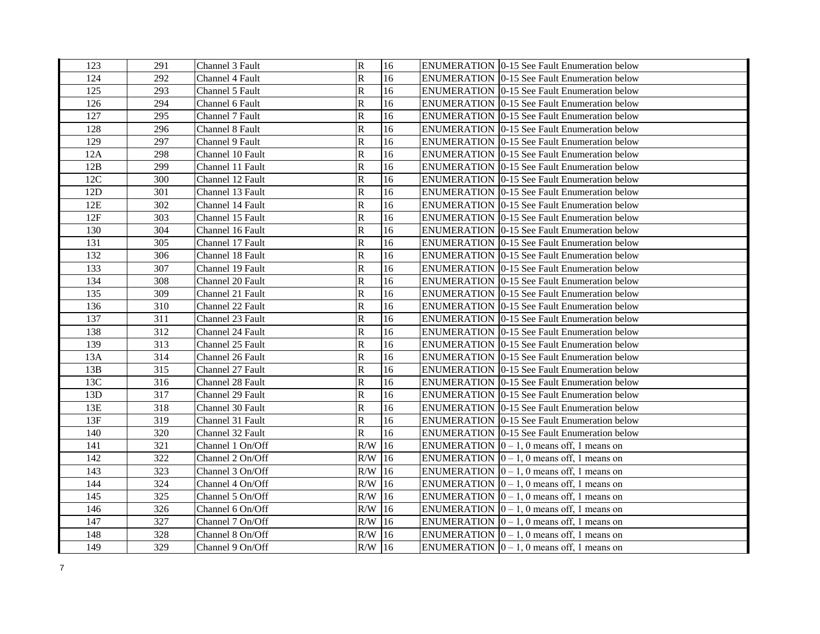| 123 | 291 | Channel 3 Fault  | ${\bf R}$    | 16            | <b>ENUMERATION 0-15 See Fault Enumeration below</b>      |
|-----|-----|------------------|--------------|---------------|----------------------------------------------------------|
| 124 | 292 | Channel 4 Fault  | ${\bf R}$    | 16            | <b>ENUMERATION 10-15 See Fault Enumeration below</b>     |
| 125 | 293 | Channel 5 Fault  | $\mathbf R$  | 16            | <b>ENUMERATION 0-15 See Fault Enumeration below</b>      |
| 126 | 294 | Channel 6 Fault  | $\mathbf R$  | 16            | <b>ENUMERATION 0-15 See Fault Enumeration below</b>      |
| 127 | 295 | Channel 7 Fault  | $\mathbb R$  | 16            | ENUMERATION   0-15 See Fault Enumeration below           |
| 128 | 296 | Channel 8 Fault  | ${\bf R}$    | 16            | <b>ENUMERATION 0-15 See Fault Enumeration below</b>      |
| 129 | 297 | Channel 9 Fault  | ${\bf R}$    | 16            | <b>ENUMERATION 0-15 See Fault Enumeration below</b>      |
| 12A | 298 | Channel 10 Fault | ${\bf R}$    | 16            | ENUMERATION   0-15 See Fault Enumeration below           |
| 12B | 299 | Channel 11 Fault | $\mathbb R$  | 16            | ENUMERATION   0-15 See Fault Enumeration below           |
| 12C | 300 | Channel 12 Fault | $\mathbb R$  | 16            | <b>ENUMERATION 0-15 See Fault Enumeration below</b>      |
| 12D | 301 | Channel 13 Fault | $\mathbb{R}$ | 16            | <b>ENUMERATION 0-15 See Fault Enumeration below</b>      |
| 12E | 302 | Channel 14 Fault | R            | 16            | <b>ENUMERATION 10-15 See Fault Enumeration below</b>     |
| 12F | 303 | Channel 15 Fault | ${\bf R}$    | 16            | ENUMERATION   0-15 See Fault Enumeration below           |
| 130 | 304 | Channel 16 Fault | ${\bf R}$    | 16            | <b>ENUMERATION 10-15 See Fault Enumeration below</b>     |
| 131 | 305 | Channel 17 Fault | $\mathbb R$  | 16            | <b>ENUMERATION 0-15 See Fault Enumeration below</b>      |
| 132 | 306 | Channel 18 Fault | ${\bf R}$    | 16            | <b>ENUMERATION 0-15 See Fault Enumeration below</b>      |
| 133 | 307 | Channel 19 Fault | R            | 16            | <b>ENUMERATION 0-15 See Fault Enumeration below</b>      |
| 134 | 308 | Channel 20 Fault | R            | 16            | <b>ENUMERATION 0-15 See Fault Enumeration below</b>      |
| 135 | 309 | Channel 21 Fault | ${\bf R}$    | 16            | <b>ENUMERATION 0-15 See Fault Enumeration below</b>      |
| 136 | 310 | Channel 22 Fault | $\mathbb R$  | 16            | <b>ENUMERATION 0-15 See Fault Enumeration below</b>      |
| 137 | 311 | Channel 23 Fault | $\mathbb R$  | 16            | ENUMERATION   0-15 See Fault Enumeration below           |
| 138 | 312 | Channel 24 Fault | R            | 16            | <b>ENUMERATION 0-15 See Fault Enumeration below</b>      |
| 139 | 313 | Channel 25 Fault | R            | 16            | <b>ENUMERATION 10-15 See Fault Enumeration below</b>     |
| 13A | 314 | Channel 26 Fault | R            | 16            | <b>ENUMERATION 0-15 See Fault Enumeration below</b>      |
| 13B | 315 | Channel 27 Fault | $\mathbf R$  | 16            | ENUMERATION   0-15 See Fault Enumeration below           |
| 13C | 316 | Channel 28 Fault | $\mathbf R$  | 16            | <b>ENUMERATION 10-15 See Fault Enumeration below</b>     |
| 13D | 317 | Channel 29 Fault | ${\bf R}$    | 16            | ENUMERATION   0-15 See Fault Enumeration below           |
| 13E | 318 | Channel 30 Fault | $\mathsf R$  | 16            | ENUMERATION   0-15 See Fault Enumeration below           |
| 13F | 319 | Channel 31 Fault | R            | 16            | ENUMERATION   0-15 See Fault Enumeration below           |
| 140 | 320 | Channel 32 Fault | $\mathbb{R}$ | 16            | ENUMERATION   0-15 See Fault Enumeration below           |
| 141 | 321 | Channel 1 On/Off | R/W          | 16            | ENUMERATION $ 0 - 1$ , 0 means off, 1 means on           |
| 142 | 322 | Channel 2 On/Off | R/W          | 16            | ENUMERATION $ 0 - 1$ , 0 means off, 1 means on           |
| 143 | 323 | Channel 3 On/Off | $R/W$ 16     |               | ENUMERATION $ 0 - 1$ , 0 means off, 1 means on           |
| 144 | 324 | Channel 4 On/Off | R/W          | 16            | ENUMERATION $ 0 - 1$ , 0 means off, 1 means on           |
| 145 | 325 | Channel 5 On/Off | R/W          | <sup>16</sup> | ENUMERATION $\vert 0-1, 0 \rangle$ means off, 1 means on |
| 146 | 326 | Channel 6 On/Off | $R/W$ 16     |               | ENUMERATION $ 0-1, 0 $ means off, 1 means on             |
| 147 | 327 | Channel 7 On/Off | $R/W$ 16     |               | ENUMERATION $ 0 - 1$ , 0 means off, 1 means on           |
| 148 | 328 | Channel 8 On/Off | R/W          | <sup>16</sup> | ENUMERATION $ 0 - 1$ , 0 means off, 1 means on           |
| 149 | 329 | Channel 9 On/Off | $R/W$ 16     |               | ENUMERATION $\vert 0-1, 0 \rangle$ means off, 1 means on |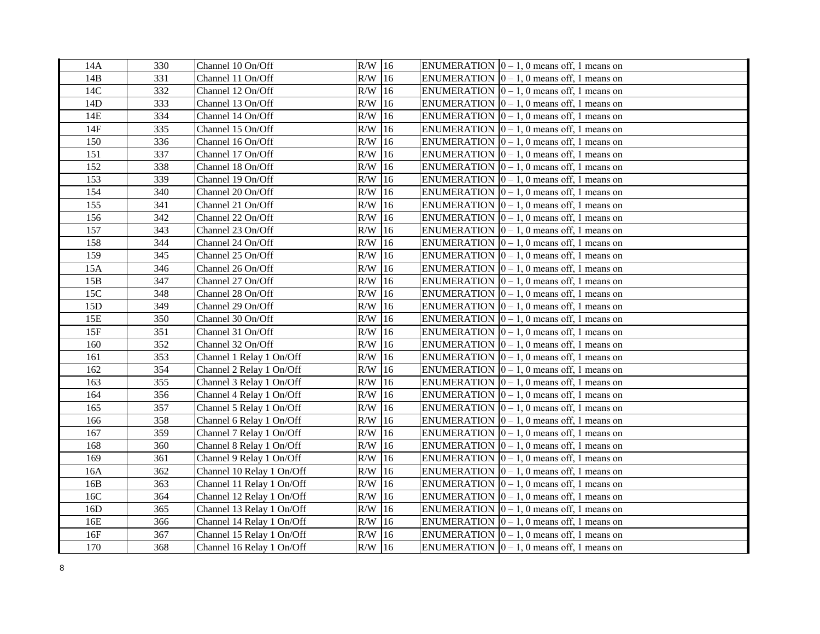| 14A | 330 | Channel 10 On/Off         | $R/W$ 16 |               | ENUMERATION $ 0 - 1$ , 0 means off, 1 means on |
|-----|-----|---------------------------|----------|---------------|------------------------------------------------|
| 14B | 331 | Channel 11 On/Off         | $R/W$ 16 |               | ENUMERATION $ 0 - 1$ , 0 means off, 1 means on |
| 14C | 332 | Channel 12 On/Off         | $R/W$ 16 |               | ENUMERATION $ 0 - 1$ , 0 means off, 1 means on |
| 14D | 333 | Channel 13 On/Off         | $R/W$ 16 |               | ENUMERATION $ 0 - 1$ , 0 means off, 1 means on |
| 14E | 334 | Channel 14 On/Off         | $R/W$ 16 |               | ENUMERATION $[0 - 1, 0$ means off, 1 means on  |
| 14F | 335 | Channel 15 On/Off         | $R/W$ 16 |               | ENUMERATION $[0 - 1, 0$ means off, 1 means on  |
| 150 | 336 | Channel 16 On/Off         | R/W      | 16            | ENUMERATION $ 0-1, 0 $ means off, 1 means on   |
| 151 | 337 | Channel 17 On/Off         | R/W      | 16            | ENUMERATION $[0 - 1, 0$ means off, 1 means on  |
| 152 | 338 | Channel 18 On/Off         | R/W      | 16            | ENUMERATION $ 0 - 1$ , 0 means off, 1 means on |
| 153 | 339 | Channel 19 On/Off         | R/W      | 16            | ENUMERATION $[0 - 1, 0$ means off, 1 means on  |
| 154 | 340 | Channel 20 On/Off         | R/W      | 16            | ENUMERATION $ 0-1, 0 $ means off, 1 means on   |
| 155 | 341 | Channel 21 On/Off         | R/W      | 16            | ENUMERATION $ 0-1, 0 $ means off, 1 means on   |
| 156 | 342 | Channel 22 On/Off         | R/W      | 16            | ENUMERATION $ 0-1, 0 $ means off, 1 means on   |
| 157 | 343 | Channel 23 On/Off         | R/W      | 16            | ENUMERATION $[0 - 1, 0$ means off, 1 means on  |
| 158 | 344 | Channel 24 On/Off         | $R/W$ 16 |               | ENUMERATION $ 0-1, 0 $ means off, 1 means on   |
| 159 | 345 | Channel 25 On/Off         | $R/W$ 16 |               | ENUMERATION $ 0 - 1$ , 0 means off, 1 means on |
| 15A | 346 | Channel 26 On/Off         | $R/W$ 16 |               | ENUMERATION $[0 - 1, 0$ means off, 1 means on  |
| 15B | 347 | Channel 27 On/Off         | $R/W$ 16 |               | ENUMERATION $ 0-1, 0 $ means off, 1 means on   |
| 15C | 348 | Channel 28 On/Off         | R/W      | 16            | ENUMERATION $[0 - 1, 0$ means off, 1 means on  |
| 15D | 349 | Channel 29 On/Off         | R/W      | 16            | ENUMERATION $[0 - 1, 0$ means off, 1 means on  |
| 15E | 350 | Channel 30 On/Off         | R/W      | 16            | ENUMERATION $[0 - 1, 0$ means off, 1 means on  |
| 15F | 351 | Channel 31 On/Off         | R/W      | 16            | ENUMERATION $ 0 - 1$ , 0 means off, 1 means on |
| 160 | 352 | Channel 32 On/Off         | R/W      | 16            | ENUMERATION $ 0-1, 0 $ means off, 1 means on   |
| 161 | 353 | Channel 1 Relay 1 On/Off  | R/W      | 16            | ENUMERATION $ 0-1, 0 $ means off, 1 means on   |
| 162 | 354 | Channel 2 Relay 1 On/Off  | R/W      | 16            | ENUMERATION $ 0 - 1$ , 0 means off, 1 means on |
| 163 | 355 | Channel 3 Relay 1 On/Off  | $R/W$ 16 |               | ENUMERATION $ 0 - 1$ , 0 means off, 1 means on |
| 164 | 356 | Channel 4 Relay 1 On/Off  | $R/W$ 16 |               | ENUMERATION $ 0 - 1$ , 0 means off, 1 means on |
| 165 | 357 | Channel 5 Relay 1 On/Off  | $R/W$ 16 |               | ENUMERATION $ 0 - 1$ , 0 means off, 1 means on |
| 166 | 358 | Channel 6 Relay 1 On/Off  | $R/W$ 16 |               | ENUMERATION $ 0 - 1$ , 0 means off, 1 means on |
| 167 | 359 | Channel 7 Relay 1 On/Off  | R/W      | 16            | ENUMERATION $[0 - 1, 0$ means off, 1 means on  |
| 168 | 360 | Channel 8 Relay 1 On/Off  | R/W      | 16            | ENUMERATION $ 0 - 1$ , 0 means off, 1 means on |
| 169 | 361 | Channel 9 Relay 1 On/Off  | R/W      | 16            | ENUMERATION $ 0 - 1$ , 0 means off, 1 means on |
| 16A | 362 | Channel 10 Relay 1 On/Off | R/W      | 16            | ENUMERATION $ 0-1, 0 $ means off, 1 means on   |
| 16B | 363 | Channel 11 Relay 1 On/Off | R/W      | 16            | ENUMERATION $ 0 - 1$ , 0 means off, 1 means on |
| 16C | 364 | Channel 12 Relay 1 On/Off | R/W      | <sup>16</sup> | ENUMERATION $ 0 - 1$ , 0 means off, 1 means on |
| 16D | 365 | Channel 13 Relay 1 On/Off | R/W      | 16            | ENUMERATION $ 0-1, 0 $ means off, 1 means on   |
| 16E | 366 | Channel 14 Relay 1 On/Off | R/W      | $ 16\rangle$  | ENUMERATION $ 0-1, 0 $ means off, 1 means on   |
| 16F | 367 | Channel 15 Relay 1 On/Off | R/W      | 16            | ENUMERATION $ 0 - 1$ , 0 means off, 1 means on |
| 170 | 368 | Channel 16 Relay 1 On/Off | $R/W$ 16 |               | ENUMERATION $ 0 - 1$ , 0 means off, 1 means on |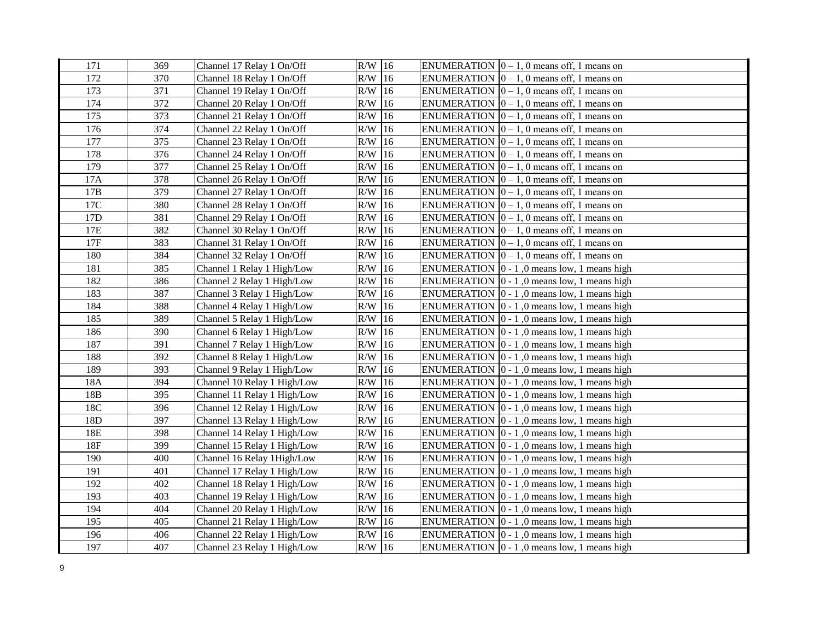| 171 | 369 | Channel 17 Relay 1 On/Off   | $R/W$ 16  | ENUMERATION $ 0 - 1$ , 0 means off, 1 means on              |
|-----|-----|-----------------------------|-----------|-------------------------------------------------------------|
| 172 | 370 | Channel 18 Relay 1 On/Off   | $R/W$ 16  | ENUMERATION $[0 - 1, 0$ means off, 1 means on               |
| 173 | 371 | Channel 19 Relay 1 On/Off   | $R/W$ 16  | ENUMERATION $ 0 - 1$ , 0 means off, 1 means on              |
| 174 | 372 | Channel 20 Relay 1 On/Off   | $R/W$ 16  | ENUMERATION $ 0-1, 0 $ means off, 1 means on                |
| 175 | 373 | Channel 21 Relay 1 On/Off   | $R/W$ 16  | ENUMERATION $[0 - 1, 0$ means off, 1 means on               |
| 176 | 374 | Channel 22 Relay 1 On/Off   | R/W<br>16 | ENUMERATION $ 0 - 1$ , 0 means off, 1 means on              |
| 177 | 375 | Channel 23 Relay 1 On/Off   | R/W<br>16 | ENUMERATION $ 0 - 1$ , 0 means off, 1 means on              |
| 178 | 376 | Channel 24 Relay 1 On/Off   | R/W<br>16 | ENUMERATION $[0 - 1, 0$ means off, 1 means on               |
| 179 | 377 | Channel 25 Relay 1 On/Off   | R/W<br>16 | ENUMERATION $ 0 - 1$ , 0 means off, 1 means on              |
| 17A | 378 | Channel 26 Relay 1 On/Off   | R/W<br>16 | ENUMERATION $[0 - 1, 0$ means off, 1 means on               |
| 17B | 379 | Channel 27 Relay 1 On/Off   | R/W<br>16 | ENUMERATION $[0 - 1, 0$ means off, 1 means on               |
| 17C | 380 | Channel 28 Relay 1 On/Off   | R/W<br>16 | ENUMERATION $ 0-1, 0 $ means off, 1 means on                |
| 17D | 381 | Channel 29 Relay 1 On/Off   | 16<br>R/W | ENUMERATION $[0 - 1, 0$ means off, 1 means on               |
| 17E | 382 | Channel 30 Relay 1 On/Off   | R/W<br>16 | ENUMERATION $[0 - 1, 0$ means off, 1 means on               |
| 17F | 383 | Channel 31 Relay 1 On/Off   | 16<br>R/W | ENUMERATION $\vert 0-1, 0 \rangle$ means off, 1 means on    |
| 180 | 384 | Channel 32 Relay 1 On/Off   | $R/W$ 16  | ENUMERATION $[0 - 1, 0$ means off, 1 means on               |
| 181 | 385 | Channel 1 Relay 1 High/Low  | $R/W$ 16  | ENUMERATION $ 0 - 1 $ , 0 means low, 1 means high           |
| 182 | 386 | Channel 2 Relay 1 High/Low  | 16<br>R/W | ENUMERATION $ 0 - 1 $ , 0 means low, 1 means high           |
| 183 | 387 | Channel 3 Relay 1 High/Low  | 16<br>R/W | ENUMERATION $ 0 - 1 $ , 0 means low, 1 means high           |
| 184 | 388 | Channel 4 Relay 1 High/Low  | R/W<br>16 | ENUMERATION $ 0 - 1 $ , 0 means low, 1 means high           |
| 185 | 389 | Channel 5 Relay 1 High/Low  | 16<br>R/W | ENUMERATION $\vert 0 - 1 \vert$ , 0 means low, 1 means high |
| 186 | 390 | Channel 6 Relay 1 High/Low  | R/W<br>16 | ENUMERATION $ 0 - 1 $ , 0 means low, 1 means high           |
| 187 | 391 | Channel 7 Relay 1 High/Low  | R/W<br>16 | ENUMERATION $\vert 0 - 1 \vert$ , 0 means low, 1 means high |
| 188 | 392 | Channel 8 Relay 1 High/Low  | R/W<br>16 | ENUMERATION $\vert 0 - 1 \vert$ , 0 means low, 1 means high |
| 189 | 393 | Channel 9 Relay 1 High/Low  | 16<br>R/W | ENUMERATION $\vert 0 - 1 \vert$ , 0 means low, 1 means high |
| 18A | 394 | Channel 10 Relay 1 High/Low | 16<br>R/W | ENUMERATION $\vert 0 - 1 \vert$ , 0 means low, 1 means high |
| 18B | 395 | Channel 11 Relay 1 High/Low | $R/W$ 16  | ENUMERATION $\vert 0 - 1 \vert$ , 0 means low, 1 means high |
| 18C | 396 | Channel 12 Relay 1 High/Low | $R/W$ 16  | ENUMERATION $\vert 0 - 1 \vert$ , 0 means low, 1 means high |
| 18D | 397 | Channel 13 Relay 1 High/Low | 16<br>R/W | ENUMERATION $\vert 0 - 1 \vert$ , 0 means low, 1 means high |
| 18E | 398 | Channel 14 Relay 1 High/Low | $R/W$ 16  | ENUMERATION $\vert 0 - 1 \vert$ , 0 means low, 1 means high |
| 18F | 399 | Channel 15 Relay 1 High/Low | 16<br>R/W | ENUMERATION $ 0 - 1 $ , 0 means low, 1 means high           |
| 190 | 400 | Channel 16 Relay 1High/Low  | R/W<br>16 | ENUMERATION $\vert 0 - 1 \vert$ , 0 means low, 1 means high |
| 191 | 401 | Channel 17 Relay 1 High/Low | R/W<br>16 | ENUMERATION $\vert 0 - 1 \vert$ , 0 means low, 1 means high |
| 192 | 402 | Channel 18 Relay 1 High/Low | R/W<br>16 | ENUMERATION $\vert 0 - 1 \vert$ , 0 means low, 1 means high |
| 193 | 403 | Channel 19 Relay 1 High/Low | R/W<br>16 | ENUMERATION $\vert 0 - 1 \vert$ , 0 means low, 1 means high |
| 194 | 404 | Channel 20 Relay 1 High/Low | R/W<br>16 | ENUMERATION $[0 - 1, 0$ means low, 1 means high             |
| 195 | 405 | Channel 21 Relay 1 High/Low | R/W<br>16 | ENUMERATION $\vert 0 - 1 \vert$ , 0 means low, 1 means high |
| 196 | 406 | Channel 22 Relay 1 High/Low | 16<br>R/W | ENUMERATION $ 0 - 1 $ , 0 means low, 1 means high           |
| 197 | 407 | Channel 23 Relay 1 High/Low | $R/W$ 16  | ENUMERATION $ 0 - 1 $ , 0 means low, 1 means high           |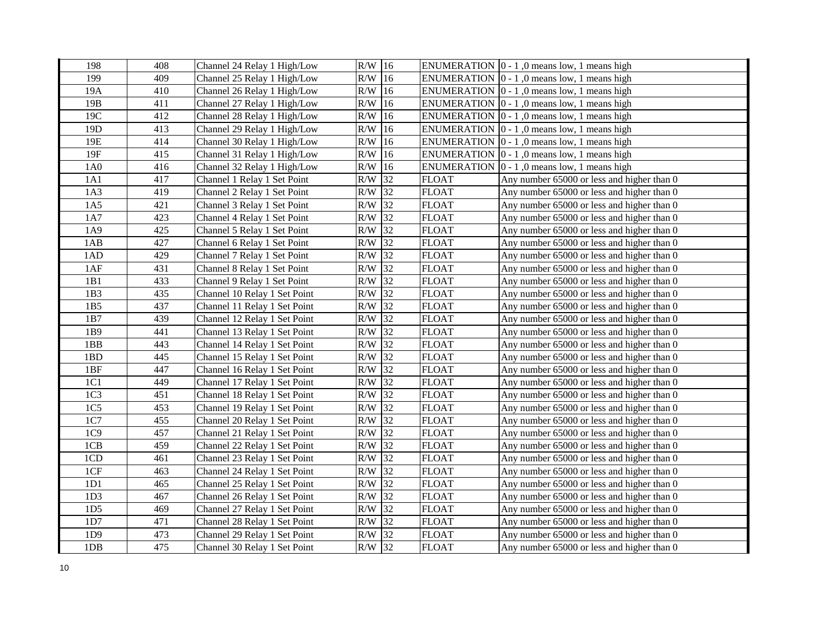| 198             | 408 | Channel 24 Relay 1 High/Low  | $R/W$ 16 |        |              | ENUMERATION $\vert 0 - 1 \vert$ , 0 means low, 1 means high |
|-----------------|-----|------------------------------|----------|--------|--------------|-------------------------------------------------------------|
| 199             | 409 | Channel 25 Relay 1 High/Low  | $R/W$ 16 |        |              | ENUMERATION $\vert 0 - 1 \vert$ , 0 means low, 1 means high |
| 19A             | 410 | Channel 26 Relay 1 High/Low  | $R/W$ 16 |        |              | ENUMERATION $\vert 0 - 1 \vert$ , 0 means low, 1 means high |
| 19B             | 411 | Channel 27 Relay 1 High/Low  | $R/W$ 16 |        |              | ENUMERATION $\vert 0 - 1 \vert$ , 0 means low, 1 means high |
| 19C             | 412 | Channel 28 Relay 1 High/Low  | R/W      | 16     |              | ENUMERATION $\vert 0 - 1 \vert$ , 0 means low, 1 means high |
| 19 <sub>D</sub> | 413 | Channel 29 Relay 1 High/Low  | R/W      | 16     |              | ENUMERATION $[0 - 1, 0$ means low, 1 means high             |
| 19E             | 414 | Channel 30 Relay 1 High/Low  | R/W      | 16     |              | ENUMERATION $ 0 - 1 $ , 0 means low, 1 means high           |
| 19F             | 415 | Channel 31 Relay 1 High/Low  | R/W      | 16     |              | ENUMERATION $\vert 0 - 1 \vert$ , 0 means low, 1 means high |
| 1A0             | 416 | Channel 32 Relay 1 High/Low  | R/W      | 16     |              | ENUMERATION $[0 - 1, 0$ means low, 1 means high             |
| 1A1             | 417 | Channel 1 Relay 1 Set Point  | R/W      | 32     | <b>FLOAT</b> | Any number 65000 or less and higher than 0                  |
| 1A3             | 419 | Channel 2 Relay 1 Set Point  | R/W      | 32     | <b>FLOAT</b> | Any number 65000 or less and higher than 0                  |
| 1A5             | 421 | Channel 3 Relay 1 Set Point  | R/W      | 32     | <b>FLOAT</b> | Any number 65000 or less and higher than 0                  |
| 1A7             | 423 | Channel 4 Relay 1 Set Point  | R/W      | 32     | <b>FLOAT</b> | Any number 65000 or less and higher than 0                  |
| 1A9             | 425 | Channel 5 Relay 1 Set Point  | R/W      | 32     | <b>FLOAT</b> | Any number 65000 or less and higher than 0                  |
| 1AB             | 427 | Channel 6 Relay 1 Set Point  | R/W      | 32     | <b>FLOAT</b> | Any number 65000 or less and higher than 0                  |
| 1AD             | 429 | Channel 7 Relay 1 Set Point  | R/W      | 32     | <b>FLOAT</b> | Any number 65000 or less and higher than 0                  |
| 1AF             | 431 | Channel 8 Relay 1 Set Point  | R/W      | 32     | <b>FLOAT</b> | Any number 65000 or less and higher than 0                  |
| 1B1             | 433 | Channel 9 Relay 1 Set Point  | R/W      | 32     | <b>FLOAT</b> | Any number 65000 or less and higher than 0                  |
| 1B3             | 435 | Channel 10 Relay 1 Set Point | R/W      | 32     | <b>FLOAT</b> | Any number 65000 or less and higher than 0                  |
| 1B5             | 437 | Channel 11 Relay 1 Set Point | R/W      | 32     | <b>FLOAT</b> | Any number 65000 or less and higher than 0                  |
| 1B7             | 439 | Channel 12 Relay 1 Set Point | R/W      | 32     | <b>FLOAT</b> | Any number 65000 or less and higher than 0                  |
| 1B9             | 441 | Channel 13 Relay 1 Set Point | R/W      | 32     | <b>FLOAT</b> | Any number 65000 or less and higher than 0                  |
| 1BB             | 443 | Channel 14 Relay 1 Set Point | R/W      | 32     | <b>FLOAT</b> | Any number 65000 or less and higher than 0                  |
| 1BD             | 445 | Channel 15 Relay 1 Set Point | R/W      | 32     | <b>FLOAT</b> | Any number 65000 or less and higher than 0                  |
| 1BF             | 447 | Channel 16 Relay 1 Set Point | R/W      | 32     | <b>FLOAT</b> | Any number 65000 or less and higher than 0                  |
| 1C1             | 449 | Channel 17 Relay 1 Set Point | R/W 32   |        | <b>FLOAT</b> | Any number 65000 or less and higher than 0                  |
| 1C <sub>3</sub> | 451 | Channel 18 Relay 1 Set Point | $R/W$ 32 |        | <b>FLOAT</b> | Any number 65000 or less and higher than 0                  |
| 1C <sub>5</sub> | 453 | Channel 19 Relay 1 Set Point | R/W      | 32     | <b>FLOAT</b> | Any number 65000 or less and higher than 0                  |
| 1C7             | 455 | Channel 20 Relay 1 Set Point | R/W      | 32     | <b>FLOAT</b> | Any number 65000 or less and higher than 0                  |
| 1C9             | 457 | Channel 21 Relay 1 Set Point | R/W      | 32     | <b>FLOAT</b> | Any number 65000 or less and higher than 0                  |
| 1CB             | 459 | Channel 22 Relay 1 Set Point | R/W      | 32     | <b>FLOAT</b> | Any number 65000 or less and higher than 0                  |
| 1CD             | 461 | Channel 23 Relay 1 Set Point | R/W      | 32     | <b>FLOAT</b> | Any number 65000 or less and higher than 0                  |
| 1CF             | 463 | Channel 24 Relay 1 Set Point | R/W      | 32     | <b>FLOAT</b> | Any number 65000 or less and higher than 0                  |
| 1D1             | 465 | Channel 25 Relay 1 Set Point | R/W      | 32     | <b>FLOAT</b> | Any number 65000 or less and higher than 0                  |
| 1D <sub>3</sub> | 467 | Channel 26 Relay 1 Set Point | R/W      | 32     | <b>FLOAT</b> | Any number 65000 or less and higher than 0                  |
| 1D <sub>5</sub> | 469 | Channel 27 Relay 1 Set Point | R/W      | $32\,$ | <b>FLOAT</b> | Any number 65000 or less and higher than 0                  |
| 1D7             | 471 | Channel 28 Relay 1 Set Point | R/W      | 32     | <b>FLOAT</b> | Any number 65000 or less and higher than 0                  |
| 1D9             | 473 | Channel 29 Relay 1 Set Point | R/W      | 32     | <b>FLOAT</b> | Any number 65000 or less and higher than 0                  |
| 1DB             | 475 | Channel 30 Relay 1 Set Point | $R/W$ 32 |        | <b>FLOAT</b> | Any number 65000 or less and higher than 0                  |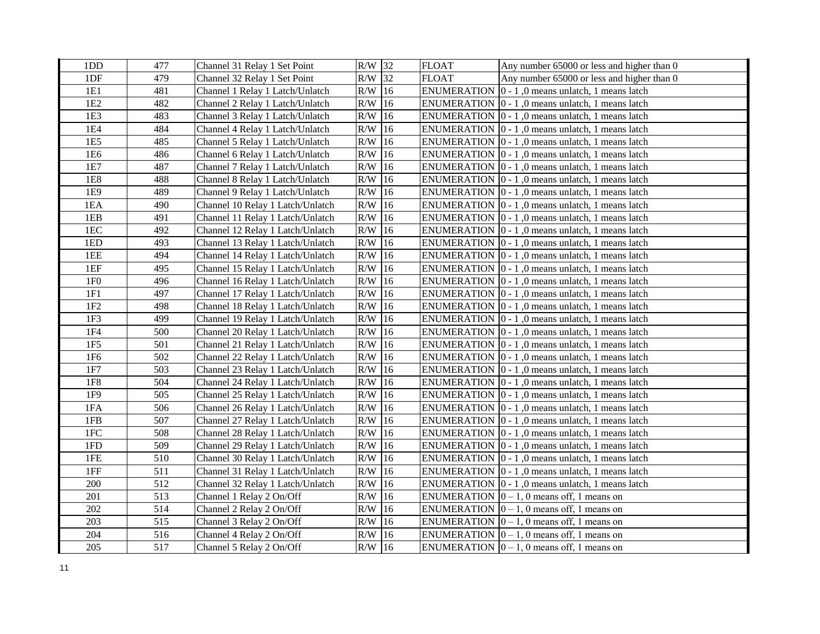| 1DD             | 477 | Channel 31 Relay 1 Set Point     | $R/W$ 32 |    | <b>FLOAT</b> | Any number 65000 or less and higher than 0                       |
|-----------------|-----|----------------------------------|----------|----|--------------|------------------------------------------------------------------|
| 1DF             | 479 | Channel 32 Relay 1 Set Point     | $R/W$ 32 |    | <b>FLOAT</b> | Any number 65000 or less and higher than 0                       |
| 1E1             | 481 | Channel 1 Relay 1 Latch/Unlatch  | $R/W$ 16 |    |              | ENUMERATION $ 0 - 1$ , 0 means unlatch, 1 means latch            |
| 1E <sub>2</sub> | 482 | Channel 2 Relay 1 Latch/Unlatch  | $R/W$ 16 |    |              | ENUMERATION $\vert 0 - 1 \vert$ , 0 means unlatch, 1 means latch |
| 1E3             | 483 | Channel 3 Relay 1 Latch/Unlatch  | $R/W$ 16 |    |              | ENUMERATION $\vert 0 - 1 \vert$ , 0 means unlatch, 1 means latch |
| 1E4             | 484 | Channel 4 Relay 1 Latch/Unlatch  | R/W      | 16 |              | ENUMERATION $\vert 0 - 1 \vert$ , 0 means unlatch, 1 means latch |
| 1E5             | 485 | Channel 5 Relay 1 Latch/Unlatch  | $R/W$ 16 |    |              | ENUMERATION $\vert 0 - 1 \vert$ , 0 means unlatch, 1 means latch |
| 1E6             | 486 | Channel 6 Relay 1 Latch/Unlatch  | $R/W$ 16 |    |              | ENUMERATION $\vert 0 - 1 \vert$ , 0 means unlatch, 1 means latch |
| 1E7             | 487 | Channel 7 Relay 1 Latch/Unlatch  | $R/W$ 16 |    |              | ENUMERATION $\vert 0 - 1 \vert$ , 0 means unlatch, 1 means latch |
| 1E8             | 488 | Channel 8 Relay 1 Latch/Unlatch  | $R/W$ 16 |    |              | ENUMERATION $\vert 0 - 1 \vert$ , 0 means unlatch, 1 means latch |
| 1E9             | 489 | Channel 9 Relay 1 Latch/Unlatch  | $R/W$ 16 |    |              | ENUMERATION $\vert 0 - 1 \vert$ , 0 means unlatch, 1 means latch |
| 1EA             | 490 | Channel 10 Relay 1 Latch/Unlatch | $R/W$ 16 |    |              | ENUMERATION  0 - 1,0 means unlatch, 1 means latch                |
| 1EB             | 491 | Channel 11 Relay 1 Latch/Unlatch | $R/W$ 16 |    |              | ENUMERATION $\vert 0 - 1 \vert$ , 0 means unlatch, 1 means latch |
| 1EC             | 492 | Channel 12 Relay 1 Latch/Unlatch | $R/W$ 16 |    |              | ENUMERATION $\vert 0 - 1 \vert$ , 0 means unlatch, 1 means latch |
| 1ED             | 493 | Channel 13 Relay 1 Latch/Unlatch | $R/W$ 16 |    |              | ENUMERATION $\vert 0 - 1 \vert$ , 0 means unlatch, 1 means latch |
| 1EE             | 494 | Channel 14 Relay 1 Latch/Unlatch | $R/W$ 16 |    |              | ENUMERATION $\vert 0 - 1 \vert$ , 0 means unlatch, 1 means latch |
| 1EF             | 495 | Channel 15 Relay 1 Latch/Unlatch | $R/W$ 16 |    |              | ENUMERATION $\vert 0 - 1 \vert$ , 0 means unlatch, 1 means latch |
| 1F <sub>0</sub> | 496 | Channel 16 Relay 1 Latch/Unlatch | $R/W$ 16 |    |              | ENUMERATION $\vert 0 - 1 \vert$ , 0 means unlatch, 1 means latch |
| 1F1             | 497 | Channel 17 Relay 1 Latch/Unlatch | $R/W$ 16 |    |              | ENUMERATION $ 0 - 1$ , 0 means unlatch, 1 means latch            |
| 1F2             | 498 | Channel 18 Relay 1 Latch/Unlatch | R/W      | 16 |              | ENUMERATION $\vert 0 - 1 \vert$ , 0 means unlatch, 1 means latch |
| 1F3             | 499 | Channel 19 Relay 1 Latch/Unlatch | $R/W$ 16 |    |              | ENUMERATION $\vert 0 - 1 \vert$ , 0 means unlatch, 1 means latch |
| 1F4             | 500 | Channel 20 Relay 1 Latch/Unlatch | $R/W$ 16 |    |              | ENUMERATION $\vert 0 - 1 \vert$ , 0 means unlatch, 1 means latch |
| 1F5             | 501 | Channel 21 Relay 1 Latch/Unlatch | $R/W$ 16 |    |              | ENUMERATION $\vert 0 - 1 \vert$ , 0 means unlatch, 1 means latch |
| 1F6             | 502 | Channel 22 Relay 1 Latch/Unlatch | $R/W$ 16 |    |              | ENUMERATION $\vert 0 - 1 \vert$ , 0 means unlatch, 1 means latch |
| 1F7             | 503 | Channel 23 Relay 1 Latch/Unlatch | $R/W$ 16 |    |              | ENUMERATION $\vert 0 - 1 \vert$ , 0 means unlatch, 1 means latch |
| 1F8             | 504 | Channel 24 Relay 1 Latch/Unlatch | $R/W$ 16 |    |              | ENUMERATION $\vert 0 - 1 \vert$ , 0 means unlatch, 1 means latch |
| 1F9             | 505 | Channel 25 Relay 1 Latch/Unlatch | $R/W$ 16 |    |              | ENUMERATION $\vert 0 - 1 \vert$ , 0 means unlatch, 1 means latch |
| 1FA             | 506 | Channel 26 Relay 1 Latch/Unlatch | $R/W$ 16 |    |              | ENUMERATION $\vert 0 - 1 \vert$ , 0 means unlatch, 1 means latch |
| 1FB             | 507 | Channel 27 Relay 1 Latch/Unlatch | $R/W$ 16 |    |              | ENUMERATION $\vert 0 - 1 \vert$ , 0 means unlatch, 1 means latch |
| 1FC             | 508 | Channel 28 Relay 1 Latch/Unlatch | $R/W$ 16 |    |              | ENUMERATION $\vert 0 - 1 \vert$ , 0 means unlatch, 1 means latch |
| 1FD             | 509 | Channel 29 Relay 1 Latch/Unlatch | $R/W$ 16 |    |              | ENUMERATION $\vert 0 - 1 \vert$ , 0 means unlatch, 1 means latch |
| 1FE             | 510 | Channel 30 Relay 1 Latch/Unlatch | R/W      | 16 |              | ENUMERATION $\vert 0 - 1 \vert$ , 0 means unlatch, 1 means latch |
| 1FF             | 511 | Channel 31 Relay 1 Latch/Unlatch | R/W      | 16 |              | ENUMERATION $\vert 0 - 1 \vert$ , 0 means unlatch, 1 means latch |
| 200             | 512 | Channel 32 Relay 1 Latch/Unlatch | $R/W$ 16 |    |              | ENUMERATION $\vert 0 - 1 \vert$ , 0 means unlatch, 1 means latch |
| 201             | 513 | Channel 1 Relay 2 On/Off         | R/W      | 16 |              | ENUMERATION $[0 - 1, 0$ means off, 1 means on                    |
| 202             | 514 | Channel 2 Relay 2 On/Off         | $R/W$ 16 |    |              | ENUMERATION $ 0 - 1$ , 0 means off, 1 means on                   |
| 203             | 515 | Channel 3 Relay 2 On/Off         | $R/W$ 16 |    |              | ENUMERATION $ 0 - 1$ , 0 means off, 1 means on                   |
| 204             | 516 | Channel 4 Relay 2 On/Off         | $R/W$ 16 |    |              | ENUMERATION $ 0-1, 0 $ means off, 1 means on                     |
| 205             | 517 | Channel 5 Relay 2 On/Off         | $R/W$ 16 |    |              | ENUMERATION $ 0 - 1$ , 0 means off, 1 means on                   |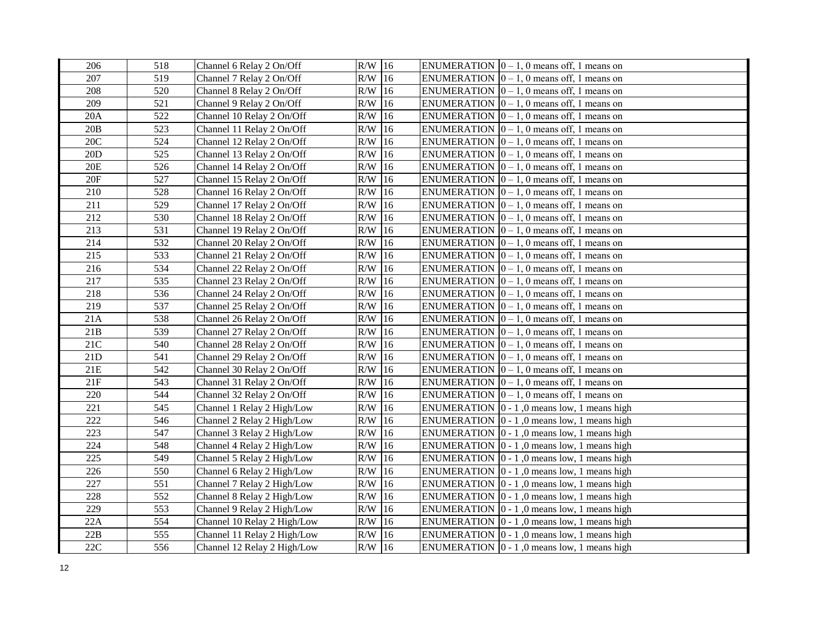| 206   | 518 | Channel 6 Relay 2 On/Off    | $R/W$ 16        | ENUMERATION $ 0 - 1$ , 0 means off, 1 means on              |
|-------|-----|-----------------------------|-----------------|-------------------------------------------------------------|
| 207   | 519 | Channel 7 Relay 2 On/Off    | $R/W$ 16        | ENUMERATION $[0 - 1, 0$ means off, 1 means on               |
| 208   | 520 | Channel 8 Relay 2 On/Off    | $R/W$ 16        | ENUMERATION $[0 - 1, 0$ means off, 1 means on               |
| 209   | 521 | Channel 9 Relay 2 On/Off    | $R/W$ 16        | ENUMERATION $ 0 - 1$ , 0 means off, 1 means on              |
| 20A   | 522 | Channel 10 Relay 2 On/Off   | $R/W$ 16        | ENUMERATION $ 0 - 1$ , 0 means off, 1 means on              |
| 20B   | 523 | Channel 11 Relay 2 On/Off   | $R/W$ 16        | ENUMERATION $[0 - 1, 0$ means off, 1 means on               |
| 20C   | 524 | Channel 12 Relay 2 On/Off   | R/W<br>16       | ENUMERATION $[0 - 1, 0$ means off, 1 means on               |
| 20D   | 525 | Channel 13 Relay 2 On/Off   | R/W<br>16       | ENUMERATION $ 0 - 1$ , 0 means off, 1 means on              |
| 20E   | 526 | Channel 14 Relay 2 On/Off   | R/W<br>16       | ENUMERATION $ 0 - 1$ , 0 means off, 1 means on              |
| 20F   | 527 | Channel 15 Relay 2 On/Off   | R/W<br>16       | ENUMERATION $[0 - 1, 0$ means off, 1 means on               |
| 210   | 528 | Channel 16 Relay 2 On/Off   | R/W<br>16       | ENUMERATION $ 0 - 1$ , 0 means off, 1 means on              |
| 211   | 529 | Channel 17 Relay 2 On/Off   | $R/W$ 16        | ENUMERATION $ 0 - 1$ , 0 means off, 1 means on              |
| 212   | 530 | Channel 18 Relay 2 On/Off   | $R/W$ 16        | ENUMERATION $ 0 - 1$ , 0 means off, 1 means on              |
| 213   | 531 | Channel 19 Relay 2 On/Off   | $R/W$ 16        | ENUMERATION $ 0 - 1$ , 0 means off, 1 means on              |
| 214   | 532 | Channel 20 Relay 2 On/Off   | $R/W$ 16        | ENUMERATION $ 0 - 1$ , 0 means off, 1 means on              |
| 215   | 533 | Channel 21 Relay 2 On/Off   | $R/W$ 16        | ENUMERATION $ 0 - 1$ , 0 means off, 1 means on              |
| 216   | 534 | Channel 22 Relay 2 On/Off   | $R/W$ 16        | ENUMERATION $[0 - 1, 0$ means off, 1 means on               |
| 217   | 535 | Channel 23 Relay 2 On/Off   | $R/W$ 16        | ENUMERATION $[0 - 1, 0$ means off, 1 means on               |
| 218   | 536 | Channel 24 Relay 2 On/Off   | R/W<br>16       | ENUMERATION $[0 - 1, 0$ means off, 1 means on               |
| 219   | 537 | Channel 25 Relay 2 On/Off   | R/W<br>16       | ENUMERATION $[0 - 1, 0$ means off, 1 means on               |
| 21A   | 538 | Channel 26 Relay 2 On/Off   | R/W<br>16       | ENUMERATION $[0 - 1, 0$ means off, 1 means on               |
| 21B   | 539 | Channel 27 Relay 2 On/Off   | $R/W$ 16        | ENUMERATION $[0 - 1, 0$ means off, 1 means on               |
| 21C   | 540 | Channel 28 Relay 2 On/Off   | $R/W$ 16        | ENUMERATION $[0 - 1, 0$ means off, 1 means on               |
| 21D   | 541 | Channel 29 Relay 2 On/Off   | $R/W$ 16        | ENUMERATION $ 0 - 1$ , 0 means off, 1 means on              |
| $21E$ | 542 | Channel 30 Relay 2 On/Off   | $R/W$ 16        | ENUMERATION $ 0 - 1$ , 0 means off, 1 means on              |
| 21F   | 543 | Channel 31 Relay 2 On/Off   | $R/W$ 16        | ENUMERATION $[0 - 1, 0$ means off, 1 means on               |
| 220   | 544 | Channel 32 Relay 2 On/Off   | $R/W$ 16        | ENUMERATION $[0 - 1, 0$ means off, 1 means on               |
| 221   | 545 | Channel 1 Relay 2 High/Low  | $R/W$ 16        | ENUMERATION $ 0 - 1 $ , 0 means low, 1 means high           |
| 222   | 546 | Channel 2 Relay 2 High/Low  | $R/W$ 16        | ENUMERATION $\vert 0 - 1 \vert$ , 0 means low, 1 means high |
| 223   | 547 | Channel 3 Relay 2 High/Low  | $R/W$ 16        | ENUMERATION $\vert 0 - 1 \vert$ , 0 means low, 1 means high |
| 224   | 548 | Channel 4 Relay 2 High/Low  | $\rm R/W$<br>16 | ENUMERATION $\vert 0 - 1 \vert$ , 0 means low, 1 means high |
| 225   | 549 | Channel 5 Relay 2 High/Low  | $\rm R/W$<br>16 | ENUMERATION $\vert 0 - 1 \vert$ , 0 means low, 1 means high |
| 226   | 550 | Channel 6 Relay 2 High/Low  | R/W<br>16       | ENUMERATION $\vert 0 - 1 \vert$ , 0 means low, 1 means high |
| 227   | 551 | Channel 7 Relay 2 High/Low  | R/W<br>16       | ENUMERATION $\vert 0 - 1 \vert$ , 0 means low, 1 means high |
| 228   | 552 | Channel 8 Relay 2 High/Low  | $R/W$ 16        | ENUMERATION $\vert 0 - 1 \vert$ , 0 means low, 1 means high |
| 229   | 553 | Channel 9 Relay 2 High/Low  | $R/W$ 16        | ENUMERATION $\vert 0 - 1 \vert$ , 0 means low, 1 means high |
| 22A   | 554 | Channel 10 Relay 2 High/Low | $R/W$ 16        | ENUMERATION $ 0 - 1 $ , 0 means low, 1 means high           |
| 22B   | 555 | Channel 11 Relay 2 High/Low | $R/W$ 16        | ENUMERATION $\vert 0 - 1 \vert$ , 0 means low, 1 means high |
| 22C   | 556 | Channel 12 Relay 2 High/Low | $R/W$ 16        | ENUMERATION $\vert 0 - 1 \vert$ , 0 means low, 1 means high |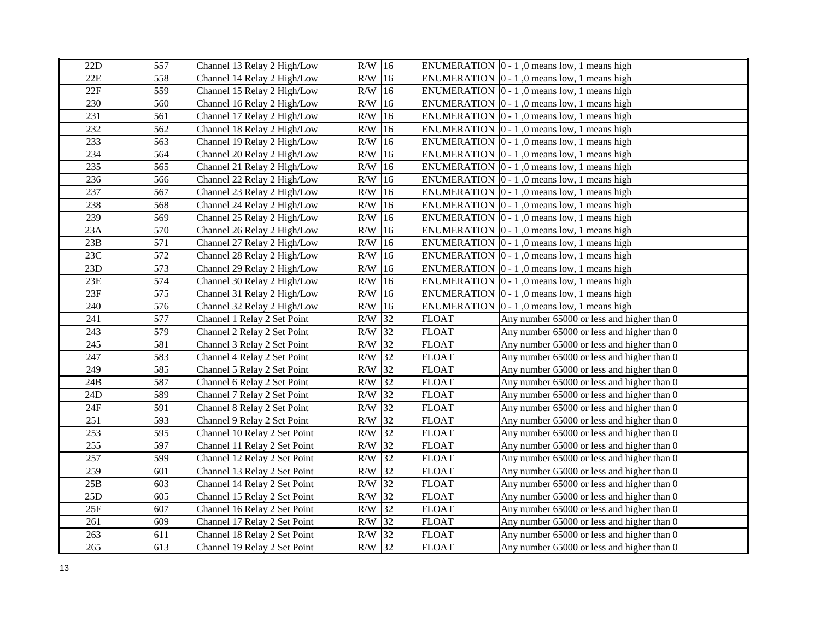| 22D | 557 | Channel 13 Relay 2 High/Low  | $R/W$ 16             |              | ENUMERATION $\vert 0 - 1 \vert$ , 0 means low, 1 means high |
|-----|-----|------------------------------|----------------------|--------------|-------------------------------------------------------------|
| 22E | 558 | Channel 14 Relay 2 High/Low  | $R/W$ 16             |              | ENUMERATION $ 0 - 1 $ , 0 means low, 1 means high           |
| 22F | 559 | Channel 15 Relay 2 High/Low  | $R/W$ 16             |              | ENUMERATION $\vert 0 - 1 \vert$ , 0 means low, 1 means high |
| 230 | 560 | Channel 16 Relay 2 High/Low  | $R/W$ 16             |              | ENUMERATION $ 0 - 1 $ , 0 means low, 1 means high           |
| 231 | 561 | Channel 17 Relay 2 High/Low  | R/W<br>16            |              | ENUMERATION $\vert 0 - 1 \vert$ , 0 means low, 1 means high |
| 232 | 562 | Channel 18 Relay 2 High/Low  | R/W<br>16            |              | ENUMERATION $\vert 0 - 1 \vert$ , 0 means low, 1 means high |
| 233 | 563 | Channel 19 Relay 2 High/Low  | R/W<br>16            |              | ENUMERATION $ 0 - 1 $ , 0 means low, 1 means high           |
| 234 | 564 | Channel 20 Relay 2 High/Low  | R/W<br>16            |              | ENUMERATION $\vert 0 - 1 \vert$ , 0 means low, 1 means high |
| 235 | 565 | Channel 21 Relay 2 High/Low  | R/W<br>16            |              | ENUMERATION $\vert 0 - 1 \vert$ , 0 means low, 1 means high |
| 236 | 566 | Channel 22 Relay 2 High/Low  | 16<br>R/W            |              | ENUMERATION $[0 - 1, 0$ means low, 1 means high             |
| 237 | 567 | Channel 23 Relay 2 High/Low  | R/W<br>16            |              | ENUMERATION $[0 - 1, 0$ means low, 1 means high             |
| 238 | 568 | Channel 24 Relay 2 High/Low  | $\rm R/W$<br>16      |              | ENUMERATION $\vert 0 - 1 \vert$ , 0 means low, 1 means high |
| 239 | 569 | Channel 25 Relay 2 High/Low  | 16<br>R/W            |              | ENUMERATION $[0 - 1, 0$ means low, 1 means high             |
| 23A | 570 | Channel 26 Relay 2 High/Low  | 16<br>R/W            |              | ENUMERATION $\vert 0 - 1 \vert$ , 0 means low, 1 means high |
| 23B | 571 | Channel 27 Relay 2 High/Low  | 16<br>R/W            |              | ENUMERATION $\vert 0 - 1 \vert$ , 0 means low, 1 means high |
| 23C | 572 | Channel 28 Relay 2 High/Low  | 16<br>R/W            |              | ENUMERATION $[0 - 1, 0$ means low, 1 means high             |
| 23D | 573 | Channel 29 Relay 2 High/Low  | <sup>16</sup><br>R/W |              | ENUMERATION $ 0 - 1 $ , 0 means low, 1 means high           |
| 23E | 574 | Channel 30 Relay 2 High/Low  | 16<br>R/W            |              | ENUMERATION $ 0 - 1 $ , 0 means low, 1 means high           |
| 23F | 575 | Channel 31 Relay 2 High/Low  | R/W<br>16            |              | ENUMERATION $\vert 0 - 1 \vert$ , 0 means low, 1 means high |
| 240 | 576 | Channel 32 Relay 2 High/Low  | R/W<br>16            |              | ENUMERATION $\vert 0 - 1 \vert$ , 0 means low, 1 means high |
| 241 | 577 | Channel 1 Relay 2 Set Point  | 32<br>R/W            | <b>FLOAT</b> | Any number 65000 or less and higher than 0                  |
| 243 | 579 | Channel 2 Relay 2 Set Point  | 32<br>R/W            | <b>FLOAT</b> | Any number 65000 or less and higher than 0                  |
| 245 | 581 | Channel 3 Relay 2 Set Point  | 32<br>R/W            | <b>FLOAT</b> | Any number 65000 or less and higher than 0                  |
| 247 | 583 | Channel 4 Relay 2 Set Point  | 32<br>R/W            | <b>FLOAT</b> | Any number 65000 or less and higher than 0                  |
| 249 | 585 | Channel 5 Relay 2 Set Point  | 32<br>R/W            | <b>FLOAT</b> | Any number 65000 or less and higher than 0                  |
| 24B | 587 | Channel 6 Relay 2 Set Point  | $R/W$ 32             | <b>FLOAT</b> | Any number 65000 or less and higher than 0                  |
| 24D | 589 | Channel 7 Relay 2 Set Point  | $R/W$ 32             | <b>FLOAT</b> | Any number 65000 or less and higher than 0                  |
| 24F | 591 | Channel 8 Relay 2 Set Point  | $R/W$ 32             | <b>FLOAT</b> | Any number 65000 or less and higher than 0                  |
| 251 | 593 | Channel 9 Relay 2 Set Point  | $R/W$ 32             | <b>FLOAT</b> | Any number 65000 or less and higher than 0                  |
| 253 | 595 | Channel 10 Relay 2 Set Point | 32<br>R/W            | <b>FLOAT</b> | Any number 65000 or less and higher than 0                  |
| 255 | 597 | Channel 11 Relay 2 Set Point | 32<br>R/W            | <b>FLOAT</b> | Any number 65000 or less and higher than 0                  |
| 257 | 599 | Channel 12 Relay 2 Set Point | $\rm R/W$<br>32      | <b>FLOAT</b> | Any number 65000 or less and higher than 0                  |
| 259 | 601 | Channel 13 Relay 2 Set Point | 32<br>R/W            | <b>FLOAT</b> | Any number 65000 or less and higher than 0                  |
| 25B | 603 | Channel 14 Relay 2 Set Point | 32<br>R/W            | <b>FLOAT</b> | Any number 65000 or less and higher than 0                  |
| 25D | 605 | Channel 15 Relay 2 Set Point | 32<br>R/W            | <b>FLOAT</b> | Any number 65000 or less and higher than 0                  |
| 25F | 607 | Channel 16 Relay 2 Set Point | 32<br>R/W            | <b>FLOAT</b> | Any number 65000 or less and higher than 0                  |
| 261 | 609 | Channel 17 Relay 2 Set Point | 32<br>R/W            | <b>FLOAT</b> | Any number 65000 or less and higher than 0                  |
| 263 | 611 | Channel 18 Relay 2 Set Point | 32<br>R/W            | <b>FLOAT</b> | Any number 65000 or less and higher than 0                  |
| 265 | 613 | Channel 19 Relay 2 Set Point | $R/W$ 32             | <b>FLOAT</b> | Any number 65000 or less and higher than 0                  |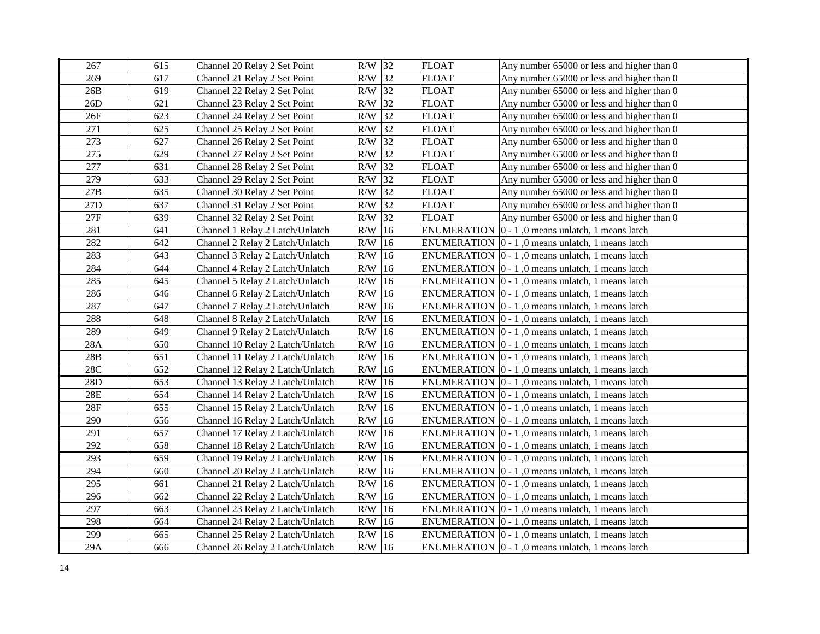| 267   | 615 | Channel 20 Relay 2 Set Point     | $R/W$ 32  |    | <b>FLOAT</b> | Any number 65000 or less and higher than 0                       |
|-------|-----|----------------------------------|-----------|----|--------------|------------------------------------------------------------------|
| 269   | 617 | Channel 21 Relay 2 Set Point     | $R/W$ 32  |    | <b>FLOAT</b> | Any number 65000 or less and higher than 0                       |
| 26B   | 619 | Channel 22 Relay 2 Set Point     | $R/W$ 32  |    | <b>FLOAT</b> | Any number 65000 or less and higher than 0                       |
| 26D   | 621 | Channel 23 Relay 2 Set Point     | $R/W$ 32  |    | <b>FLOAT</b> | Any number 65000 or less and higher than 0                       |
| 26F   | 623 | Channel 24 Relay 2 Set Point     | $R/W$ 32  |    | <b>FLOAT</b> | Any number 65000 or less and higher than 0                       |
| 271   | 625 | Channel 25 Relay 2 Set Point     | R/W 32    |    | <b>FLOAT</b> | Any number 65000 or less and higher than 0                       |
| 273   | 627 | Channel 26 Relay 2 Set Point     | R/W       | 32 | <b>FLOAT</b> | Any number 65000 or less and higher than 0                       |
| 275   | 629 | Channel 27 Relay 2 Set Point     | R/W       | 32 | <b>FLOAT</b> | Any number 65000 or less and higher than 0                       |
| 277   | 631 | Channel 28 Relay 2 Set Point     | R/W 32    |    | <b>FLOAT</b> | Any number 65000 or less and higher than 0                       |
| 279   | 633 | Channel 29 Relay 2 Set Point     | R/W       | 32 | <b>FLOAT</b> | Any number 65000 or less and higher than 0                       |
| $27B$ | 635 | Channel 30 Relay 2 Set Point     | R/W       | 32 | <b>FLOAT</b> | Any number 65000 or less and higher than 0                       |
| $27D$ | 637 | Channel 31 Relay 2 Set Point     | $R/W$ 32  |    | <b>FLOAT</b> | Any number 65000 or less and higher than 0                       |
| 27F   | 639 | Channel 32 Relay 2 Set Point     | R/W       | 32 | <b>FLOAT</b> | Any number 65000 or less and higher than 0                       |
| 281   | 641 | Channel 1 Relay 2 Latch/Unlatch  | $R/W$ 16  |    |              | ENUMERATION $ 0 - 1 $ , 0 means unlatch, 1 means latch           |
| 282   | 642 | Channel 2 Relay 2 Latch/Unlatch  | $R/W$ 16  |    |              | ENUMERATION $\vert 0 - 1 \vert$ , 0 means unlatch, 1 means latch |
| 283   | 643 | Channel 3 Relay 2 Latch/Unlatch  | $R/W$ 16  |    |              | ENUMERATION $ 0 - 1 $ , 0 means unlatch, 1 means latch           |
| 284   | 644 | Channel 4 Relay 2 Latch/Unlatch  | $R/W$ 16  |    |              | ENUMERATION $ 0 - 1 $ , 0 means unlatch, 1 means latch           |
| 285   | 645 | Channel 5 Relay 2 Latch/Unlatch  | $R/W$ 16  |    |              | ENUMERATION 0 - 1,0 means unlatch, 1 means latch                 |
| 286   | 646 | Channel 6 Relay 2 Latch/Unlatch  | $\rm R/W$ | 16 |              | ENUMERATION $\vert 0 - 1 \vert$ , 0 means unlatch, 1 means latch |
| 287   | 647 | Channel 7 Relay 2 Latch/Unlatch  | R/W       | 16 |              | ENUMERATION $\vert 0 - 1 \vert$ , 0 means unlatch, 1 means latch |
| 288   | 648 | Channel 8 Relay 2 Latch/Unlatch  | R/W       | 16 |              | ENUMERATION $ 0 - 1 $ , 0 means unlatch, 1 means latch           |
| 289   | 649 | Channel 9 Relay 2 Latch/Unlatch  | R/W       | 16 |              | ENUMERATION $[0 - 1, 0$ means unlatch, 1 means latch             |
| 28A   | 650 | Channel 10 Relay 2 Latch/Unlatch | R/W       | 16 |              | ENUMERATION $\vert 0 - 1 \vert$ , 0 means unlatch, 1 means latch |
| 28B   | 651 | Channel 11 Relay 2 Latch/Unlatch | R/W       | 16 |              | ENUMERATION $\vert 0 - 1 \vert$ , 0 means unlatch, 1 means latch |
| 28C   | 652 | Channel 12 Relay 2 Latch/Unlatch | R/W       | 16 |              | ENUMERATION $ 0 - 1 $ , 0 means unlatch, 1 means latch           |
| 28D   | 653 | Channel 13 Relay 2 Latch/Unlatch | $\rm R/W$ | 16 |              | ENUMERATION $ 0 - 1 $ , 0 means unlatch, 1 means latch           |
| 28E   | 654 | Channel 14 Relay 2 Latch/Unlatch | $R/W$ 16  |    |              | ENUMERATION $\vert 0 - 1 \vert$ , 0 means unlatch, 1 means latch |
| 28F   | 655 | Channel 15 Relay 2 Latch/Unlatch | $R/W$ 16  |    |              | ENUMERATION $ 0 - 1 $ , 0 means unlatch, 1 means latch           |
| 290   | 656 | Channel 16 Relay 2 Latch/Unlatch | $R/W$ 16  |    |              | ENUMERATION $\vert 0 - 1 \vert$ , 0 means unlatch, 1 means latch |
| 291   | 657 | Channel 17 Relay 2 Latch/Unlatch | $R/W$ 16  |    |              | ENUMERATION $ 0 - 1 $ , 0 means unlatch, 1 means latch           |
| 292   | 658 | Channel 18 Relay 2 Latch/Unlatch | $R/W$ 16  |    |              | ENUMERATION $ 0 - 1 $ , 0 means unlatch, 1 means latch           |
| 293   | 659 | Channel 19 Relay 2 Latch/Unlatch | R/W       | 16 |              | ENUMERATION $\vert 0 - 1 \vert$ , 0 means unlatch, 1 means latch |
| 294   | 660 | Channel 20 Relay 2 Latch/Unlatch | R/W       | 16 |              | ENUMERATION $\vert 0 - 1 \vert$ , 0 means unlatch, 1 means latch |
| 295   | 661 | Channel 21 Relay 2 Latch/Unlatch | R/W       | 16 |              | ENUMERATION $\vert 0 - 1 \vert$ , 0 means unlatch, 1 means latch |
| 296   | 662 | Channel 22 Relay 2 Latch/Unlatch | $\rm R/W$ | 16 |              | ENUMERATION $\vert 0 - 1 \vert$ , 0 means unlatch, 1 means latch |
| 297   | 663 | Channel 23 Relay 2 Latch/Unlatch | $R/W$ 16  |    |              | ENUMERATION $\vert 0 - 1 \vert$ , 0 means unlatch, 1 means latch |
| 298   | 664 | Channel 24 Relay 2 Latch/Unlatch | $R/W$ 16  |    |              | ENUMERATION 0 - 1,0 means unlatch, 1 means latch                 |
| 299   | 665 | Channel 25 Relay 2 Latch/Unlatch | R/W       | 16 |              | ENUMERATION $\vert 0 - 1 \vert$ , 0 means unlatch, 1 means latch |
| 29A   | 666 | Channel 26 Relay 2 Latch/Unlatch | $R/W$ 16  |    |              | ENUMERATION $\vert 0 - 1 \vert$ , 0 means unlatch, 1 means latch |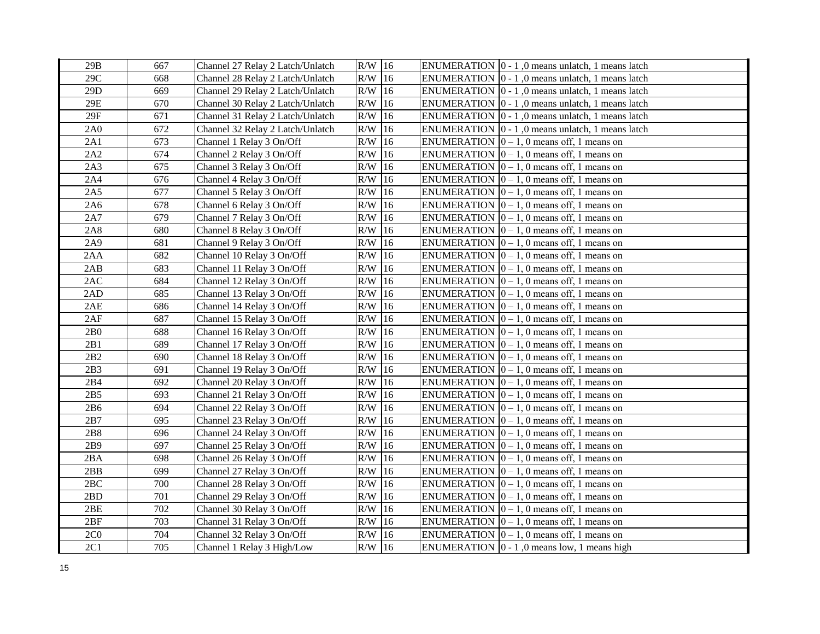| 29B             | 667 | Channel 27 Relay 2 Latch/Unlatch | $R/W$ 16  |    | ENUMERATION $\vert 0 - 1 \vert$ , 0 means unlatch, 1 means latch |
|-----------------|-----|----------------------------------|-----------|----|------------------------------------------------------------------|
| 29C             | 668 | Channel 28 Relay 2 Latch/Unlatch | $R/W$ 16  |    | ENUMERATION $\vert 0 - 1 \vert$ , 0 means unlatch, 1 means latch |
| 29D             | 669 | Channel 29 Relay 2 Latch/Unlatch | $R/W$ 16  |    | ENUMERATION $\vert 0 - 1 \vert$ , 0 means unlatch, 1 means latch |
| 29E             | 670 | Channel 30 Relay 2 Latch/Unlatch | $R/W$ 16  |    | ENUMERATION $\vert 0 - 1 \vert$ , 0 means unlatch, 1 means latch |
| 29F             | 671 | Channel 31 Relay 2 Latch/Unlatch | $R/W$ 16  |    | ENUMERATION $ 0 - 1 $ , 0 means unlatch, 1 means latch           |
| 2A0             | 672 | Channel 32 Relay 2 Latch/Unlatch | $R/W$ 16  |    | ENUMERATION $\vert 0 - 1 \vert$ , 0 means unlatch, 1 means latch |
| 2A1             | 673 | Channel 1 Relay 3 On/Off         | R/W       | 16 | ENUMERATION $ 0 - 1$ , 0 means off, 1 means on                   |
| 2A2             | 674 | Channel 2 Relay 3 On/Off         | R/W       | 16 | ENUMERATION $ 0 - 1$ , 0 means off, 1 means on                   |
| 2A3             | 675 | Channel 3 Relay 3 On/Off         | R/W       | 16 | ENUMERATION $ 0 - 1$ , 0 means off, 1 means on                   |
| 2A4             | 676 | Channel 4 Relay 3 On/Off         | R/W       | 16 | ENUMERATION $[0 - 1, 0$ means off, 1 means on                    |
| 2A5             | 677 | Channel 5 Relay 3 On/Off         | R/W       | 16 | ENUMERATION $ 0 - 1$ , 0 means off, 1 means on                   |
| 2A6             | 678 | Channel 6 Relay 3 On/Off         | R/W       | 16 | ENUMERATION $ 0 - 1$ , 0 means off, 1 means on                   |
| 2A7             | 679 | Channel 7 Relay 3 On/Off         | $R/W$ 16  |    | ENUMERATION $ 0 - 1$ , 0 means off, 1 means on                   |
| 2A8             | 680 | Channel 8 Relay 3 On/Off         | $R/W$ 16  |    | ENUMERATION $ 0 - 1$ , 0 means off, 1 means on                   |
| 2A9             | 681 | Channel 9 Relay 3 On/Off         | $R/W$ 16  |    | ENUMERATION $ 0 - 1$ , 0 means off, 1 means on                   |
| 2AA             | 682 | Channel 10 Relay 3 On/Off        | $R/W$ 16  |    | ENUMERATION $ 0 - 1$ , 0 means off, 1 means on                   |
| 2AB             | 683 | Channel 11 Relay 3 On/Off        | $R/W$ 16  |    | ENUMERATION $ 0 - 1$ , 0 means off, 1 means on                   |
| 2AC             | 684 | Channel 12 Relay 3 On/Off        | $R/W$ 16  |    | ENUMERATION $ 0 - 1$ , 0 means off, 1 means on                   |
| 2AD             | 685 | Channel 13 Relay 3 On/Off        | R/W       | 16 | ENUMERATION $ 0 - 1$ , 0 means off, 1 means on                   |
| 2AE             | 686 | Channel 14 Relay 3 On/Off        | R/W       | 16 | ENUMERATION $[0 - 1, 0$ means off, 1 means on                    |
| 2AF             | 687 | Channel 15 Relay 3 On/Off        | R/W       | 16 | ENUMERATION $ 0 - 1$ , 0 means off, 1 means on                   |
| 2B <sub>0</sub> | 688 | Channel 16 Relay 3 On/Off        | $R/W$ 16  |    | ENUMERATION $ 0 - 1$ , 0 means off, 1 means on                   |
| 2B1             | 689 | Channel 17 Relay 3 On/Off        | $R/W$ 16  |    | ENUMERATION $[0 - 1, 0$ means off, 1 means on                    |
| 2B2             | 690 | Channel 18 Relay 3 On/Off        | $R/W$ 16  |    | ENUMERATION $ 0 - 1$ , 0 means off, 1 means on                   |
| 2B3             | 691 | Channel 19 Relay 3 On/Off        | R/W       | 16 | ENUMERATION $ 0 - 1$ , 0 means off, 1 means on                   |
| 2B4             | 692 | Channel 20 Relay 3 On/Off        | $R/W$ 16  |    | ENUMERATION $[0 - 1, 0$ means off, 1 means on                    |
| 2B5             | 693 | Channel 21 Relay 3 On/Off        | $R/W$ 16  |    | ENUMERATION $[0 - 1, 0$ means off, 1 means on                    |
| 2B6             | 694 | Channel 22 Relay 3 On/Off        | $R/W$ 16  |    | ENUMERATION $[0 - 1, 0$ means off, 1 means on                    |
| 2B7             | 695 | Channel 23 Relay 3 On/Off        | $R/W$ 16  |    | ENUMERATION $ 0 - 1$ , 0 means off, 1 means on                   |
| 2B8             | 696 | Channel 24 Relay 3 On/Off        | R/W       | 16 | ENUMERATION $ 0 - 1$ , 0 means off, 1 means on                   |
| 2B9             | 697 | Channel 25 Relay 3 On/Off        | $\rm R/W$ | 16 | ENUMERATION $ 0 - 1$ , 0 means off, 1 means on                   |
| 2BA             | 698 | Channel 26 Relay 3 On/Off        | $\rm R/W$ | 16 | ENUMERATION $\vert 0-1, 0 \rangle$ means off, 1 means on         |
| 2BB             | 699 | Channel 27 Relay 3 On/Off        | R/W       | 16 | ENUMERATION $ 0 - 1$ , 0 means off, 1 means on                   |
| 2BC             | 700 | Channel 28 Relay 3 On/Off        | R/W       | 16 | ENUMERATION $ 0 - 1$ , 0 means off, 1 means on                   |
| 2BD             | 701 | Channel 29 Relay 3 On/Off        | $R/W$ 16  |    | ENUMERATION $ 0 - 1$ , 0 means off, 1 means on                   |
| 2BE             | 702 | Channel 30 Relay 3 On/Off        | R/W       | 16 | ENUMERATION $[0 - 1, 0$ means off, 1 means on                    |
| 2BF             | 703 | Channel 31 Relay 3 On/Off        | R/W       | 16 | ENUMERATION $ 0 - 1$ , 0 means off, 1 means on                   |
| 2C <sub>0</sub> | 704 | Channel 32 Relay 3 On/Off        | $R/W$ 16  |    | ENUMERATION $\vert 0-1, 0 \rangle$ means off, 1 means on         |
| 2C1             | 705 | Channel 1 Relay 3 High/Low       | $R/W$ 16  |    | ENUMERATION $\vert 0 - 1 \vert$ , 0 means low, 1 means high      |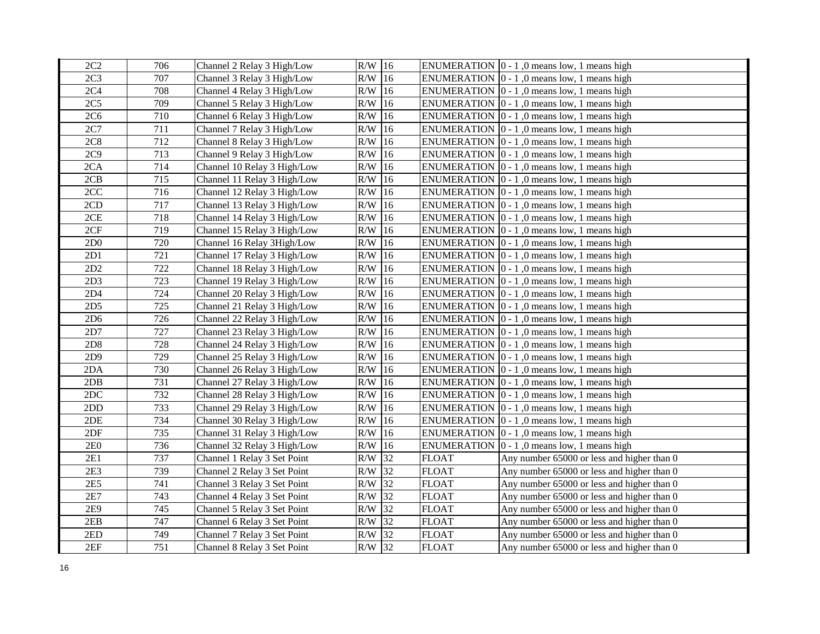| 2C2             | 706 | Channel 2 Relay 3 High/Low  | $R/W$ 16  |    |              | ENUMERATION $\vert 0 - 1 \vert$ , 0 means low, 1 means high |
|-----------------|-----|-----------------------------|-----------|----|--------------|-------------------------------------------------------------|
| 2C <sub>3</sub> | 707 | Channel 3 Relay 3 High/Low  | $R/W$ 16  |    |              | ENUMERATION $ 0 - 1 $ , 0 means low, 1 means high           |
| 2C <sub>4</sub> | 708 | Channel 4 Relay 3 High/Low  | $R/W$ 16  |    |              | ENUMERATION $[0 - 1, 0$ means low, 1 means high             |
| 2C <sub>5</sub> | 709 | Channel 5 Relay 3 High/Low  | $R/W$ 16  |    |              | ENUMERATION $\vert 0 - 1 \vert$ , 0 means low, 1 means high |
| 2C <sub>6</sub> | 710 | Channel 6 Relay 3 High/Low  | R/W       | 16 |              | ENUMERATION $\vert 0 - 1 \vert$ , 0 means low, 1 means high |
| 2C7             | 711 | Channel 7 Relay 3 High/Low  | R/W       | 16 |              | ENUMERATION $\vert 0 - 1 \vert$ , 0 means low, 1 means high |
| 2C8             | 712 | Channel 8 Relay 3 High/Low  | R/W       | 16 |              | ENUMERATION $ 0 - 1 $ , 0 means low, 1 means high           |
| 2C9             | 713 | Channel 9 Relay 3 High/Low  | R/W       | 16 |              | ENUMERATION $\vert 0 - 1 \vert$ , 0 means low, 1 means high |
| 2CA             | 714 | Channel 10 Relay 3 High/Low | R/W       | 16 |              | ENUMERATION $[0 - 1, 0$ means low, 1 means high             |
| 2CB             | 715 | Channel 11 Relay 3 High/Low | R/W       | 16 |              | ENUMERATION $ 0 - 1 $ , 0 means low, 1 means high           |
| 2CC             | 716 | Channel 12 Relay 3 High/Low | R/W       | 16 |              | ENUMERATION $\vert 0 - 1 \vert$ , 0 means low, 1 means high |
| 2CD             | 717 | Channel 13 Relay 3 High/Low | R/W       | 16 |              | ENUMERATION $\vert 0 - 1 \vert$ , 0 means low, 1 means high |
| 2CE             | 718 | Channel 14 Relay 3 High/Low | $\rm R/W$ | 16 |              | ENUMERATION $\vert 0 - 1 \vert$ , 0 means low, 1 means high |
| 2CF             | 719 | Channel 15 Relay 3 High/Low | R/W       | 16 |              | ENUMERATION $\vert 0 - 1 \vert$ , 0 means low, 1 means high |
| 2D0             | 720 | Channel 16 Relay 3High/Low  | R/W       | 16 |              | ENUMERATION $\vert 0 - 1 \vert$ , 0 means low, 1 means high |
| 2D1             | 721 | Channel 17 Relay 3 High/Low | R/W       | 16 |              | ENUMERATION $ 0 - 1 $ , 0 means low, 1 means high           |
| 2D2             | 722 | Channel 18 Relay 3 High/Low | R/W       | 16 |              | ENUMERATION $ 0 - 1 $ , 0 means low, 1 means high           |
| 2D3             | 723 | Channel 19 Relay 3 High/Low | R/W       | 16 |              | ENUMERATION $ 0 - 1 $ , 0 means low, 1 means high           |
| 2D4             | 724 | Channel 20 Relay 3 High/Low | R/W       | 16 |              | ENUMERATION $ 0 - 1 $ , 0 means low, 1 means high           |
| 2D5             | 725 | Channel 21 Relay 3 High/Low | R/W       | 16 |              | ENUMERATION $\vert 0 - 1 \vert$ , 0 means low, 1 means high |
| 2D <sub>6</sub> | 726 | Channel 22 Relay 3 High/Low | R/W       | 16 |              | ENUMERATION $\vert 0 - 1 \vert$ , 0 means low, 1 means high |
| 2D7             | 727 | Channel 23 Relay 3 High/Low | R/W       | 16 |              | ENUMERATION $\vert 0 - 1 \vert$ , 0 means low, 1 means high |
| 2D8             | 728 | Channel 24 Relay 3 High/Low | R/W       | 16 |              | ENUMERATION $\vert 0 - 1 \vert$ , 0 means low, 1 means high |
| 2D9             | 729 | Channel 25 Relay 3 High/Low | R/W       | 16 |              | ENUMERATION $\vert 0 - 1 \vert$ , 0 means low, 1 means high |
| 2DA             | 730 | Channel 26 Relay 3 High/Low | R/W       | 16 |              | ENUMERATION $\vert 0 - 1 \vert$ , 0 means low, 1 means high |
| 2DB             | 731 | Channel 27 Relay 3 High/Low | R/W       | 16 |              | ENUMERATION $\vert 0 - 1 \vert$ , 0 means low, 1 means high |
| 2DC             | 732 | Channel 28 Relay 3 High/Low | R/W       | 16 |              | ENUMERATION $\vert 0 - 1 \vert$ , 0 means low, 1 means high |
| 2DD             | 733 | Channel 29 Relay 3 High/Low | R/W       | 16 |              | ENUMERATION $\vert 0 - 1 \vert$ , 0 means low, 1 means high |
| 2DE             | 734 | Channel 30 Relay 3 High/Low | R/W       | 16 |              | ENUMERATION $ 0 - 1 $ , 0 means low, 1 means high           |
| 2DF             | 735 | Channel 31 Relay 3 High/Low | $\rm R/W$ | 16 |              | ENUMERATION $\vert 0 - 1 \vert$ , 0 means low, 1 means high |
| 2E0             | 736 | Channel 32 Relay 3 High/Low | R/W       | 16 |              | ENUMERATION $\vert 0 - 1 \vert$ , 0 means low, 1 means high |
| 2E1             | 737 | Channel 1 Relay 3 Set Point | R/W       | 32 | <b>FLOAT</b> | Any number 65000 or less and higher than 0                  |
| 2E3             | 739 | Channel 2 Relay 3 Set Point | R/W       | 32 | <b>FLOAT</b> | Any number 65000 or less and higher than 0                  |
| 2E5             | 741 | Channel 3 Relay 3 Set Point | R/W       | 32 | <b>FLOAT</b> | Any number 65000 or less and higher than 0                  |
| 2E7             | 743 | Channel 4 Relay 3 Set Point | R/W       | 32 | <b>FLOAT</b> | Any number 65000 or less and higher than 0                  |
| 2E9             | 745 | Channel 5 Relay 3 Set Point | R/W       | 32 | <b>FLOAT</b> | Any number 65000 or less and higher than 0                  |
| 2EB             | 747 | Channel 6 Relay 3 Set Point | R/W       | 32 | <b>FLOAT</b> | Any number 65000 or less and higher than 0                  |
| 2ED             | 749 | Channel 7 Relay 3 Set Point | R/W       | 32 | <b>FLOAT</b> | Any number 65000 or less and higher than 0                  |
| 2EF             | 751 | Channel 8 Relay 3 Set Point | $R/W$ 32  |    | <b>FLOAT</b> | Any number 65000 or less and higher than 0                  |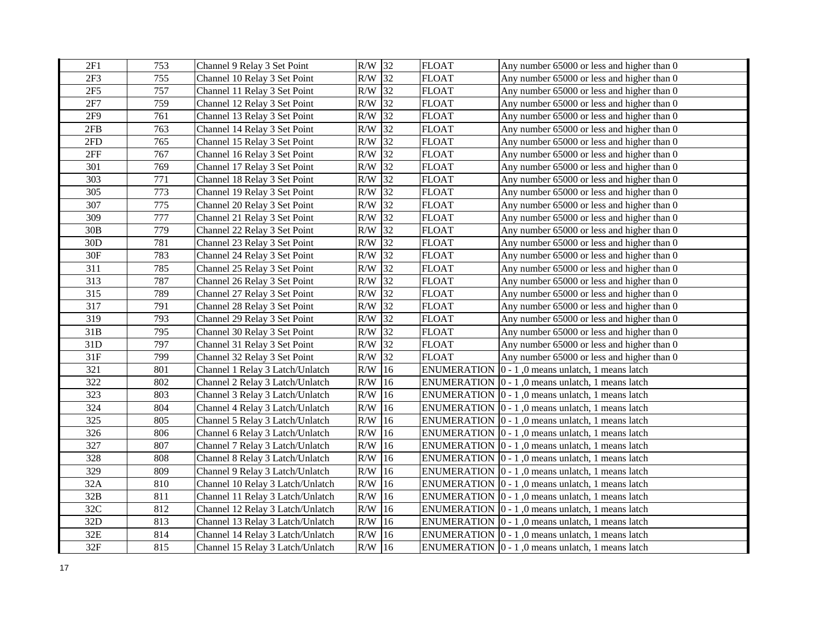| 2F1             | 753 | Channel 9 Relay 3 Set Point      | $R/W$ 32  |               | <b>FLOAT</b> | Any number 65000 or less and higher than 0                       |
|-----------------|-----|----------------------------------|-----------|---------------|--------------|------------------------------------------------------------------|
| 2F <sub>3</sub> | 755 | Channel 10 Relay 3 Set Point     | $R/W$ 32  |               | <b>FLOAT</b> | Any number 65000 or less and higher than 0                       |
| 2F5             | 757 | Channel 11 Relay 3 Set Point     | $R/W$ 32  |               | <b>FLOAT</b> | Any number 65000 or less and higher than 0                       |
| 2F7             | 759 | Channel 12 Relay 3 Set Point     | $R/W$ 32  |               | <b>FLOAT</b> | Any number 65000 or less and higher than 0                       |
| 2F9             | 761 | Channel 13 Relay 3 Set Point     | $R/W$ 32  |               | <b>FLOAT</b> | Any number 65000 or less and higher than 0                       |
| 2FB             | 763 | Channel 14 Relay 3 Set Point     | R/W       | 32            | <b>FLOAT</b> | Any number 65000 or less and higher than 0                       |
| 2FD             | 765 | Channel 15 Relay 3 Set Point     | $\rm R/W$ | 32            | <b>FLOAT</b> | Any number 65000 or less and higher than 0                       |
| 2FF             | 767 | Channel 16 Relay 3 Set Point     | R/W       | 32            | <b>FLOAT</b> | Any number 65000 or less and higher than 0                       |
| 301             | 769 | Channel 17 Relay 3 Set Point     | R/W       | 32            | <b>FLOAT</b> | Any number 65000 or less and higher than 0                       |
| 303             | 771 | Channel 18 Relay 3 Set Point     | R/W       | 32            | <b>FLOAT</b> | Any number 65000 or less and higher than 0                       |
| 305             | 773 | Channel 19 Relay 3 Set Point     | R/W       | 32            | <b>FLOAT</b> | Any number 65000 or less and higher than 0                       |
| 307             | 775 | Channel 20 Relay 3 Set Point     | R/W       | 32            | <b>FLOAT</b> | Any number 65000 or less and higher than 0                       |
| 309             | 777 | Channel 21 Relay 3 Set Point     | $\rm R/W$ | 32            | <b>FLOAT</b> | Any number 65000 or less and higher than 0                       |
| 30B             | 779 | Channel 22 Relay 3 Set Point     | R/W       | 32            | <b>FLOAT</b> | Any number 65000 or less and higher than 0                       |
| 30 <sub>D</sub> | 781 | Channel 23 Relay 3 Set Point     | R/W       | 32            | <b>FLOAT</b> | Any number 65000 or less and higher than 0                       |
| 30F             | 783 | Channel 24 Relay 3 Set Point     | $R/W$ 32  |               | <b>FLOAT</b> | Any number 65000 or less and higher than 0                       |
| 311             | 785 | Channel 25 Relay 3 Set Point     | $R/W$ 32  |               | <b>FLOAT</b> | Any number 65000 or less and higher than 0                       |
| 313             | 787 | Channel 26 Relay 3 Set Point     | R/W       | 32            | <b>FLOAT</b> | Any number 65000 or less and higher than 0                       |
| 315             | 789 | Channel 27 Relay 3 Set Point     | R/W       | 32            | <b>FLOAT</b> | Any number 65000 or less and higher than 0                       |
| 317             | 791 | Channel 28 Relay 3 Set Point     | R/W       | 32            | <b>FLOAT</b> | Any number 65000 or less and higher than 0                       |
| 319             | 793 | Channel 29 Relay 3 Set Point     | R/W       | 32            | <b>FLOAT</b> | Any number 65000 or less and higher than 0                       |
| 31B             | 795 | Channel 30 Relay 3 Set Point     | R/W       | 32            | <b>FLOAT</b> | Any number 65000 or less and higher than 0                       |
| 31D             | 797 | Channel 31 Relay 3 Set Point     | R/W       | 32            | <b>FLOAT</b> | Any number 65000 or less and higher than 0                       |
| 31F             | 799 | Channel 32 Relay 3 Set Point     | R/W       | 32            | <b>FLOAT</b> | Any number 65000 or less and higher than 0                       |
| 321             | 801 | Channel 1 Relay 3 Latch/Unlatch  | R/W       | 16            |              | ENUMERATION $ 0 - 1 $ , 0 means unlatch, 1 means latch           |
| 322             | 802 | Channel 2 Relay 3 Latch/Unlatch  | R/W       | 16            |              | ENUMERATION $ 0 - 1 $ , 0 means unlatch, 1 means latch           |
| 323             | 803 | Channel 3 Relay 3 Latch/Unlatch  | R/W       | 16            |              | ENUMERATION $\vert 0 - 1 \vert$ , 0 means unlatch, 1 means latch |
| 324             | 804 | Channel 4 Relay 3 Latch/Unlatch  | R/W       | 16            |              | ENUMERATION $ 0 - 1 $ , 0 means unlatch, 1 means latch           |
| 325             | 805 | Channel 5 Relay 3 Latch/Unlatch  | R/W       | 16            |              | ENUMERATION $\vert 0 - 1 \vert$ , 0 means unlatch, 1 means latch |
| 326             | 806 | Channel 6 Relay 3 Latch/Unlatch  | R/W       | 16            |              | ENUMERATION $ 0 - 1 $ , 0 means unlatch, 1 means latch           |
| 327             | 807 | Channel 7 Relay 3 Latch/Unlatch  | $\rm R/W$ | 16            |              | ENUMERATION $\vert 0 - 1 \vert$ , 0 means unlatch, 1 means latch |
| 328             | 808 | Channel 8 Relay 3 Latch/Unlatch  | R/W       | 16            |              | ENUMERATION $\vert 0 - 1 \vert$ , 0 means unlatch, 1 means latch |
| 329             | 809 | Channel 9 Relay 3 Latch/Unlatch  | R/W       | 16            |              | ENUMERATION $\vert 0 - 1 \vert$ , 0 means unlatch, 1 means latch |
| 32A             | 810 | Channel 10 Relay 3 Latch/Unlatch | R/W       | 16            |              | ENUMERATION $\vert 0 - 1 \vert$ , 0 means unlatch, 1 means latch |
| 32B             | 811 | Channel 11 Relay 3 Latch/Unlatch | R/W       | 16            |              | ENUMERATION $\vert 0 - 1 \vert$ , 0 means unlatch, 1 means latch |
| 32C             | 812 | Channel 12 Relay 3 Latch/Unlatch | R/W       | <sup>16</sup> |              | ENUMERATION $ 0 - 1 $ , 0 means unlatch, 1 means latch           |
| 32D             | 813 | Channel 13 Relay 3 Latch/Unlatch | R/W       | 16            |              | ENUMERATION 0 - 1,0 means unlatch, 1 means latch                 |
| $32E$           | 814 | Channel 14 Relay 3 Latch/Unlatch | R/W       | 16            |              | ENUMERATION $ 0 - 1 $ , 0 means unlatch, 1 means latch           |
| 32F             | 815 | Channel 15 Relay 3 Latch/Unlatch | $R/W$ 16  |               |              | ENUMERATION $\vert 0 - 1 \vert$ , 0 means unlatch, 1 means latch |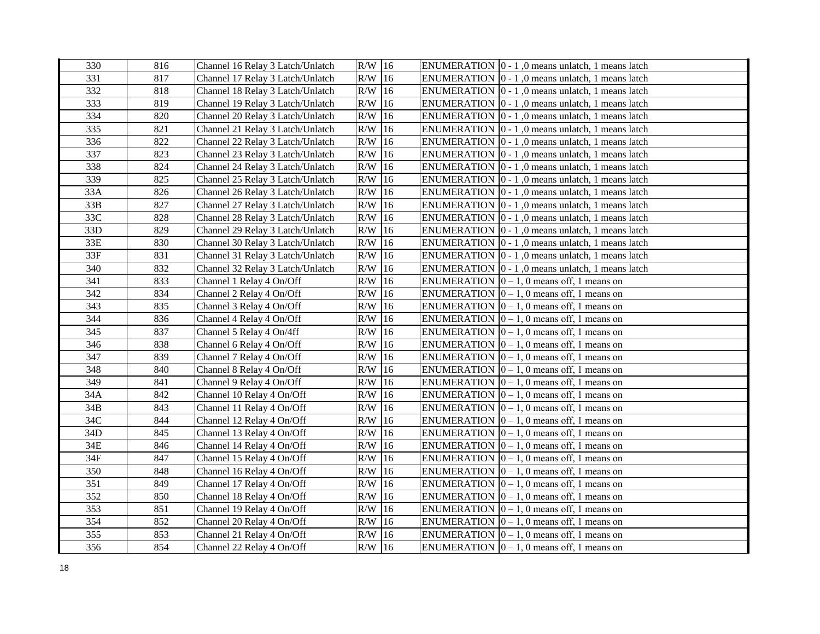| 330 | 816 | Channel 16 Relay 3 Latch/Unlatch | $R/W$ 16  |    | ENUMERATION $\vert 0 - 1 \vert$ , 0 means unlatch, 1 means latch |
|-----|-----|----------------------------------|-----------|----|------------------------------------------------------------------|
| 331 | 817 | Channel 17 Relay 3 Latch/Unlatch | $R/W$ 16  |    | ENUMERATION $\vert 0 - 1 \vert$ , 0 means unlatch, 1 means latch |
| 332 | 818 | Channel 18 Relay 3 Latch/Unlatch | $R/W$ 16  |    | ENUMERATION $ 0 - 1 $ , 0 means unlatch, 1 means latch           |
| 333 | 819 | Channel 19 Relay 3 Latch/Unlatch | $R/W$ 16  |    | ENUMERATION $\vert 0 - 1 \vert$ , 0 means unlatch, 1 means latch |
| 334 | 820 | Channel 20 Relay 3 Latch/Unlatch | $R/W$ 16  |    | ENUMERATION $ 0 - 1 $ , 0 means unlatch, 1 means latch           |
| 335 | 821 | Channel 21 Relay 3 Latch/Unlatch | $R/W$ 16  |    | ENUMERATION $ 0 - 1 $ , 0 means unlatch, 1 means latch           |
| 336 | 822 | Channel 22 Relay 3 Latch/Unlatch | R/W       | 16 | ENUMERATION $\vert 0 - 1 \vert$ , 0 means unlatch, 1 means latch |
| 337 | 823 | Channel 23 Relay 3 Latch/Unlatch | $R/W$ 16  |    | ENUMERATION $ 0 - 1 $ , 0 means unlatch, 1 means latch           |
| 338 | 824 | Channel 24 Relay 3 Latch/Unlatch | $R/W$ 16  |    | ENUMERATION $ 0 - 1 $ , 0 means unlatch, 1 means latch           |
| 339 | 825 | Channel 25 Relay 3 Latch/Unlatch | $R/W$ 16  |    | ENUMERATION $\vert 0 - 1 \vert$ , 0 means unlatch, 1 means latch |
| 33A | 826 | Channel 26 Relay 3 Latch/Unlatch | $R/W$ 16  |    | ENUMERATION $\vert 0 - 1 \vert$ , 0 means unlatch, 1 means latch |
| 33B | 827 | Channel 27 Relay 3 Latch/Unlatch | $R/W$ 16  |    | ENUMERATION $ 0 - 1 $ , 0 means unlatch, 1 means latch           |
| 33C | 828 | Channel 28 Relay 3 Latch/Unlatch | $R/W$ 16  |    | ENUMERATION $[0 - 1, 0$ means unlatch, 1 means latch             |
| 33D | 829 | Channel 29 Relay 3 Latch/Unlatch | $R/W$ 16  |    | ENUMERATION $\vert 0 - 1 \vert$ , 0 means unlatch, 1 means latch |
| 33E | 830 | Channel 30 Relay 3 Latch/Unlatch | $R/W$ 16  |    | ENUMERATION 0 - 1,0 means unlatch, 1 means latch                 |
| 33F | 831 | Channel 31 Relay 3 Latch/Unlatch | $R/W$ 16  |    | ENUMERATION $\vert 0 - 1 \vert$ , 0 means unlatch, 1 means latch |
| 340 | 832 | Channel 32 Relay 3 Latch/Unlatch | $R/W$ 16  |    | ENUMERATION $\vert 0 - 1 \vert$ , 0 means unlatch, 1 means latch |
| 341 | 833 | Channel 1 Relay 4 On/Off         | $R/W$ 16  |    | ENUMERATION $[0 - 1, 0$ means off, 1 means on                    |
| 342 | 834 | Channel 2 Relay 4 On/Off         | R/W       | 16 | ENUMERATION $ 0 - 1$ , 0 means off, 1 means on                   |
| 343 | 835 | Channel 3 Relay 4 On/Off         | R/W       | 16 | ENUMERATION $ 0 - 1$ , 0 means off, 1 means on                   |
| 344 | 836 | Channel 4 Relay 4 On/Off         | R/W       | 16 | ENUMERATION $ 0 - 1$ , 0 means off, 1 means on                   |
| 345 | 837 | Channel 5 Relay 4 On/4ff         | $R/W$ 16  |    | ENUMERATION $[0 - 1, 0$ means off, 1 means on                    |
| 346 | 838 | Channel 6 Relay 4 On/Off         | $R/W$ 16  |    | ENUMERATION $[0 - 1, 0$ means off, 1 means on                    |
| 347 | 839 | Channel 7 Relay 4 On/Off         | $R/W$ 16  |    | ENUMERATION $ 0 - 1$ , 0 means off, 1 means on                   |
| 348 | 840 | Channel 8 Relay 4 On/Off         | R/W       | 16 | ENUMERATION $[0 - 1, 0$ means off, 1 means on                    |
| 349 | 841 | Channel 9 Relay 4 On/Off         | $R/W$ 16  |    | ENUMERATION $[0 - 1, 0$ means off, 1 means on                    |
| 34A | 842 | Channel 10 Relay 4 On/Off        | $R/W$ 16  |    | ENUMERATION $[0 - 1, 0$ means off, 1 means on                    |
| 34B | 843 | Channel 11 Relay 4 On/Off        | $R/W$ 16  |    | ENUMERATION $[0 - 1, 0$ means off, 1 means on                    |
| 34C | 844 | Channel 12 Relay 4 On/Off        | $R/W$ 16  |    | ENUMERATION $ 0 - 1$ , 0 means off, 1 means on                   |
| 34D | 845 | Channel 13 Relay 4 On/Off        | R/W       | 16 | ENUMERATION $ 0 - 1$ , 0 means off, 1 means on                   |
| 34E | 846 | Channel 14 Relay 4 On/Off        | $\rm R/W$ | 16 | ENUMERATION $ 0 - 1$ , 0 means off, 1 means on                   |
| 34F | 847 | Channel 15 Relay 4 On/Off        | $\rm R/W$ | 16 | ENUMERATION $ 0 - 1$ , 0 means off, 1 means on                   |
| 350 | 848 | Channel 16 Relay 4 On/Off        | R/W       | 16 | ENUMERATION $ 0 - 1$ , 0 means off, 1 means on                   |
| 351 | 849 | Channel 17 Relay 4 On/Off        | R/W       | 16 | ENUMERATION $ 0 - 1$ , 0 means off, 1 means on                   |
| 352 | 850 | Channel 18 Relay 4 On/Off        | $R/W$ 16  |    | ENUMERATION $ 0 - 1$ , 0 means off, 1 means on                   |
| 353 | 851 | Channel 19 Relay 4 On/Off        | R/W       | 16 | ENUMERATION $[0 - 1, 0$ means off, 1 means on                    |
| 354 | 852 | Channel 20 Relay 4 On/Off        | $R/W$ 16  |    | ENUMERATION $ 0 - 1$ , 0 means off, 1 means on                   |
| 355 | 853 | Channel 21 Relay 4 On/Off        | $R/W$ 16  |    | ENUMERATION $\vert 0-1, 0 \rangle$ means off, 1 means on         |
| 356 | 854 | Channel 22 Relay 4 On/Off        | $R/W$ 16  |    | ENUMERATION $ 0 - 1$ , 0 means off, 1 means on                   |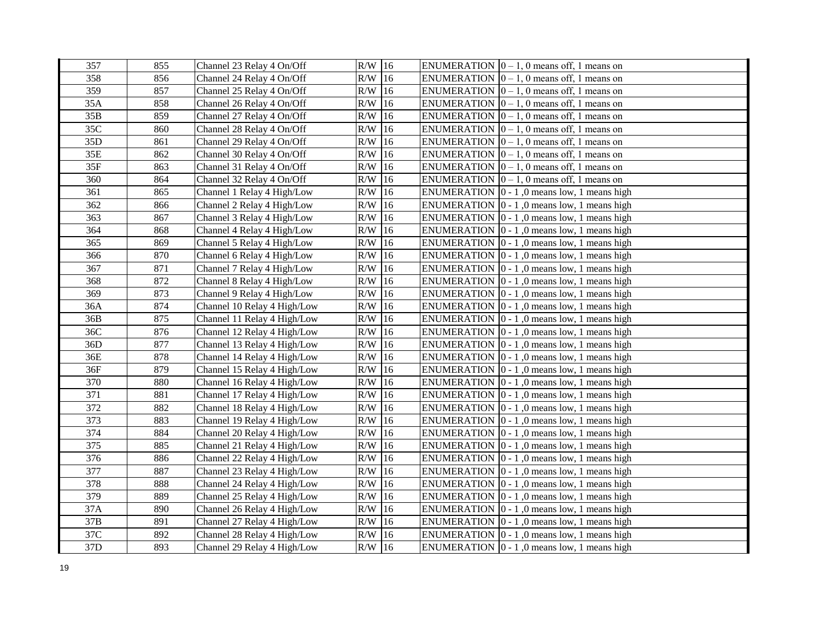| 357 | 855 | Channel 23 Relay 4 On/Off   | $R/W$ 16        | ENUMERATION $ 0 - 1$ , 0 means off, 1 means on              |
|-----|-----|-----------------------------|-----------------|-------------------------------------------------------------|
| 358 | 856 | Channel 24 Relay 4 On/Off   | $R/W$ 16        | ENUMERATION $[0 - 1, 0$ means off, 1 means on               |
| 359 | 857 | Channel 25 Relay 4 On/Off   | $R/W$ 16        | ENUMERATION $[0 - 1, 0$ means off, 1 means on               |
| 35A | 858 | Channel 26 Relay 4 On/Off   | $R/W$ 16        | ENUMERATION $[0 - 1, 0$ means off, 1 means on               |
| 35B | 859 | Channel 27 Relay 4 On/Off   | R/W<br>16       | ENUMERATION $ 0 - 1$ , 0 means off, 1 means on              |
| 35C | 860 | Channel 28 Relay 4 On/Off   | $\rm R/W$<br>16 | ENUMERATION $[0 - 1, 0$ means off, 1 means on               |
| 35D | 861 | Channel 29 Relay 4 On/Off   | $\rm R/W$<br>16 | ENUMERATION $ 0 - 1$ , 0 means off, 1 means on              |
| 35E | 862 | Channel 30 Relay 4 On/Off   | R/W<br>16       | ENUMERATION $ 0 - 1$ , 0 means off, 1 means on              |
| 35F | 863 | Channel 31 Relay 4 On/Off   | R/W<br>16       | ENUMERATION $[0 - 1, 0$ means off, 1 means on               |
| 360 | 864 | Channel 32 Relay 4 On/Off   | $R/W$ 16        | ENUMERATION $ 0-1, 0 $ means off, 1 means on                |
| 361 | 865 | Channel 1 Relay 4 High/Low  | R/W<br>16       | ENUMERATION $ 0 - 1 $ , 0 means low, 1 means high           |
| 362 | 866 | Channel 2 Relay 4 High/Low  | R/W<br>16       | ENUMERATION $[0 - 1, 0$ means low, 1 means high             |
| 363 | 867 | Channel 3 Relay 4 High/Low  | $R/W$ 16        | ENUMERATION $\vert 0 - 1 \vert$ , 0 means low, 1 means high |
| 364 | 868 | Channel 4 Relay 4 High/Low  | $R/W$ 16        | ENUMERATION $ 0 - 1 $ , 0 means low, 1 means high           |
| 365 | 869 | Channel 5 Relay 4 High/Low  | $R/W$ 16        | ENUMERATION $ 0 - 1 $ , 0 means low, 1 means high           |
| 366 | 870 | Channel 6 Relay 4 High/Low  | $R/W$ 16        | ENUMERATION $\vert 0 - 1 \vert$ , 0 means low, 1 means high |
| 367 | 871 | Channel 7 Relay 4 High/Low  | $R/W$ 16        | ENUMERATION $\vert 0 - 1 \vert$ , 0 means low, 1 means high |
| 368 | 872 | Channel 8 Relay 4 High/Low  | $R/W$ 16        | ENUMERATION $\vert 0 - 1 \vert$ , 0 means low, 1 means high |
| 369 | 873 | Channel 9 Relay 4 High/Low  | R/W<br>16       | ENUMERATION $\vert 0 - 1 \vert$ , 0 means low, 1 means high |
| 36A | 874 | Channel 10 Relay 4 High/Low | R/W<br>16       | ENUMERATION $\vert 0 - 1 \vert$ , 0 means low, 1 means high |
| 36B | 875 | Channel 11 Relay 4 High/Low | R/W<br>16       | ENUMERATION $\vert 0 - 1 \vert$ , 0 means low, 1 means high |
| 36C | 876 | Channel 12 Relay 4 High/Low | R/W<br> 16      | ENUMERATION $ 0 - 1 $ , 0 means low, 1 means high           |
| 36D | 877 | Channel 13 Relay 4 High/Low | $R/W$ 16        | ENUMERATION $[0 - 1, 0$ means low, 1 means high             |
| 36E | 878 | Channel 14 Relay 4 High/Low | $R/W$ 16        | ENUMERATION $[0 - 1, 0$ means low, 1 means high             |
| 36F | 879 | Channel 15 Relay 4 High/Low | R/W<br>16       | ENUMERATION $ 0 - 1 $ , 0 means low, 1 means high           |
| 370 | 880 | Channel 16 Relay 4 High/Low | $R/W$ 16        | ENUMERATION $\vert 0 - 1 \vert$ , 0 means low, 1 means high |
| 371 | 881 | Channel 17 Relay 4 High/Low | $R/W$ 16        | ENUMERATION $\vert 0 - 1 \vert$ , 0 means low, 1 means high |
| 372 | 882 | Channel 18 Relay 4 High/Low | $R/W$ 16        | ENUMERATION $ 0 - 1 $ , 0 means low, 1 means high           |
| 373 | 883 | Channel 19 Relay 4 High/Low | $R/W$ 16        | ENUMERATION $\vert 0 - 1 \vert$ , 0 means low, 1 means high |
| 374 | 884 | Channel 20 Relay 4 High/Low | $R/W$ 16        | ENUMERATION $ 0 - 1 $ , 0 means low, 1 means high           |
| 375 | 885 | Channel 21 Relay 4 High/Low | R/W<br>16       | ENUMERATION $ 0 - 1 $ , 0 means low, 1 means high           |
| 376 | 886 | Channel 22 Relay 4 High/Low | R/W<br>16       | ENUMERATION $ 0 - 1$ , 0 means low, 1 means high            |
| 377 | 887 | Channel 23 Relay 4 High/Low | R/W<br>16       | ENUMERATION $ 0 - 1 $ , 0 means low, 1 means high           |
| 378 | 888 | Channel 24 Relay 4 High/Low | R/W<br>16       | ENUMERATION $ 0 - 1 $ , 0 means low, 1 means high           |
| 379 | 889 | Channel 25 Relay 4 High/Low | $\rm R/W$<br>16 | ENUMERATION $ 0 - 1 $ , 0 means low, 1 means high           |
| 37A | 890 | Channel 26 Relay 4 High/Low | $R/W$ 16        | ENUMERATION $ 0 - 1 $ , 0 means low, 1 means high           |
| 37B | 891 | Channel 27 Relay 4 High/Low | $R/W$ 16        | ENUMERATION $ 0 - 1 $ , 0 means low, 1 means high           |
| 37C | 892 | Channel 28 Relay 4 High/Low | 16<br>R/W       | ENUMERATION $ 0 - 1 $ , 0 means low, 1 means high           |
| 37D | 893 | Channel 29 Relay 4 High/Low | $R/W$ 16        | ENUMERATION $\vert 0 - 1 \vert$ , 0 means low, 1 means high |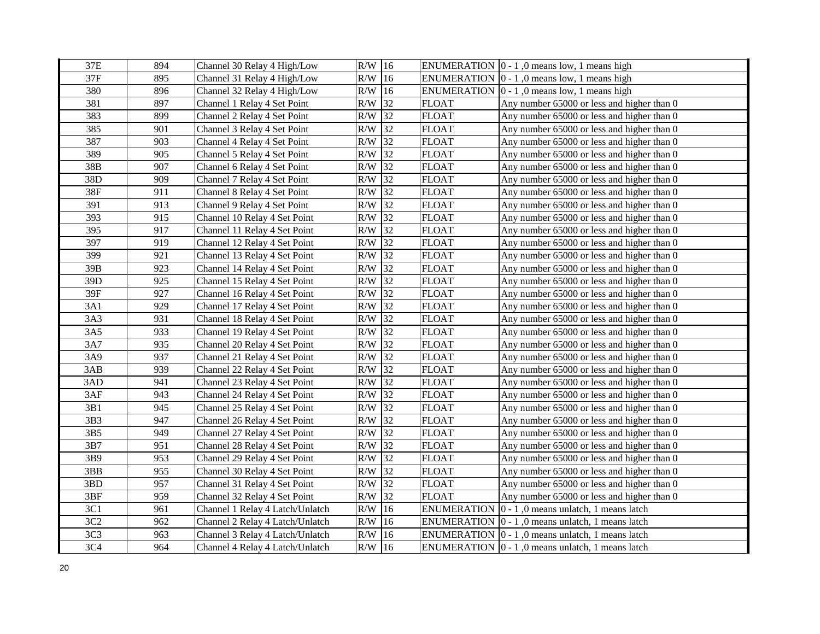| 37E             | 894 | Channel 30 Relay 4 High/Low     | $R/W$ 16  |    |                    | ENUMERATION $\vert 0 - 1 \vert$ , 0 means low, 1 means high      |
|-----------------|-----|---------------------------------|-----------|----|--------------------|------------------------------------------------------------------|
| 37F             | 895 | Channel 31 Relay 4 High/Low     | $R/W$ 16  |    |                    | ENUMERATION $\vert 0 - 1 \vert$ , 0 means low, 1 means high      |
| 380             | 896 | Channel 32 Relay 4 High/Low     | $R/W$ 16  |    |                    | ENUMERATION $\vert 0 - 1 \vert$ , 0 means low, 1 means high      |
| 381             | 897 | Channel 1 Relay 4 Set Point     | $R/W$ 32  |    | <b>FLOAT</b>       | Any number 65000 or less and higher than 0                       |
| 383             | 899 | Channel 2 Relay 4 Set Point     | $R/W$ 32  |    | <b>FLOAT</b>       | Any number 65000 or less and higher than 0                       |
| 385             | 901 | Channel 3 Relay 4 Set Point     | R/W       | 32 | <b>FLOAT</b>       | Any number 65000 or less and higher than 0                       |
| 387             | 903 | Channel 4 Relay 4 Set Point     | R/W       | 32 | <b>FLOAT</b>       | Any number 65000 or less and higher than 0                       |
| 389             | 905 | Channel 5 Relay 4 Set Point     | R/W       | 32 | <b>FLOAT</b>       | Any number 65000 or less and higher than 0                       |
| 38B             | 907 | Channel 6 Relay 4 Set Point     | R/W       | 32 | <b>FLOAT</b>       | Any number 65000 or less and higher than 0                       |
| 38D             | 909 | Channel 7 Relay 4 Set Point     | R/W       | 32 | <b>FLOAT</b>       | Any number 65000 or less and higher than 0                       |
| 38F             | 911 | Channel 8 Relay 4 Set Point     | R/W       | 32 | <b>FLOAT</b>       | Any number 65000 or less and higher than 0                       |
| 391             | 913 | Channel 9 Relay 4 Set Point     | R/W       | 32 | FLOAT              | Any number 65000 or less and higher than 0                       |
| 393             | 915 | Channel 10 Relay 4 Set Point    | R/W       | 32 | <b>FLOAT</b>       | Any number 65000 or less and higher than 0                       |
| 395             | 917 | Channel 11 Relay 4 Set Point    | $R/W$ 32  |    | <b>FLOAT</b>       | Any number 65000 or less and higher than 0                       |
| 397             | 919 | Channel 12 Relay 4 Set Point    | $R/W$ 32  |    | <b>FLOAT</b>       | Any number 65000 or less and higher than 0                       |
| 399             | 921 | Channel 13 Relay 4 Set Point    | $R/W$ 32  |    | <b>FLOAT</b>       | Any number 65000 or less and higher than 0                       |
| 39B             | 923 | Channel 14 Relay 4 Set Point    | R/W       | 32 | <b>FLOAT</b>       | Any number 65000 or less and higher than 0                       |
| 39D             | 925 | Channel 15 Relay 4 Set Point    | R/W       | 32 | <b>FLOAT</b>       | Any number 65000 or less and higher than 0                       |
| 39F             | 927 | Channel 16 Relay 4 Set Point    | R/W       | 32 | <b>FLOAT</b>       | Any number 65000 or less and higher than 0                       |
| 3A1             | 929 | Channel 17 Relay 4 Set Point    | R/W       | 32 | <b>FLOAT</b>       | Any number 65000 or less and higher than 0                       |
| 3A3             | 931 | Channel 18 Relay 4 Set Point    | R/W       | 32 | <b>FLOAT</b>       | Any number 65000 or less and higher than 0                       |
| 3A5             | 933 | Channel 19 Relay 4 Set Point    | R/W       | 32 | <b>FLOAT</b>       | Any number 65000 or less and higher than 0                       |
| 3A7             | 935 | Channel 20 Relay 4 Set Point    | R/W       | 32 | <b>FLOAT</b>       | Any number 65000 or less and higher than 0                       |
| 3A9             | 937 | Channel 21 Relay 4 Set Point    | R/W       | 32 | <b>FLOAT</b>       | Any number 65000 or less and higher than 0                       |
| 3AB             | 939 | Channel 22 Relay 4 Set Point    | R/W       | 32 | <b>FLOAT</b>       | Any number 65000 or less and higher than 0                       |
| 3AD             | 941 | Channel 23 Relay 4 Set Point    | $R/W$ 32  |    | <b>FLOAT</b>       | Any number 65000 or less and higher than 0                       |
| 3AF             | 943 | Channel 24 Relay 4 Set Point    | $R/W$ 32  |    | <b>FLOAT</b>       | Any number 65000 or less and higher than 0                       |
| 3B1             | 945 | Channel 25 Relay 4 Set Point    | R/W       | 32 | <b>FLOAT</b>       | Any number 65000 or less and higher than 0                       |
| 3B3             | 947 | Channel 26 Relay 4 Set Point    | $R/W$ 32  |    | <b>FLOAT</b>       | Any number 65000 or less and higher than 0                       |
| 3B5             | 949 | Channel 27 Relay 4 Set Point    | $\rm R/W$ | 32 | <b>FLOAT</b>       | Any number 65000 or less and higher than 0                       |
| 3B7             | 951 | Channel 28 Relay 4 Set Point    | $\rm R/W$ | 32 | <b>FLOAT</b>       | Any number 65000 or less and higher than 0                       |
| 3B9             | 953 | Channel 29 Relay 4 Set Point    | $\rm R/W$ | 32 | <b>FLOAT</b>       | Any number 65000 or less and higher than 0                       |
| 3BB             | 955 | Channel 30 Relay 4 Set Point    | R/W       | 32 | <b>FLOAT</b>       | Any number 65000 or less and higher than 0                       |
| 3BD             | 957 | Channel 31 Relay 4 Set Point    | R/W       | 32 | <b>FLOAT</b>       | Any number 65000 or less and higher than 0                       |
| 3BF             | 959 | Channel 32 Relay 4 Set Point    | R/W       | 32 | <b>FLOAT</b>       | Any number 65000 or less and higher than 0                       |
| 3C1             | 961 | Channel 1 Relay 4 Latch/Unlatch | R/W       | 16 | <b>ENUMERATION</b> | $ 0 - 1 $ , 0 means unlatch, 1 means latch                       |
| 3C2             | 962 | Channel 2 Relay 4 Latch/Unlatch | $\rm R/W$ | 16 |                    | ENUMERATION $ 0 - 1 $ , 0 means unlatch, 1 means latch           |
| 3C <sub>3</sub> | 963 | Channel 3 Relay 4 Latch/Unlatch | R/W       | 16 |                    | ENUMERATION $\vert 0 - 1 \vert$ , 0 means unlatch, 1 means latch |
| 3C <sub>4</sub> | 964 | Channel 4 Relay 4 Latch/Unlatch | $R/W$ 16  |    |                    | ENUMERATION $\vert 0 - 1 \vert$ , 0 means unlatch, 1 means latch |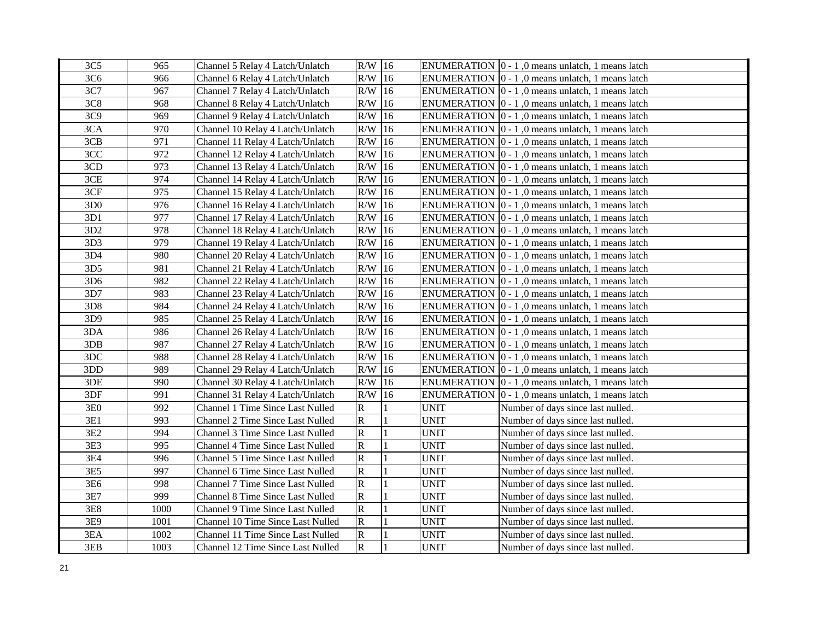| 3C <sub>5</sub> | 965  | Channel 5 Relay 4 Latch/Unlatch         | $R/W$ 16     |    |             | ENUMERATION $\vert 0 - 1 \vert$ , 0 means unlatch, 1 means latch |
|-----------------|------|-----------------------------------------|--------------|----|-------------|------------------------------------------------------------------|
| 3C <sub>6</sub> | 966  | Channel 6 Relay 4 Latch/Unlatch         | $R/W$ 16     |    |             | ENUMERATION $\vert 0 - 1 \vert$ , 0 means unlatch, 1 means latch |
| 3C7             | 967  | Channel 7 Relay 4 Latch/Unlatch         | $R/W$ 16     |    |             | ENUMERATION $\vert 0 - 1 \vert$ , 0 means unlatch, 1 means latch |
| 3C8             | 968  | Channel 8 Relay 4 Latch/Unlatch         | $R/W$ 16     |    |             | ENUMERATION $\vert 0 - 1 \vert$ , 0 means unlatch, 1 means latch |
| 3C9             | 969  | Channel 9 Relay 4 Latch/Unlatch         | $R/W$ 16     |    |             | ENUMERATION $\vert 0 - 1 \vert$ , 0 means unlatch, 1 means latch |
| 3CA             | 970  | Channel 10 Relay 4 Latch/Unlatch        | $R/W$ 16     |    |             | ENUMERATION $\vert 0 - 1 \vert$ , 0 means unlatch, 1 means latch |
| 3CB             | 971  | Channel 11 Relay 4 Latch/Unlatch        | R/W          | 16 |             | ENUMERATION  0 - 1,0 means unlatch, 1 means latch                |
| 3CC             | 972  | Channel 12 Relay 4 Latch/Unlatch        | R/W          | 16 |             | ENUMERATION $\vert 0 - 1 \vert$ , 0 means unlatch, 1 means latch |
| 3CD             | 973  | Channel 13 Relay 4 Latch/Unlatch        | R/W          | 16 |             | ENUMERATION $\vert 0 - 1 \vert$ , 0 means unlatch, 1 means latch |
| 3CE             | 974  | Channel 14 Relay 4 Latch/Unlatch        | R/W          | 16 |             | ENUMERATION $\vert 0 - 1 \vert$ , 0 means unlatch, 1 means latch |
| 3CF             | 975  | Channel 15 Relay 4 Latch/Unlatch        | R/W          | 16 |             | ENUMERATION $\vert 0 - 1 \vert$ , 0 means unlatch, 1 means latch |
| 3D0             | 976  | Channel 16 Relay 4 Latch/Unlatch        | R/W          | 16 |             | ENUMERATION  0 - 1,0 means unlatch, 1 means latch                |
| 3D1             | 977  | Channel 17 Relay 4 Latch/Unlatch        | $R/W$ 16     |    |             | ENUMERATION $\vert 0 - 1 \vert$ , 0 means unlatch, 1 means latch |
| 3D2             | 978  | Channel 18 Relay 4 Latch/Unlatch        | $R/W$ 16     |    |             | ENUMERATION $\vert 0 - 1 \vert$ , 0 means unlatch, 1 means latch |
| 3D3             | 979  | Channel 19 Relay 4 Latch/Unlatch        | $R/W$ 16     |    |             | ENUMERATION $\vert 0 - 1 \vert$ , 0 means unlatch, 1 means latch |
| 3D4             | 980  | Channel 20 Relay 4 Latch/Unlatch        | $R/W$ 16     |    |             | ENUMERATION $\vert 0 - 1 \vert$ , 0 means unlatch, 1 means latch |
| 3D <sub>5</sub> | 981  | Channel 21 Relay 4 Latch/Unlatch        | $R/W$ 16     |    |             | ENUMERATION $\vert 0 - 1 \vert$ , 0 means unlatch, 1 means latch |
| 3D <sub>6</sub> | 982  | Channel 22 Relay 4 Latch/Unlatch        | $R/W$ 16     |    |             | ENUMERATION $\vert 0 - 1 \vert$ , 0 means unlatch, 1 means latch |
| 3D7             | 983  | Channel 23 Relay 4 Latch/Unlatch        | R/W          | 16 |             | ENUMERATION $\vert 0 - 1 \vert$ , 0 means unlatch, 1 means latch |
| 3D8             | 984  | Channel 24 Relay 4 Latch/Unlatch        | R/W          | 16 |             | ENUMERATION $\vert 0 - 1 \vert$ , 0 means unlatch, 1 means latch |
| 3D9             | 985  | Channel 25 Relay 4 Latch/Unlatch        | $R/W$ 16     |    |             | ENUMERATION $\vert 0 - 1 \vert$ , 0 means unlatch, 1 means latch |
| 3DA             | 986  | Channel 26 Relay 4 Latch/Unlatch        | R/W          | 16 |             | ENUMERATION $\vert 0 - 1 \vert$ , 0 means unlatch, 1 means latch |
| 3DB             | 987  | Channel 27 Relay 4 Latch/Unlatch        | $R/W$ 16     |    |             | ENUMERATION $\vert 0 - 1 \vert$ , 0 means unlatch, 1 means latch |
| 3DC             | 988  | Channel 28 Relay 4 Latch/Unlatch        | R/W          | 16 |             | ENUMERATION $ 0 - 1 $ , 0 means unlatch, 1 means latch           |
| 3DD             | 989  | Channel 29 Relay 4 Latch/Unlatch        | R/W          | 16 |             | ENUMERATION $ 0 - 1 $ , 0 means unlatch, 1 means latch           |
| 3DE             | 990  | Channel 30 Relay 4 Latch/Unlatch        | $R/W$ 16     |    |             | ENUMERATION $\vert 0 - 1 \vert$ , 0 means unlatch, 1 means latch |
| 3DF             | 991  | Channel 31 Relay 4 Latch/Unlatch        | $R/W$ 16     |    |             | ENUMERATION $\vert 0 - 1 \vert$ , 0 means unlatch, 1 means latch |
| 3E0             | 992  | Channel 1 Time Since Last Nulled        | R            |    | UNIT        | Number of days since last nulled.                                |
| 3E1             | 993  | Channel 2 Time Since Last Nulled        | $\mathsf R$  |    | <b>UNIT</b> | Number of days since last nulled.                                |
| 3E2             | 994  | Channel 3 Time Since Last Nulled        | ${\bf R}$    |    | <b>UNIT</b> | Number of days since last nulled.                                |
| 3E3             | 995  | Channel 4 Time Since Last Nulled        | ${\bf R}$    |    | <b>UNIT</b> | Number of days since last nulled.                                |
| 3E4             | 996  | Channel 5 Time Since Last Nulled        | ${\bf R}$    |    | <b>UNIT</b> | Number of days since last nulled.                                |
| 3E5             | 997  | Channel 6 Time Since Last Nulled        | ${\bf R}$    |    | <b>UNIT</b> | Number of days since last nulled.                                |
| 3E6             | 998  | Channel 7 Time Since Last Nulled        | R            |    | <b>UNIT</b> | Number of days since last nulled.                                |
| 3E7             | 999  | Channel 8 Time Since Last Nulled        | $\mathbf R$  |    | <b>UNIT</b> | Number of days since last nulled.                                |
| 3E8             | 1000 | <b>Channel 9 Time Since Last Nulled</b> | R            |    | <b>UNIT</b> | Number of days since last nulled.                                |
| 3E9             | 1001 | Channel 10 Time Since Last Nulled       | $\mathbf R$  |    | <b>UNIT</b> | Number of days since last nulled.                                |
| 3EA             | 1002 | Channel 11 Time Since Last Nulled       | $\mathbf R$  |    | <b>UNIT</b> | Number of days since last nulled.                                |
| 3EB             | 1003 | Channel 12 Time Since Last Nulled       | $\mathbb{R}$ |    | <b>UNIT</b> | Number of days since last nulled.                                |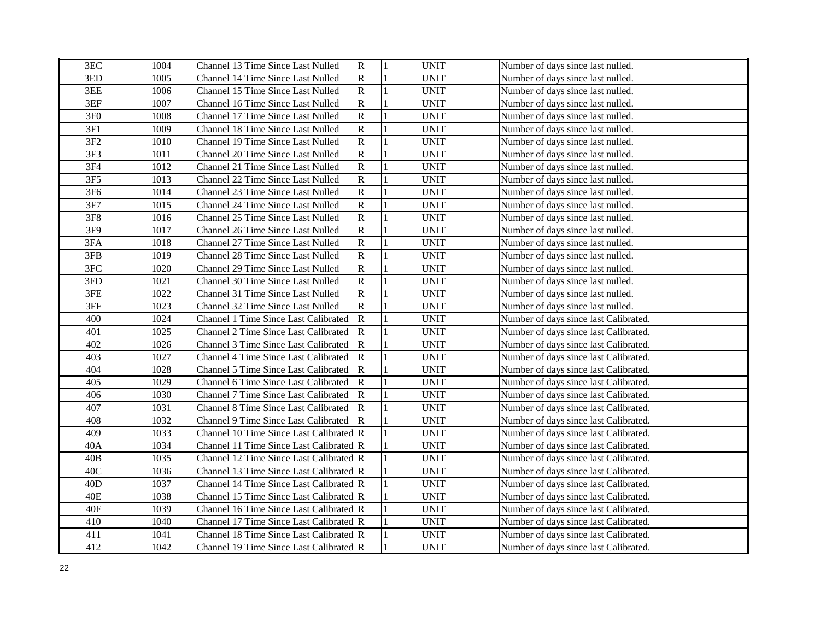| 3EC             | 1004 | Channel 13 Time Since Last Nulled           | $\overline{\mathbf{R}}$ | <b>UNIT</b> | Number of days since last nulled.     |
|-----------------|------|---------------------------------------------|-------------------------|-------------|---------------------------------------|
| 3ED             | 1005 | Channel 14 Time Since Last Nulled           | $\mathsf{R}$            | <b>UNIT</b> | Number of days since last nulled.     |
| 3EE             | 1006 | Channel 15 Time Since Last Nulled           | $\mathbb{R}$            | <b>UNIT</b> | Number of days since last nulled.     |
| 3EF             | 1007 | Channel 16 Time Since Last Nulled           | $\mathsf R$             | <b>UNIT</b> | Number of days since last nulled.     |
| 3F <sub>0</sub> | 1008 | Channel 17 Time Since Last Nulled           | ${\bf R}$               | <b>UNIT</b> | Number of days since last nulled.     |
| 3F1             | 1009 | Channel 18 Time Since Last Nulled           | $\overline{\mathbf{R}}$ | <b>UNIT</b> | Number of days since last nulled.     |
| 3F <sub>2</sub> | 1010 | Channel 19 Time Since Last Nulled           | ${\bf R}$               | <b>UNIT</b> | Number of days since last nulled.     |
| 3F3             | 1011 | Channel 20 Time Since Last Nulled           | $\mathsf R$             | <b>UNIT</b> | Number of days since last nulled.     |
| 3F4             | 1012 | Channel 21 Time Since Last Nulled           | ${\bf R}$               | <b>UNIT</b> | Number of days since last nulled.     |
| 3F5             | 1013 | Channel 22 Time Since Last Nulled           | $\mathsf R$             | <b>UNIT</b> | Number of days since last nulled.     |
| 3F6             | 1014 | Channel 23 Time Since Last Nulled           | $\mathbf R$             | <b>UNIT</b> | Number of days since last nulled.     |
| 3F7             | 1015 | Channel 24 Time Since Last Nulled           | $\mathsf R$             | <b>UNIT</b> | Number of days since last nulled.     |
| 3F8             | 1016 | Channel 25 Time Since Last Nulled           | ${\bf R}$               | <b>UNIT</b> | Number of days since last nulled.     |
| 3F9             | 1017 | Channel 26 Time Since Last Nulled           | $\mathsf R$             | <b>UNIT</b> | Number of days since last nulled.     |
| 3FA             | 1018 | Channel 27 Time Since Last Nulled           | $\mathsf R$             | <b>UNIT</b> | Number of days since last nulled.     |
| 3FB             | 1019 | Channel 28 Time Since Last Nulled           | ${\bf R}$               | <b>UNIT</b> | Number of days since last nulled.     |
| 3FC             | 1020 | <b>Channel 29 Time Since Last Nulled</b>    | ${\bf R}$               | <b>UNIT</b> | Number of days since last nulled.     |
| 3FD             | 1021 | <b>Channel 30 Time Since Last Nulled</b>    | ${\bf R}$               | <b>UNIT</b> | Number of days since last nulled.     |
| 3FE             | 1022 | Channel 31 Time Since Last Nulled           | ${\bf R}$               | <b>UNIT</b> | Number of days since last nulled.     |
| 3FF             | 1023 | Channel 32 Time Since Last Nulled           | ${\bf R}$               | <b>UNIT</b> | Number of days since last nulled.     |
| 400             | 1024 | <b>Channel 1 Time Since Last Calibrated</b> | $\mathbf R$             | <b>UNIT</b> | Number of days since last Calibrated. |
| 401             | 1025 | Channel 2 Time Since Last Calibrated        | R                       | <b>UNIT</b> | Number of days since last Calibrated. |
| 402             | 1026 | Channel 3 Time Since Last Calibrated        | R                       | <b>UNIT</b> | Number of days since last Calibrated. |
| 403             | 1027 | <b>Channel 4 Time Since Last Calibrated</b> | R                       | <b>UNIT</b> | Number of days since last Calibrated. |
| 404             | 1028 | Channel 5 Time Since Last Calibrated        | ${\bf R}$               | <b>UNIT</b> | Number of days since last Calibrated. |
| 405             | 1029 | Channel 6 Time Since Last Calibrated        | $\mathbb R$             | <b>UNIT</b> | Number of days since last Calibrated. |
| 406             | 1030 | Channel 7 Time Since Last Calibrated        | $\overline{\mathbf{R}}$ | <b>UNIT</b> | Number of days since last Calibrated. |
| 407             | 1031 | Channel 8 Time Since Last Calibrated        | $\mathbb{R}$            | <b>UNIT</b> | Number of days since last Calibrated. |
| 408             | 1032 | Channel 9 Time Since Last Calibrated        | $\overline{\mathbb{R}}$ | <b>UNIT</b> | Number of days since last Calibrated. |
| 409             | 1033 | Channel 10 Time Since Last Calibrated R     |                         | <b>UNIT</b> | Number of days since last Calibrated. |
| 40A             | 1034 | Channel 11 Time Since Last Calibrated R     |                         | <b>UNIT</b> | Number of days since last Calibrated. |
| 40B             | 1035 | Channel 12 Time Since Last Calibrated R     |                         | <b>UNIT</b> | Number of days since last Calibrated. |
| 40C             | 1036 | Channel 13 Time Since Last Calibrated R     |                         | <b>UNIT</b> | Number of days since last Calibrated. |
| 40 <sub>D</sub> | 1037 | Channel 14 Time Since Last Calibrated R     |                         | <b>UNIT</b> | Number of days since last Calibrated. |
| 40E             | 1038 | Channel 15 Time Since Last Calibrated R     |                         | <b>UNIT</b> | Number of days since last Calibrated. |
| 40F             | 1039 | Channel 16 Time Since Last Calibrated R     |                         | <b>UNIT</b> | Number of days since last Calibrated. |
| 410             | 1040 | Channel 17 Time Since Last Calibrated R     |                         | <b>UNIT</b> | Number of days since last Calibrated. |
| 411             | 1041 | Channel 18 Time Since Last Calibrated R     |                         | <b>UNIT</b> | Number of days since last Calibrated. |
| 412             | 1042 | Channel 19 Time Since Last Calibrated R     |                         | <b>UNIT</b> | Number of days since last Calibrated. |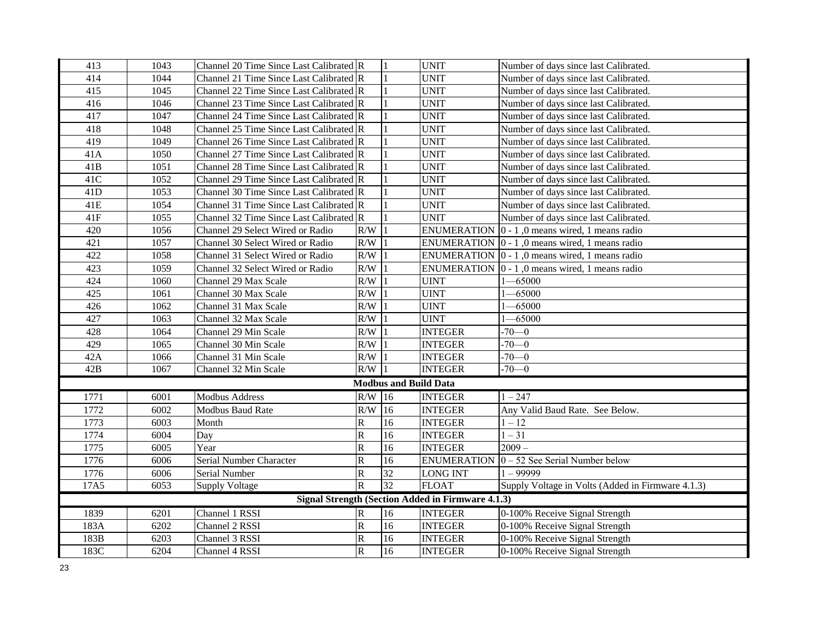| 413            | 1043 | Channel 20 Time Since Last Calibrated R |                       |                              | <b>UNIT</b>                                              | Number of days since last Calibrated.                                      |
|----------------|------|-----------------------------------------|-----------------------|------------------------------|----------------------------------------------------------|----------------------------------------------------------------------------|
| 414            | 1044 | Channel 21 Time Since Last Calibrated R |                       |                              | <b>UNIT</b>                                              | Number of days since last Calibrated.                                      |
| 415            | 1045 | Channel 22 Time Since Last Calibrated R |                       |                              | <b>UNIT</b>                                              | Number of days since last Calibrated.                                      |
| 416            | 1046 | Channel 23 Time Since Last Calibrated R |                       |                              | <b>UNIT</b>                                              | Number of days since last Calibrated.                                      |
| 417            | 1047 | Channel 24 Time Since Last Calibrated R |                       |                              | <b>UNIT</b>                                              | Number of days since last Calibrated.                                      |
| 418            | 1048 | Channel 25 Time Since Last Calibrated R |                       |                              | <b>UNIT</b>                                              | Number of days since last Calibrated.                                      |
| 419            | 1049 | Channel 26 Time Since Last Calibrated R |                       |                              | <b>UNIT</b>                                              | Number of days since last Calibrated.                                      |
| 41A            | 1050 | Channel 27 Time Since Last Calibrated R |                       |                              | <b>UNIT</b>                                              | Number of days since last Calibrated.                                      |
| 41B            | 1051 | Channel 28 Time Since Last Calibrated R |                       |                              | <b>UNIT</b>                                              | Number of days since last Calibrated.                                      |
| 41C            | 1052 | Channel 29 Time Since Last Calibrated R |                       |                              | <b>UNIT</b>                                              | Number of days since last Calibrated.                                      |
| 41D            | 1053 | Channel 30 Time Since Last Calibrated R |                       |                              | <b>UNIT</b>                                              | Number of days since last Calibrated.                                      |
| 41E            | 1054 | Channel 31 Time Since Last Calibrated R |                       |                              | <b>UNIT</b>                                              | Number of days since last Calibrated.                                      |
| $41\mathrm{F}$ | 1055 | Channel 32 Time Since Last Calibrated R |                       |                              | <b>UNIT</b>                                              | Number of days since last Calibrated.                                      |
| 420            | 1056 | Channel 29 Select Wired or Radio        | R/W                   |                              |                                                          | ENUMERATION $\vert 0 - 1 \vert$ , 0 means wired, 1 means radio             |
| 421            | 1057 | Channel 30 Select Wired or Radio        | R/W                   |                              |                                                          | ENUMERATION $\vert 0 - 1 \vert$ , 0 means wired, 1 means radio             |
| 422            | 1058 | Channel 31 Select Wired or Radio        | R/W                   |                              |                                                          | ENUMERATION $\vert 0 - 1 \vert$ , 0 means wired, 1 means radio             |
| 423            | 1059 | Channel 32 Select Wired or Radio        | R/W                   |                              |                                                          | ENUMERATION $\vert 0 - 1 \vert$ , 0 means wired, 1 means radio             |
| 424            | 1060 | Channel 29 Max Scale                    | R/W                   |                              | <b>UINT</b>                                              | $1 - 65000$                                                                |
| 425            | 1061 | Channel 30 Max Scale                    | R/W                   |                              | <b>UINT</b>                                              | $-65000$                                                                   |
| 426            | 1062 | Channel 31 Max Scale                    | R/W                   |                              | <b>UINT</b>                                              | $-65000$                                                                   |
| 427            | 1063 | Channel 32 Max Scale                    | R/W                   |                              | <b>UINT</b>                                              | $-65000$                                                                   |
| 428            | 1064 | Channel 29 Min Scale                    | R/W                   |                              | <b>INTEGER</b>                                           | $-70-0$                                                                    |
| 429            | 1065 | Channel 30 Min Scale                    | R/W                   |                              | <b>INTEGER</b>                                           | $-70-0$                                                                    |
| 42A            | 1066 | Channel 31 Min Scale                    | R/W                   |                              | <b>INTEGER</b>                                           | $-70-0$                                                                    |
| 42B            | 1067 | Channel 32 Min Scale                    | R/W                   |                              | <b>INTEGER</b>                                           | $-70-0$                                                                    |
|                |      |                                         |                       | <b>Modbus and Build Data</b> |                                                          |                                                                            |
| 1771           | 6001 | <b>Modbus Address</b>                   | $R/W$ 16              |                              | <b>INTEGER</b>                                           | $1 - 247$                                                                  |
| 1772           | 6002 | <b>Modbus Baud Rate</b>                 | R/W                   | 16                           | <b>INTEGER</b>                                           | Any Valid Baud Rate. See Below.                                            |
| 1773           | 6003 | Month                                   | R                     | 16                           | <b>INTEGER</b>                                           | $1 - 12$                                                                   |
| 1774           | 6004 | Day                                     | R                     | 16                           | <b>INTEGER</b>                                           | $1 - 31$                                                                   |
| 1775           | 6005 | Year                                    | R                     | 16                           | <b>INTEGER</b>                                           | $2009 -$                                                                   |
| 1776           | 6006 | Serial Number Character                 | $\overline{\text{R}}$ | 16                           |                                                          | ENUMERATION $\vert 0 - 52 \text{ See } \text{Serial } \text{Number}$ below |
| 1776           | 6006 | Serial Number                           | R                     | $\overline{32}$              | <b>LONG INT</b>                                          | $1 - 99999$                                                                |
| 17A5           | 6053 | <b>Supply Voltage</b>                   | $\overline{\text{R}}$ | 32                           | <b>FLOAT</b>                                             | Supply Voltage in Volts (Added in Firmware 4.1.3)                          |
|                |      |                                         |                       |                              | <b>Signal Strength (Section Added in Firmware 4.1.3)</b> |                                                                            |
| 1839           | 6201 | Channel 1 RSSI                          | R                     | 16                           | <b>INTEGER</b>                                           | 0-100% Receive Signal Strength                                             |
| 183A           | 6202 | Channel 2 RSSI                          | R                     | 16                           | <b>INTEGER</b>                                           | 0-100% Receive Signal Strength                                             |
| 183B           | 6203 | Channel 3 RSSI                          | R                     | 16                           | <b>INTEGER</b>                                           | 0-100% Receive Signal Strength                                             |
| 183C           | 6204 | Channel 4 RSSI                          | $\overline{\text{R}}$ | 16                           | <b>INTEGER</b>                                           | 0-100% Receive Signal Strength                                             |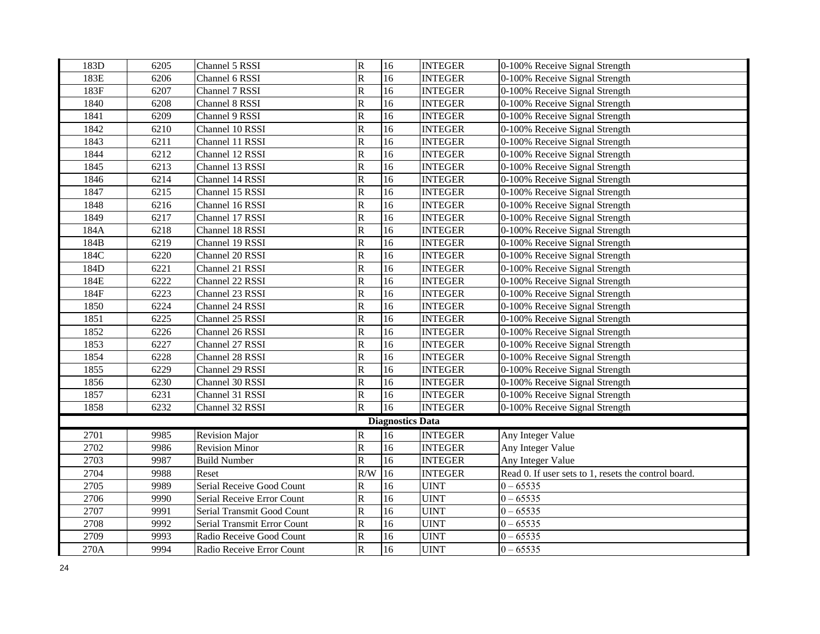| 183D | 6205 | Channel 5 RSSI              | $\, {\bf R}$            | 16                      | <b>INTEGER</b> | 0-100% Receive Signal Strength                       |
|------|------|-----------------------------|-------------------------|-------------------------|----------------|------------------------------------------------------|
| 183E | 6206 | Channel 6 RSSI              | $\overline{\mathsf{R}}$ | 16                      | <b>INTEGER</b> | 0-100% Receive Signal Strength                       |
| 183F | 6207 | Channel 7 RSSI              | $\overline{\mathsf{R}}$ | $\overline{16}$         | <b>INTEGER</b> | 0-100% Receive Signal Strength                       |
| 1840 | 6208 | Channel 8 RSSI              | $\overline{\mathsf{R}}$ | 16                      | <b>INTEGER</b> | 0-100% Receive Signal Strength                       |
| 1841 | 6209 | Channel 9 RSSI              | ${\bf R}$               | $\overline{16}$         | <b>INTEGER</b> | 0-100% Receive Signal Strength                       |
| 1842 | 6210 | Channel 10 RSSI             | ${\bf R}$               | $\overline{16}$         | <b>INTEGER</b> | 0-100% Receive Signal Strength                       |
| 1843 | 6211 | Channel 11 RSSI             | ${\bf R}$               | 16                      | <b>INTEGER</b> | 0-100% Receive Signal Strength                       |
| 1844 | 6212 | Channel 12 RSSI             | ${\bf R}$               | 16                      | <b>INTEGER</b> | 0-100% Receive Signal Strength                       |
| 1845 | 6213 | Channel 13 RSSI             | ${\bf R}$               | 16                      | <b>INTEGER</b> | 0-100% Receive Signal Strength                       |
| 1846 | 6214 | Channel 14 RSSI             | ${\bf R}$               | 16                      | <b>INTEGER</b> | 0-100% Receive Signal Strength                       |
| 1847 | 6215 | Channel 15 RSSI             | ${\bf R}$               | 16                      | <b>INTEGER</b> | 0-100% Receive Signal Strength                       |
| 1848 | 6216 | Channel 16 RSSI             | $\, {\bf R}$            | 16                      | <b>INTEGER</b> | 0-100% Receive Signal Strength                       |
| 1849 | 6217 | Channel 17 RSSI             | ${\bf R}$               | 16                      | <b>INTEGER</b> | 0-100% Receive Signal Strength                       |
| 184A | 6218 | Channel 18 RSSI             | $\, {\bf R}$            | $\overline{16}$         | <b>INTEGER</b> | 0-100% Receive Signal Strength                       |
| 184B | 6219 | Channel 19 RSSI             | ${\bf R}$               | 16                      | <b>INTEGER</b> | 0-100% Receive Signal Strength                       |
| 184C | 6220 | Channel 20 RSSI             | ${\bf R}$               | 16                      | <b>INTEGER</b> | 0-100% Receive Signal Strength                       |
| 184D | 6221 | Channel 21 RSSI             | $\overline{\text{R}}$   | $\overline{16}$         | <b>INTEGER</b> | 0-100% Receive Signal Strength                       |
| 184E | 6222 | Channel 22 RSSI             | ${\bf R}$               | 16                      | <b>INTEGER</b> | 0-100% Receive Signal Strength                       |
| 184F | 6223 | Channel 23 RSSI             | ${\bf R}$               | 16                      | <b>INTEGER</b> | 0-100% Receive Signal Strength                       |
| 1850 | 6224 | Channel 24 RSSI             | ${\bf R}$               | 16                      | <b>INTEGER</b> | 0-100% Receive Signal Strength                       |
| 1851 | 6225 | Channel 25 RSSI             | ${\bf R}$               | 16                      | <b>INTEGER</b> | 0-100% Receive Signal Strength                       |
| 1852 | 6226 | Channel 26 RSSI             | $\overline{\mathsf{R}}$ | 16                      | <b>INTEGER</b> | 0-100% Receive Signal Strength                       |
| 1853 | 6227 | Channel 27 RSSI             | $\overline{\text{R}}$   | $\overline{16}$         | <b>INTEGER</b> | 0-100% Receive Signal Strength                       |
| 1854 | 6228 | Channel 28 RSSI             | $\overline{\mathsf{R}}$ | 16                      | <b>INTEGER</b> | 0-100% Receive Signal Strength                       |
| 1855 | 6229 | Channel 29 RSSI             | $\overline{\mathsf{R}}$ | $\overline{16}$         | <b>INTEGER</b> | 0-100% Receive Signal Strength                       |
| 1856 | 6230 | Channel 30 RSSI             | ${\bf R}$               | $\overline{16}$         | <b>INTEGER</b> | 0-100% Receive Signal Strength                       |
| 1857 | 6231 | Channel 31 RSSI             | ${\bf R}$               | 16                      | <b>INTEGER</b> | 0-100% Receive Signal Strength                       |
| 1858 | 6232 | Channel 32 RSSI             | $\overline{\mathbf{R}}$ | 16                      | <b>INTEGER</b> | 0-100% Receive Signal Strength                       |
|      |      |                             |                         | <b>Diagnostics Data</b> |                |                                                      |
| 2701 | 9985 | <b>Revision Major</b>       | $\mathbf R$             | 16                      | <b>INTEGER</b> | Any Integer Value                                    |
| 2702 | 9986 | <b>Revision Minor</b>       | $\overline{\mathsf{R}}$ | 16                      | <b>INTEGER</b> | Any Integer Value                                    |
| 2703 | 9987 | <b>Build Number</b>         | $\overline{\text{R}}$   | 16                      | <b>INTEGER</b> | Any Integer Value                                    |
| 2704 | 9988 | Reset                       | R/W                     | 16                      | <b>INTEGER</b> | Read 0. If user sets to 1, resets the control board. |
| 2705 | 9989 | Serial Receive Good Count   | ${\bf R}$               | 16                      | <b>UINT</b>    | $0 - 65535$                                          |
| 2706 | 9990 | Serial Receive Error Count  | ${\bf R}$               | 16                      | <b>UINT</b>    | $0 - 65535$                                          |
| 2707 | 9991 | Serial Transmit Good Count  | ${\bf R}$               | 16                      | <b>UINT</b>    | $0 - 65535$                                          |
| 2708 | 9992 | Serial Transmit Error Count | $\mathbf R$             | 16                      | <b>UINT</b>    | $0 - 65535$                                          |
| 2709 | 9993 | Radio Receive Good Count    | ${\bf R}$               | 16                      | <b>UINT</b>    | $0 - 65535$                                          |
| 270A | 9994 | Radio Receive Error Count   | $\mathbf R$             | 16                      | <b>UINT</b>    | $0 - 65535$                                          |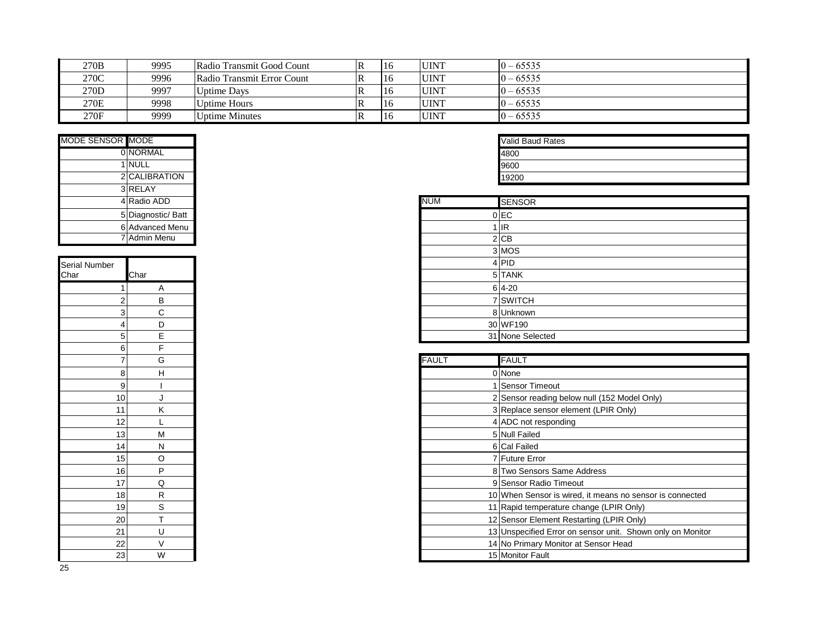| 270B | 9995 | Radio Transmit Good Count  |    | 16 | <b>UINT</b> | $ 0 - 65535$ |
|------|------|----------------------------|----|----|-------------|--------------|
| 270C | 9996 | Radio Transmit Error Count |    | 16 | <b>UINT</b> | $ 0 - 65535$ |
| 270D | 9997 | Uptime Days                |    | 16 | <b>UINT</b> | $ 0 - 65535$ |
| 270E | 9998 | Uptime Hours               |    | 16 | <b>UINT</b> | $ 0 - 65535$ |
| 270F | 9999 | Uptime Minutes             | ΙR | 16 | <b>UINT</b> | $10 - 65535$ |

| MODE SENSOR MODE |                    |
|------------------|--------------------|
|                  | <b>OINORMAL</b>    |
|                  | 1 NULL             |
|                  | 2 CALIBRATION      |
|                  | 3 RELAY            |
|                  | 4 Radio ADD        |
|                  | 5 Diagnostic/ Batt |
|                  | 6 Advanced Menu    |
|                  | 7 Admin Menu       |

| Serial Number  |                         |
|----------------|-------------------------|
| Char           | Char                    |
| $\overline{1}$ | $\overline{A}$          |
|                | $rac{B}{C}$             |
| $\frac{2}{3}$  |                         |
| 4              | D                       |
| 5              | E                       |
| 6              | F                       |
| 7              | G                       |
| 8              | H                       |
| 9              | Ī                       |
| 10             | J                       |
| 11             | K                       |
| 12             | L                       |
| 13             | M                       |
| 14             | $\overline{\mathsf{N}}$ |
| 15             | O                       |
| 16             | P                       |
| 17             | $\overline{Q}$          |
| 18             | $\overline{R}$          |
| 19             | $\overline{\mathbf{S}}$ |
| <b>20</b>      | T                       |
| 21             |                         |
| 22             | $\frac{U}{V}$           |
| 23             | $\overline{\mathsf{w}}$ |

| <b>Valid Baud Rates</b> |  |  |  |
|-------------------------|--|--|--|
| 4800                    |  |  |  |
| 9600                    |  |  |  |
| 19200                   |  |  |  |

|   | 3 RELAY            |
|---|--------------------|
|   | 4 Radio ADD        |
|   | 5 Diagnostic/ Batt |
|   | 6 Advanced Menu    |
|   | 7 Admin Menu       |
|   |                    |
|   |                    |
|   | Char               |
|   | A                  |
|   | B                  |
|   | C<br>3             |
| 4 | D                  |
| 5 | E                  |

| $\overline{7}$    | G | <b>FAULT</b> | <b>FAULT</b>                                               |
|-------------------|---|--------------|------------------------------------------------------------|
| 8 <sup>2</sup>    | н |              | 0 None                                                     |
| 9                 |   |              | Sensor Timeout                                             |
| 10 <sup>1</sup>   |   |              | 2 Sensor reading below null (152 Model Only)               |
| 11                | κ |              | 3 Replace sensor element (LPIR Only)                       |
| $12 \overline{ }$ |   |              | 4 ADC not responding                                       |
| 13                | M |              | 5 Null Failed                                              |
| 14                | N |              | 6 Cal Failed                                               |
| 15                | O |              | 7 Future Error                                             |
| 16                | P |              | 8 Two Sensors Same Address                                 |
| 17                | Q |              | 9 Sensor Radio Timeout                                     |
| 18                | R |              | 10 When Sensor is wired, it means no sensor is connected   |
| 19                | S |              | 11 Rapid temperature change (LPIR Only)                    |
| $20 \mid$         |   |              | 12 Sensor Element Restarting (LPIR Only)                   |
| 21                | U |              | 13 Unspecified Error on sensor unit. Shown only on Monitor |
| $\overline{22}$   | V |              | 14 No Primary Monitor at Sensor Head                       |
| 23                | W |              | 15 Monitor Fault                                           |